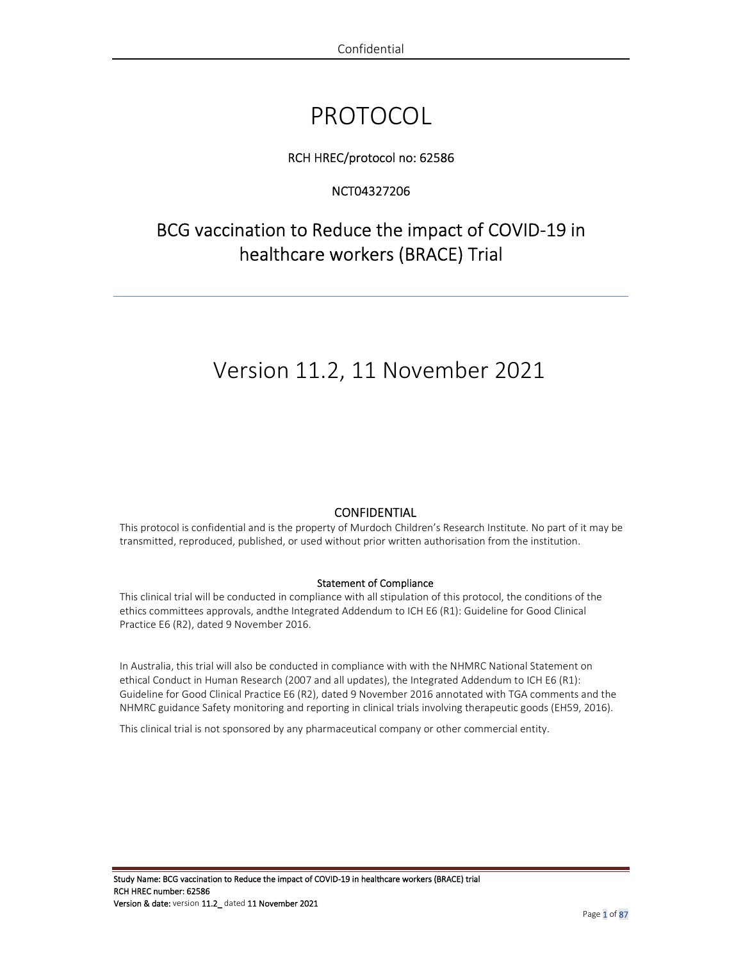# PROTOCOL

## RCH HREC/protocol no: 62586

## NCT04327206

## BCG vaccination to Reduce the impact of COVID-19 in healthcare workers (BRACE) Trial

## Version 11.2, 11 November 2021

### **CONFIDENTIAL**

This protocol is confidential and is the property of Murdoch Children's Research Institute. No part of it may be transmitted, reproduced, published, or used without prior written authorisation from the institution.

#### Statement of Compliance

This clinical trial will be conducted in compliance with all stipulation of this protocol, the conditions of the ethics committees approvals, andthe Integrated Addendum to ICH E6 (R1): Guideline for Good Clinical Practice E6 (R2), dated 9 November 2016.

In Australia, this trial will also be conducted in compliance with with the NHMRC National Statement on ethical Conduct in Human Research (2007 and all updates), the Integrated Addendum to ICH E6 (R1): Guideline for Good Clinical Practice E6 (R2), dated 9 November 2016 annotated with TGA comments and the NHMRC guidance Safety monitoring and reporting in clinical trials involving therapeutic goods (EH59, 2016).

This clinical trial is not sponsored by any pharmaceutical company or other commercial entity.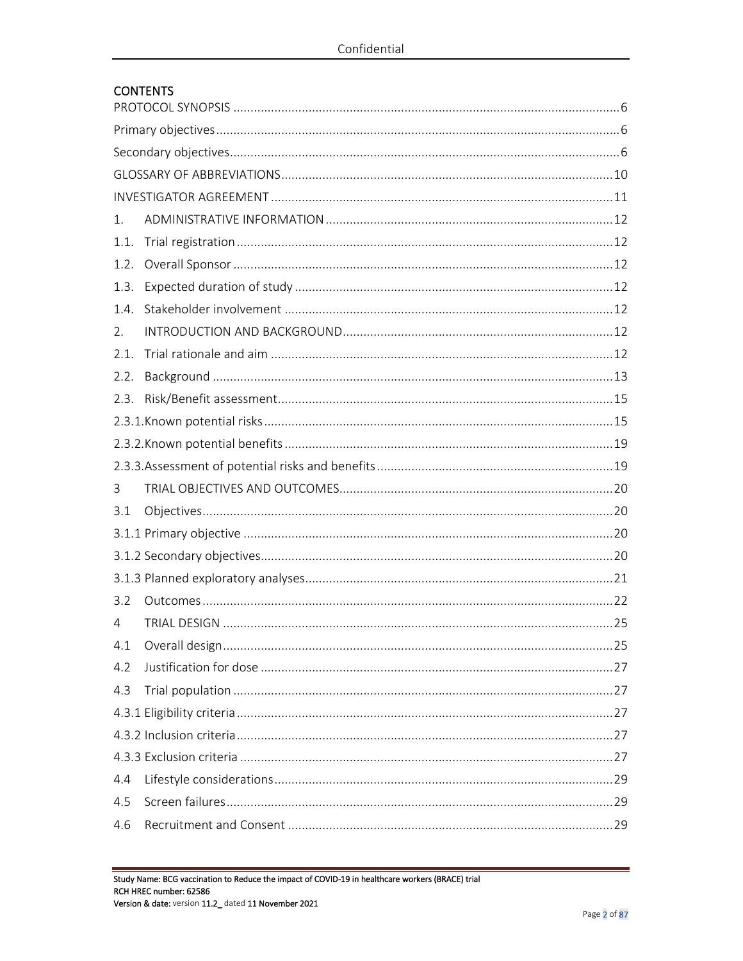## **CONTENTS**

| 1.   |  |  |  |  |
|------|--|--|--|--|
| 1.1. |  |  |  |  |
| 1.2. |  |  |  |  |
| 1.3. |  |  |  |  |
| 1.4. |  |  |  |  |
| 2.   |  |  |  |  |
| 2.1. |  |  |  |  |
| 2.2. |  |  |  |  |
| 2.3. |  |  |  |  |
|      |  |  |  |  |
|      |  |  |  |  |
|      |  |  |  |  |
| 3    |  |  |  |  |
| 3.1  |  |  |  |  |
|      |  |  |  |  |
|      |  |  |  |  |
|      |  |  |  |  |
| 3.2  |  |  |  |  |
| 4    |  |  |  |  |
|      |  |  |  |  |
| 4.2  |  |  |  |  |
| 4.3  |  |  |  |  |
|      |  |  |  |  |
|      |  |  |  |  |
|      |  |  |  |  |
| 4.4  |  |  |  |  |
| 4.5  |  |  |  |  |
| 4.6  |  |  |  |  |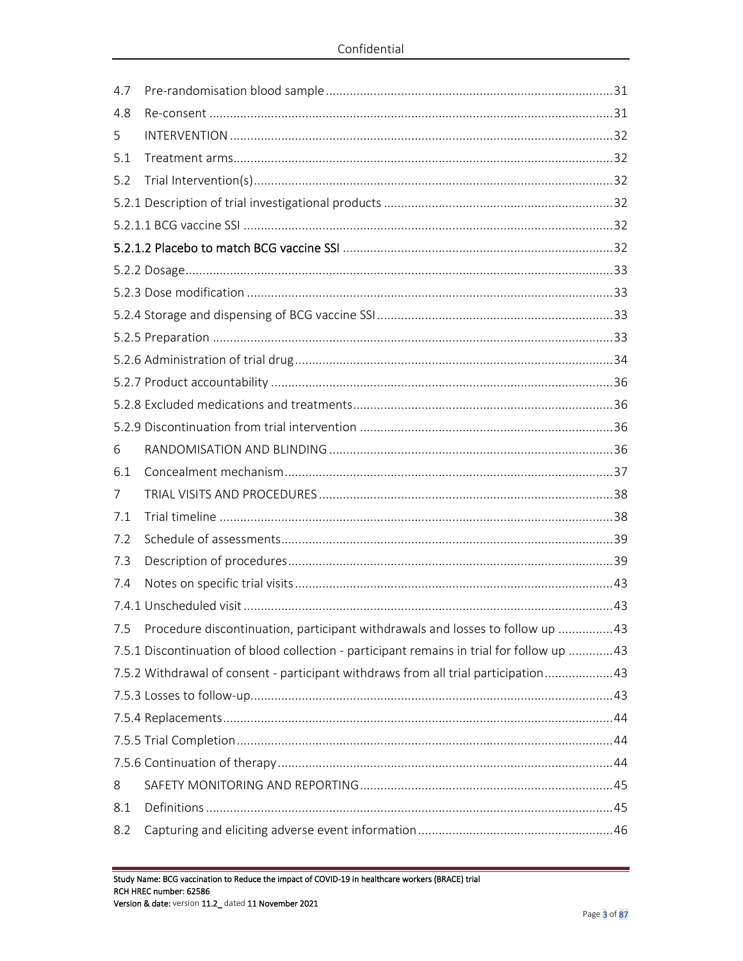| 4.7 |                                                                                           |  |
|-----|-------------------------------------------------------------------------------------------|--|
| 4.8 |                                                                                           |  |
| 5   |                                                                                           |  |
| 5.1 |                                                                                           |  |
| 5.2 |                                                                                           |  |
|     |                                                                                           |  |
|     |                                                                                           |  |
|     |                                                                                           |  |
|     |                                                                                           |  |
|     |                                                                                           |  |
|     |                                                                                           |  |
|     |                                                                                           |  |
|     |                                                                                           |  |
|     |                                                                                           |  |
|     |                                                                                           |  |
|     |                                                                                           |  |
| 6   |                                                                                           |  |
| 6.1 |                                                                                           |  |
| 7   |                                                                                           |  |
| 7.1 |                                                                                           |  |
| 7.2 |                                                                                           |  |
| 7.3 |                                                                                           |  |
| 7.4 |                                                                                           |  |
|     |                                                                                           |  |
| 7.5 | Procedure discontinuation, participant withdrawals and losses to follow up 43             |  |
|     | 7.5.1 Discontinuation of blood collection - participant remains in trial for follow up 43 |  |
|     | 7.5.2 Withdrawal of consent - participant withdraws from all trial participation43        |  |
|     |                                                                                           |  |
|     |                                                                                           |  |
|     |                                                                                           |  |
|     |                                                                                           |  |
| 8   |                                                                                           |  |
| 8.1 |                                                                                           |  |
| 8.2 |                                                                                           |  |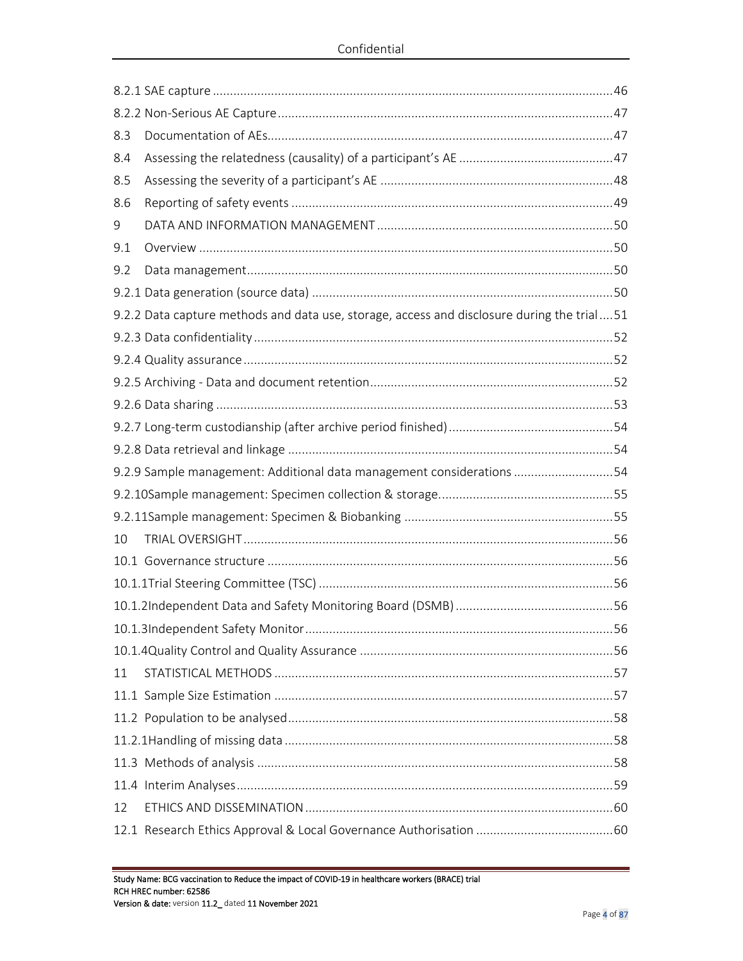| 8.3 |                                                                                            |  |
|-----|--------------------------------------------------------------------------------------------|--|
| 8.4 |                                                                                            |  |
| 8.5 |                                                                                            |  |
| 8.6 |                                                                                            |  |
| 9   |                                                                                            |  |
| 9.1 |                                                                                            |  |
| 9.2 |                                                                                            |  |
|     |                                                                                            |  |
|     | 9.2.2 Data capture methods and data use, storage, access and disclosure during the trial51 |  |
|     |                                                                                            |  |
|     |                                                                                            |  |
|     |                                                                                            |  |
|     |                                                                                            |  |
|     |                                                                                            |  |
|     |                                                                                            |  |
|     | 9.2.9 Sample management: Additional data management considerations 54                      |  |
|     |                                                                                            |  |
|     |                                                                                            |  |
| 10  |                                                                                            |  |
|     |                                                                                            |  |
|     |                                                                                            |  |
|     |                                                                                            |  |
|     |                                                                                            |  |
|     |                                                                                            |  |
| 11  |                                                                                            |  |
|     |                                                                                            |  |
|     |                                                                                            |  |
|     |                                                                                            |  |
|     |                                                                                            |  |
|     |                                                                                            |  |
| 12  |                                                                                            |  |
|     |                                                                                            |  |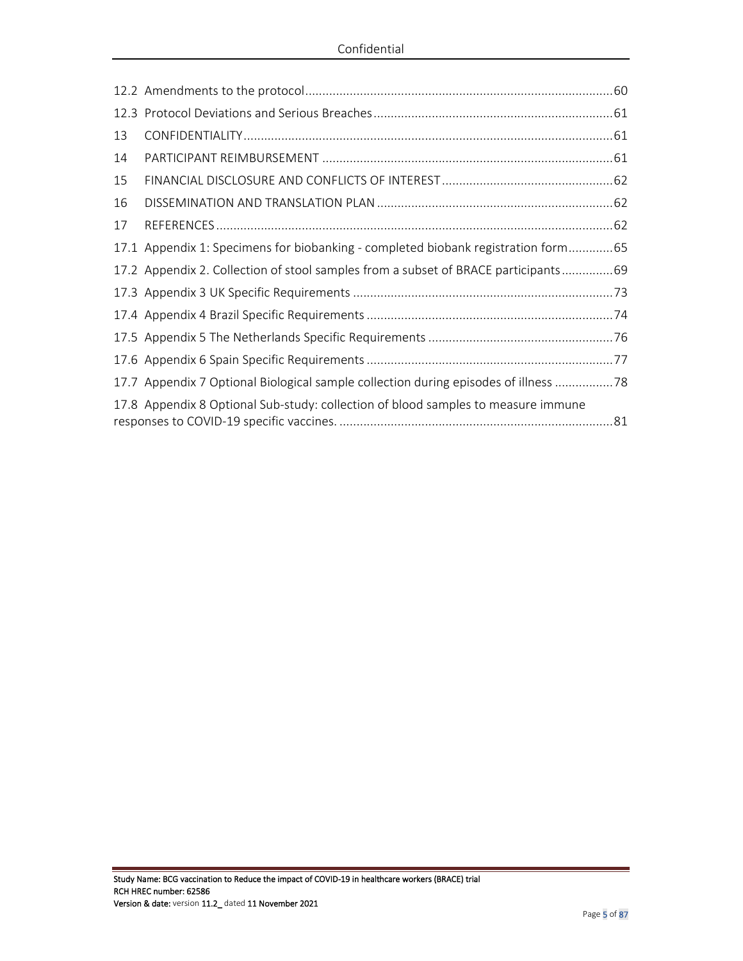| 13 |                                                                                      |  |
|----|--------------------------------------------------------------------------------------|--|
| 14 |                                                                                      |  |
| 15 |                                                                                      |  |
| 16 |                                                                                      |  |
| 17 |                                                                                      |  |
|    | 17.1 Appendix 1: Specimens for biobanking - completed biobank registration form65    |  |
|    | 17.2 Appendix 2. Collection of stool samples from a subset of BRACE participants69   |  |
|    |                                                                                      |  |
|    |                                                                                      |  |
|    |                                                                                      |  |
|    |                                                                                      |  |
|    | 17.7 Appendix 7 Optional Biological sample collection during episodes of illness  78 |  |
|    | 17.8 Appendix 8 Optional Sub-study: collection of blood samples to measure immune    |  |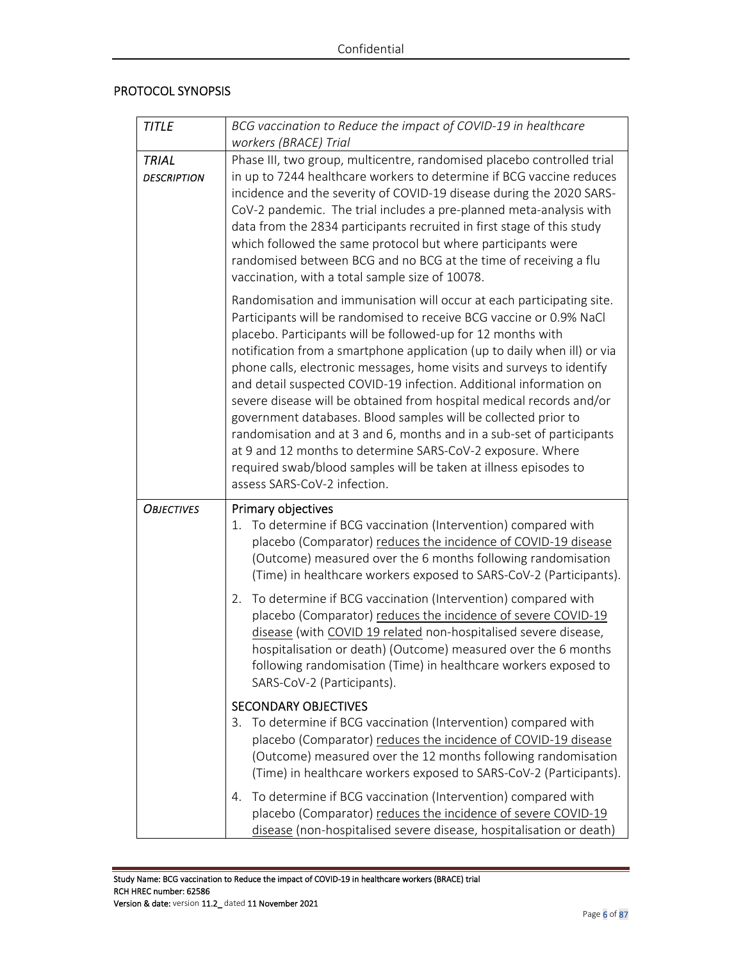### PROTOCOL SYNOPSIS

| <b>TITLE</b>                       | BCG vaccination to Reduce the impact of COVID-19 in healthcare<br>workers (BRACE) Trial                                                                                                                                                                                                                                                                                                                                                                                                                                                                                                                                                                                                                                                                                                                                      |  |
|------------------------------------|------------------------------------------------------------------------------------------------------------------------------------------------------------------------------------------------------------------------------------------------------------------------------------------------------------------------------------------------------------------------------------------------------------------------------------------------------------------------------------------------------------------------------------------------------------------------------------------------------------------------------------------------------------------------------------------------------------------------------------------------------------------------------------------------------------------------------|--|
| <b>TRIAL</b><br><b>DESCRIPTION</b> | Phase III, two group, multicentre, randomised placebo controlled trial<br>in up to 7244 healthcare workers to determine if BCG vaccine reduces<br>incidence and the severity of COVID-19 disease during the 2020 SARS-<br>CoV-2 pandemic. The trial includes a pre-planned meta-analysis with<br>data from the 2834 participants recruited in first stage of this study<br>which followed the same protocol but where participants were<br>randomised between BCG and no BCG at the time of receiving a flu<br>vaccination, with a total sample size of 10078.                                                                                                                                                                                                                                                               |  |
|                                    | Randomisation and immunisation will occur at each participating site.<br>Participants will be randomised to receive BCG vaccine or 0.9% NaCl<br>placebo. Participants will be followed-up for 12 months with<br>notification from a smartphone application (up to daily when ill) or via<br>phone calls, electronic messages, home visits and surveys to identify<br>and detail suspected COVID-19 infection. Additional information on<br>severe disease will be obtained from hospital medical records and/or<br>government databases. Blood samples will be collected prior to<br>randomisation and at 3 and 6, months and in a sub-set of participants<br>at 9 and 12 months to determine SARS-CoV-2 exposure. Where<br>required swab/blood samples will be taken at illness episodes to<br>assess SARS-CoV-2 infection. |  |
| <b>OBJECTIVES</b>                  | Primary objectives<br>To determine if BCG vaccination (Intervention) compared with<br>1.<br>placebo (Comparator) reduces the incidence of COVID-19 disease<br>(Outcome) measured over the 6 months following randomisation<br>(Time) in healthcare workers exposed to SARS-CoV-2 (Participants).<br>To determine if BCG vaccination (Intervention) compared with<br>2.<br>placebo (Comparator) reduces the incidence of severe COVID-19<br>disease (with COVID 19 related non-hospitalised severe disease,<br>hospitalisation or death) (Outcome) measured over the 6 months<br>following randomisation (Time) in healthcare workers exposed to                                                                                                                                                                              |  |
|                                    | SARS-CoV-2 (Participants).<br><b>SECONDARY OBJECTIVES</b><br>3. To determine if BCG vaccination (Intervention) compared with<br>placebo (Comparator) reduces the incidence of COVID-19 disease<br>(Outcome) measured over the 12 months following randomisation<br>(Time) in healthcare workers exposed to SARS-CoV-2 (Participants).<br>To determine if BCG vaccination (Intervention) compared with<br>4.<br>placebo (Comparator) reduces the incidence of severe COVID-19<br>disease (non-hospitalised severe disease, hospitalisation or death)                                                                                                                                                                                                                                                                          |  |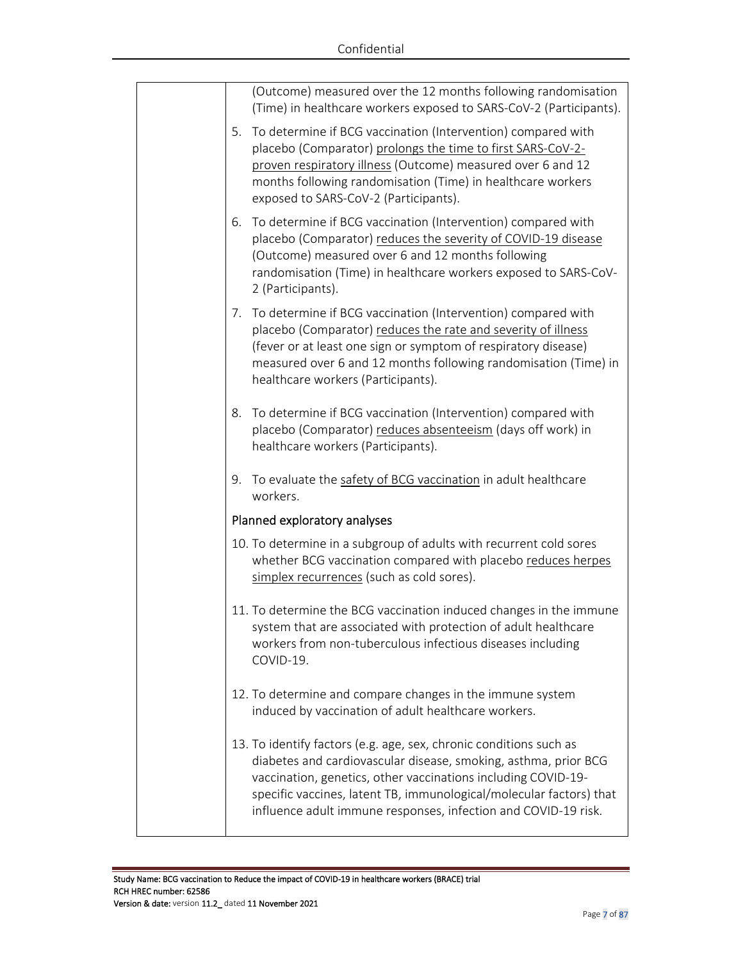|    | (Outcome) measured over the 12 months following randomisation<br>(Time) in healthcare workers exposed to SARS-CoV-2 (Participants).                                                                                                                                                                                                             |
|----|-------------------------------------------------------------------------------------------------------------------------------------------------------------------------------------------------------------------------------------------------------------------------------------------------------------------------------------------------|
| 5. | To determine if BCG vaccination (Intervention) compared with<br>placebo (Comparator) prolongs the time to first SARS-CoV-2-<br>proven respiratory illness (Outcome) measured over 6 and 12<br>months following randomisation (Time) in healthcare workers<br>exposed to SARS-CoV-2 (Participants).                                              |
| 6. | To determine if BCG vaccination (Intervention) compared with<br>placebo (Comparator) reduces the severity of COVID-19 disease<br>(Outcome) measured over 6 and 12 months following<br>randomisation (Time) in healthcare workers exposed to SARS-CoV-<br>2 (Participants).                                                                      |
| 7. | To determine if BCG vaccination (Intervention) compared with<br>placebo (Comparator) reduces the rate and severity of illness<br>(fever or at least one sign or symptom of respiratory disease)<br>measured over 6 and 12 months following randomisation (Time) in<br>healthcare workers (Participants).                                        |
| 8. | To determine if BCG vaccination (Intervention) compared with<br>placebo (Comparator) reduces absenteeism (days off work) in<br>healthcare workers (Participants).                                                                                                                                                                               |
| 9. | To evaluate the safety of BCG vaccination in adult healthcare<br>workers.                                                                                                                                                                                                                                                                       |
|    | Planned exploratory analyses                                                                                                                                                                                                                                                                                                                    |
|    | 10. To determine in a subgroup of adults with recurrent cold sores<br>whether BCG vaccination compared with placebo reduces herpes<br>simplex recurrences (such as cold sores).                                                                                                                                                                 |
|    | 11. To determine the BCG vaccination induced changes in the immune<br>system that are associated with protection of adult healthcare<br>workers from non-tuberculous infectious diseases including<br>COVID-19.                                                                                                                                 |
|    | 12. To determine and compare changes in the immune system<br>induced by vaccination of adult healthcare workers.                                                                                                                                                                                                                                |
|    | 13. To identify factors (e.g. age, sex, chronic conditions such as<br>diabetes and cardiovascular disease, smoking, asthma, prior BCG<br>vaccination, genetics, other vaccinations including COVID-19-<br>specific vaccines, latent TB, immunological/molecular factors) that<br>influence adult immune responses, infection and COVID-19 risk. |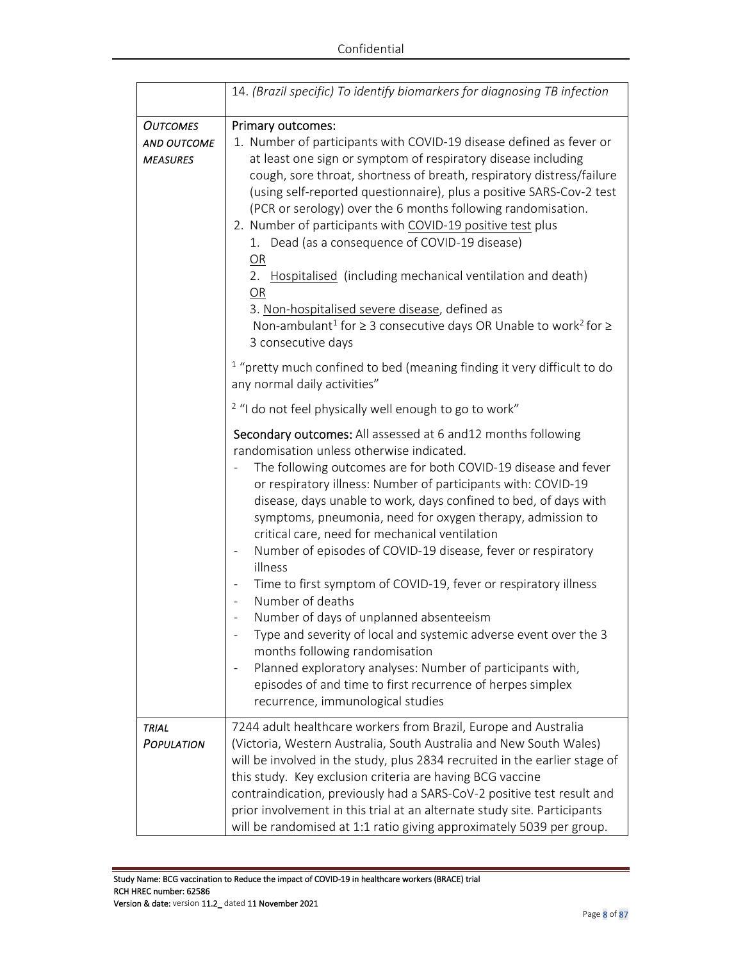|                    | 14. (Brazil specific) To identify biomarkers for diagnosing TB infection                          |  |
|--------------------|---------------------------------------------------------------------------------------------------|--|
| <b>OUTCOMES</b>    | Primary outcomes:                                                                                 |  |
| <b>AND OUTCOME</b> | 1. Number of participants with COVID-19 disease defined as fever or                               |  |
| <b>MEASURES</b>    | at least one sign or symptom of respiratory disease including                                     |  |
|                    | cough, sore throat, shortness of breath, respiratory distress/failure                             |  |
|                    | (using self-reported questionnaire), plus a positive SARS-Cov-2 test                              |  |
|                    | (PCR or serology) over the 6 months following randomisation.                                      |  |
|                    | 2. Number of participants with COVID-19 positive test plus                                        |  |
|                    | 1. Dead (as a consequence of COVID-19 disease)                                                    |  |
|                    | OR                                                                                                |  |
|                    | 2. Hospitalised (including mechanical ventilation and death)                                      |  |
|                    | OR                                                                                                |  |
|                    | 3. Non-hospitalised severe disease, defined as                                                    |  |
|                    | Non-ambulant <sup>1</sup> for $\geq$ 3 consecutive days OR Unable to work <sup>2</sup> for $\geq$ |  |
|                    | 3 consecutive days                                                                                |  |
|                    | $1$ "pretty much confined to bed (meaning finding it very difficult to do                         |  |
|                    | any normal daily activities"                                                                      |  |
|                    |                                                                                                   |  |
|                    | <sup>2</sup> "I do not feel physically well enough to go to work"                                 |  |
|                    | Secondary outcomes: All assessed at 6 and 12 months following                                     |  |
|                    | randomisation unless otherwise indicated.                                                         |  |
|                    | The following outcomes are for both COVID-19 disease and fever                                    |  |
|                    | or respiratory illness: Number of participants with: COVID-19                                     |  |
|                    | disease, days unable to work, days confined to bed, of days with                                  |  |
|                    | symptoms, pneumonia, need for oxygen therapy, admission to                                        |  |
|                    | critical care, need for mechanical ventilation                                                    |  |
|                    | Number of episodes of COVID-19 disease, fever or respiratory                                      |  |
|                    | illness                                                                                           |  |
|                    | Time to first symptom of COVID-19, fever or respiratory illness                                   |  |
|                    | Number of deaths                                                                                  |  |
|                    | Number of days of unplanned absenteeism                                                           |  |
|                    | Type and severity of local and systemic adverse event over the 3                                  |  |
|                    | months following randomisation                                                                    |  |
|                    | Planned exploratory analyses: Number of participants with,                                        |  |
|                    | episodes of and time to first recurrence of herpes simplex                                        |  |
|                    | recurrence, immunological studies                                                                 |  |
|                    |                                                                                                   |  |
| TRIAL              | 7244 adult healthcare workers from Brazil, Europe and Australia                                   |  |
| POPULATION         | (Victoria, Western Australia, South Australia and New South Wales)                                |  |
|                    | will be involved in the study, plus 2834 recruited in the earlier stage of                        |  |
|                    | this study. Key exclusion criteria are having BCG vaccine                                         |  |
|                    | contraindication, previously had a SARS-CoV-2 positive test result and                            |  |
|                    | prior involvement in this trial at an alternate study site. Participants                          |  |
|                    | will be randomised at 1:1 ratio giving approximately 5039 per group.                              |  |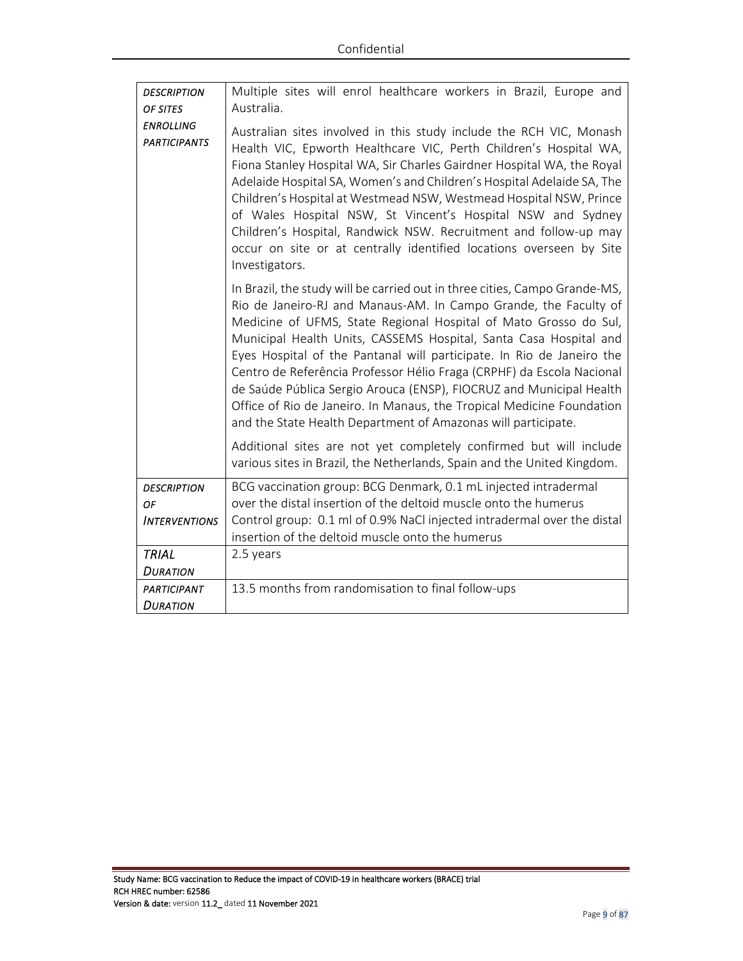| <b>DESCRIPTION</b>                      | Multiple sites will enrol healthcare workers in Brazil, Europe and                                                                                                                                                                                                                                                                                                                                                                                                                                                                                                                                                                                         |
|-----------------------------------------|------------------------------------------------------------------------------------------------------------------------------------------------------------------------------------------------------------------------------------------------------------------------------------------------------------------------------------------------------------------------------------------------------------------------------------------------------------------------------------------------------------------------------------------------------------------------------------------------------------------------------------------------------------|
| OF SITES                                | Australia.                                                                                                                                                                                                                                                                                                                                                                                                                                                                                                                                                                                                                                                 |
| <b>ENROLLING</b><br><b>PARTICIPANTS</b> | Australian sites involved in this study include the RCH VIC, Monash<br>Health VIC, Epworth Healthcare VIC, Perth Children's Hospital WA,<br>Fiona Stanley Hospital WA, Sir Charles Gairdner Hospital WA, the Royal<br>Adelaide Hospital SA, Women's and Children's Hospital Adelaide SA, The<br>Children's Hospital at Westmead NSW, Westmead Hospital NSW, Prince<br>of Wales Hospital NSW, St Vincent's Hospital NSW and Sydney<br>Children's Hospital, Randwick NSW. Recruitment and follow-up may<br>occur on site or at centrally identified locations overseen by Site<br>Investigators.                                                             |
|                                         | In Brazil, the study will be carried out in three cities, Campo Grande-MS,<br>Rio de Janeiro-RJ and Manaus-AM. In Campo Grande, the Faculty of<br>Medicine of UFMS, State Regional Hospital of Mato Grosso do Sul,<br>Municipal Health Units, CASSEMS Hospital, Santa Casa Hospital and<br>Eyes Hospital of the Pantanal will participate. In Rio de Janeiro the<br>Centro de Referência Professor Hélio Fraga (CRPHF) da Escola Nacional<br>de Saúde Pública Sergio Arouca (ENSP), FIOCRUZ and Municipal Health<br>Office of Rio de Janeiro. In Manaus, the Tropical Medicine Foundation<br>and the State Health Department of Amazonas will participate. |
|                                         | Additional sites are not yet completely confirmed but will include<br>various sites in Brazil, the Netherlands, Spain and the United Kingdom.                                                                                                                                                                                                                                                                                                                                                                                                                                                                                                              |
| <b>DESCRIPTION</b><br>OF                | BCG vaccination group: BCG Denmark, 0.1 mL injected intradermal<br>over the distal insertion of the deltoid muscle onto the humerus                                                                                                                                                                                                                                                                                                                                                                                                                                                                                                                        |
| <b>INTERVENTIONS</b>                    | Control group: 0.1 ml of 0.9% NaCl injected intradermal over the distal                                                                                                                                                                                                                                                                                                                                                                                                                                                                                                                                                                                    |
|                                         | insertion of the deltoid muscle onto the humerus                                                                                                                                                                                                                                                                                                                                                                                                                                                                                                                                                                                                           |
| <b>TRIAL</b>                            | 2.5 years                                                                                                                                                                                                                                                                                                                                                                                                                                                                                                                                                                                                                                                  |
| <b>DURATION</b>                         |                                                                                                                                                                                                                                                                                                                                                                                                                                                                                                                                                                                                                                                            |
| <b>PARTICIPANT</b>                      | 13.5 months from randomisation to final follow-ups                                                                                                                                                                                                                                                                                                                                                                                                                                                                                                                                                                                                         |
| <b>DURATION</b>                         |                                                                                                                                                                                                                                                                                                                                                                                                                                                                                                                                                                                                                                                            |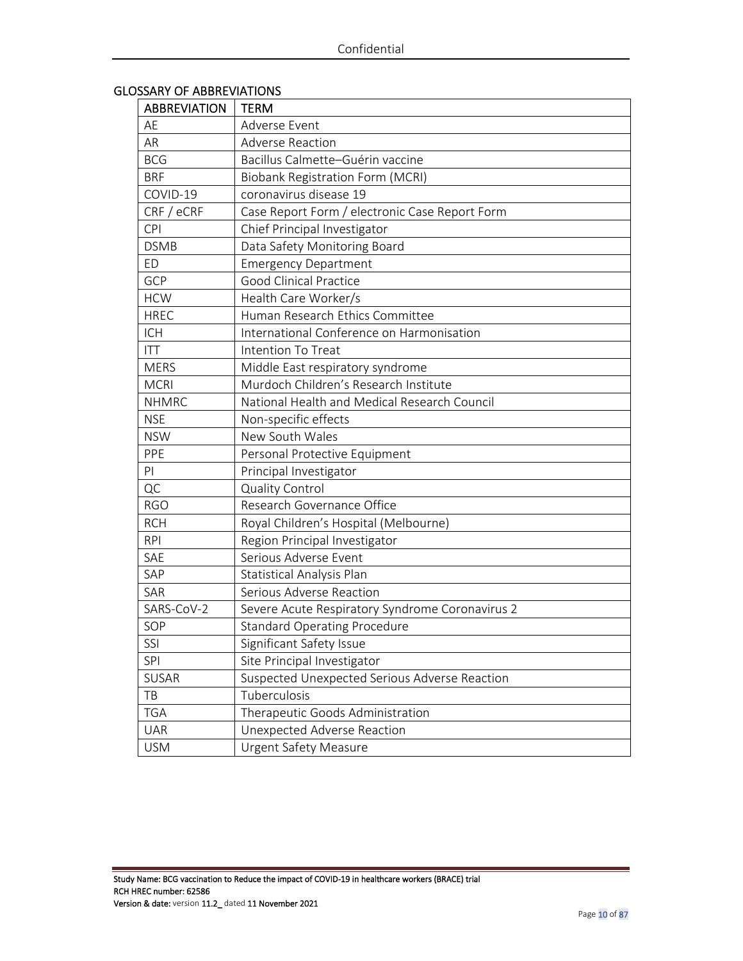## GLOSSARY OF ABBREVIATIONS

| <b>ABBREVIATION</b> | <b>TERM</b>                                     |
|---------------------|-------------------------------------------------|
| AE                  | Adverse Event                                   |
| AR                  | <b>Adverse Reaction</b>                         |
| <b>BCG</b>          | Bacillus Calmette-Guérin vaccine                |
| <b>BRF</b>          | <b>Biobank Registration Form (MCRI)</b>         |
| COVID-19            | coronavirus disease 19                          |
| CRF / eCRF          | Case Report Form / electronic Case Report Form  |
| <b>CPI</b>          | Chief Principal Investigator                    |
| <b>DSMB</b>         | Data Safety Monitoring Board                    |
| <b>ED</b>           | <b>Emergency Department</b>                     |
| GCP                 | <b>Good Clinical Practice</b>                   |
| <b>HCW</b>          | Health Care Worker/s                            |
| <b>HREC</b>         | Human Research Ethics Committee                 |
| <b>ICH</b>          | International Conference on Harmonisation       |
| <b>ITT</b>          | Intention To Treat                              |
| <b>MERS</b>         | Middle East respiratory syndrome                |
| <b>MCRI</b>         | Murdoch Children's Research Institute           |
| <b>NHMRC</b>        | National Health and Medical Research Council    |
| <b>NSE</b>          | Non-specific effects                            |
| <b>NSW</b>          | New South Wales                                 |
| PPE                 | Personal Protective Equipment                   |
| PI                  | Principal Investigator                          |
| QC                  | <b>Quality Control</b>                          |
| <b>RGO</b>          | Research Governance Office                      |
| <b>RCH</b>          | Royal Children's Hospital (Melbourne)           |
| <b>RPI</b>          | Region Principal Investigator                   |
| SAE                 | Serious Adverse Event                           |
| SAP                 | Statistical Analysis Plan                       |
| SAR                 | Serious Adverse Reaction                        |
| SARS-CoV-2          | Severe Acute Respiratory Syndrome Coronavirus 2 |
| SOP                 | <b>Standard Operating Procedure</b>             |
| SSI                 | Significant Safety Issue                        |
| <b>SPI</b>          | Site Principal Investigator                     |
| <b>SUSAR</b>        | Suspected Unexpected Serious Adverse Reaction   |
| TB                  | Tuberculosis                                    |
| <b>TGA</b>          | Therapeutic Goods Administration                |
| <b>UAR</b>          | Unexpected Adverse Reaction                     |
| <b>USM</b>          | <b>Urgent Safety Measure</b>                    |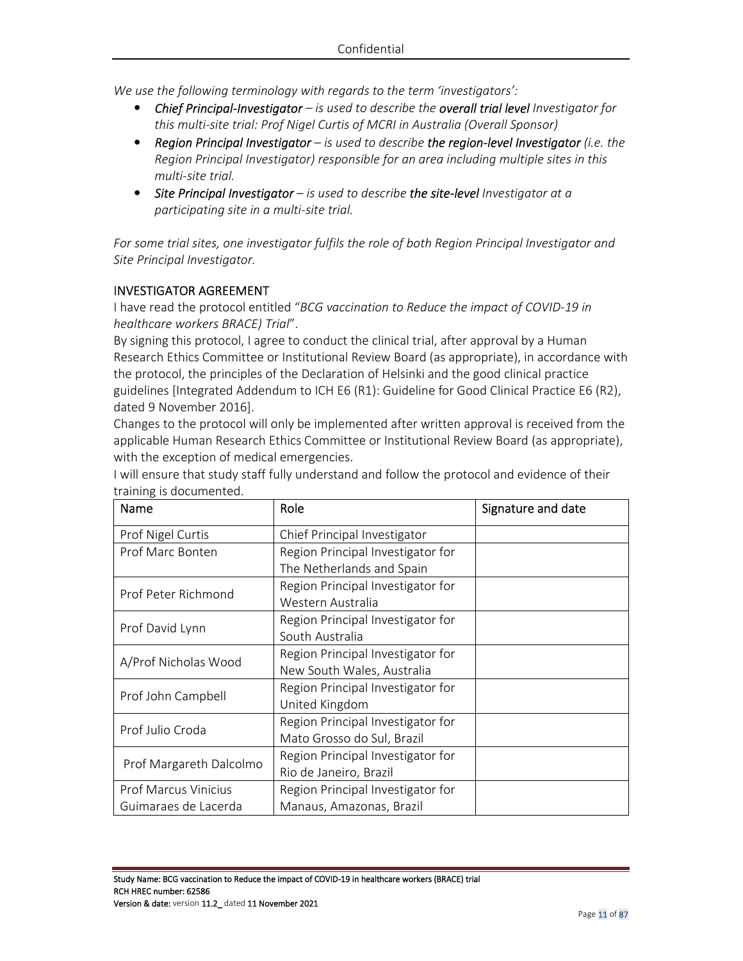*We use the following terminology with regards to the term 'investigators':* 

- *Chief Principal-Investigator is used to describe the overall trial level Investigator for this multi-site trial: Prof Nigel Curtis of MCRI in Australia (Overall Sponsor)*
- *Region Principal Investigator is used to describe the region-level Investigator (i.e. the Region Principal Investigator) responsible for an area including multiple sites in this multi-site trial.*
- *Site Principal Investigator is used to describe the site-level Investigator at a participating site in a multi-site trial.*

*For some trial sites, one investigator fulfils the role of both Region Principal Investigator and Site Principal Investigator.* 

### INVESTIGATOR AGREEMENT

I have read the protocol entitled "*BCG vaccination to Reduce the impact of COVID-19 in healthcare workers BRACE) Trial*".

By signing this protocol, I agree to conduct the clinical trial, after approval by a Human Research Ethics Committee or Institutional Review Board (as appropriate), in accordance with the protocol, the principles of the Declaration of Helsinki and the good clinical practice guidelines [Integrated Addendum to ICH E6 (R1): Guideline for Good Clinical Practice E6 (R2), dated 9 November 2016].

Changes to the protocol will only be implemented after written approval is received from the applicable Human Research Ethics Committee or Institutional Review Board (as appropriate), with the exception of medical emergencies.

| Name                        | Role                              | Signature and date |
|-----------------------------|-----------------------------------|--------------------|
| Prof Nigel Curtis           | Chief Principal Investigator      |                    |
| Prof Marc Bonten            | Region Principal Investigator for |                    |
|                             | The Netherlands and Spain         |                    |
| Prof Peter Richmond         | Region Principal Investigator for |                    |
|                             | Western Australia                 |                    |
| Prof David Lynn             | Region Principal Investigator for |                    |
|                             | South Australia                   |                    |
| A/Prof Nicholas Wood        | Region Principal Investigator for |                    |
|                             | New South Wales, Australia        |                    |
| Prof John Campbell          | Region Principal Investigator for |                    |
|                             | United Kingdom                    |                    |
| Prof Julio Croda            | Region Principal Investigator for |                    |
|                             | Mato Grosso do Sul, Brazil        |                    |
| Prof Margareth Dalcolmo     | Region Principal Investigator for |                    |
|                             | Rio de Janeiro, Brazil            |                    |
| <b>Prof Marcus Vinicius</b> | Region Principal Investigator for |                    |
| Guimaraes de Lacerda        | Manaus, Amazonas, Brazil          |                    |

I will ensure that study staff fully understand and follow the protocol and evidence of their training is documented.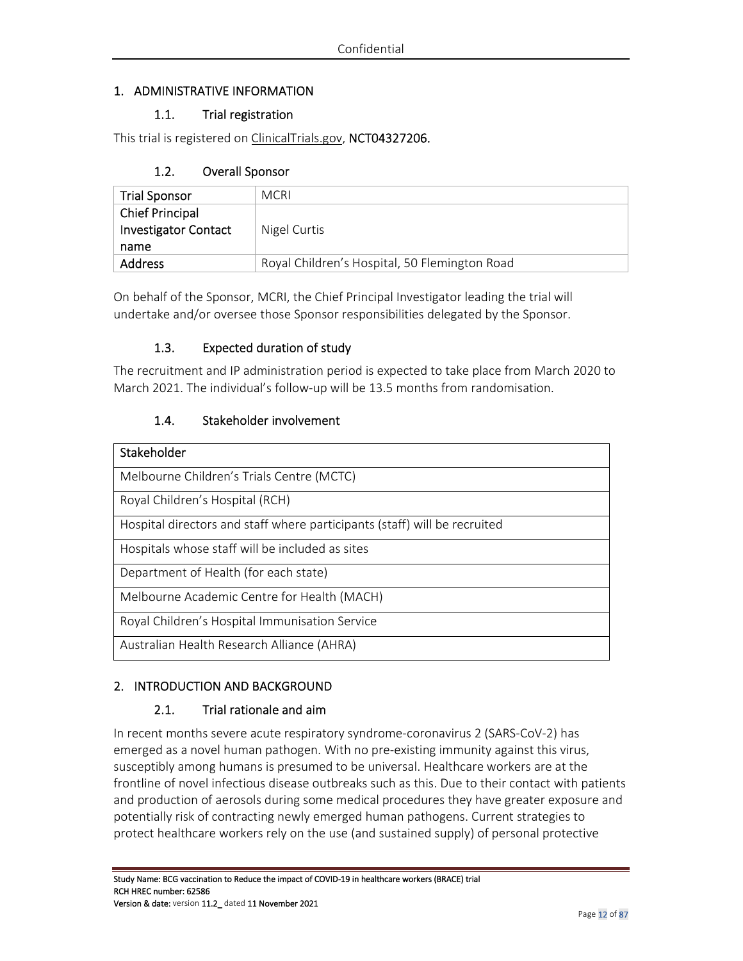## 1. ADMINISTRATIVE INFORMATION

## 1.1. Trial registration

This trial is registered on ClinicalTrials.gov, NCT04327206.

## 1.2. Overall Sponsor

| <b>Trial Sponsor</b>        | <b>MCRI</b>                                   |
|-----------------------------|-----------------------------------------------|
| <b>Chief Principal</b>      |                                               |
| <b>Investigator Contact</b> | Nigel Curtis                                  |
| name                        |                                               |
| <b>Address</b>              | Royal Children's Hospital, 50 Flemington Road |

On behalf of the Sponsor, MCRI, the Chief Principal Investigator leading the trial will undertake and/or oversee those Sponsor responsibilities delegated by the Sponsor.

## 1.3. Expected duration of study

The recruitment and IP administration period is expected to take place from March 2020 to March 2021. The individual's follow-up will be 13.5 months from randomisation.

## 1.4. Stakeholder involvement

| Stakeholder                                                               |
|---------------------------------------------------------------------------|
| Melbourne Children's Trials Centre (MCTC)                                 |
| Royal Children's Hospital (RCH)                                           |
| Hospital directors and staff where participants (staff) will be recruited |
| Hospitals whose staff will be included as sites                           |
| Department of Health (for each state)                                     |
| Melbourne Academic Centre for Health (MACH)                               |
| Royal Children's Hospital Immunisation Service                            |
| Australian Health Research Alliance (AHRA)                                |

## 2. INTRODUCTION AND BACKGROUND

### 2.1. Trial rationale and aim

In recent months severe acute respiratory syndrome-coronavirus 2 (SARS-CoV-2) has emerged as a novel human pathogen. With no pre-existing immunity against this virus, susceptibly among humans is presumed to be universal. Healthcare workers are at the frontline of novel infectious disease outbreaks such as this. Due to their contact with patients and production of aerosols during some medical procedures they have greater exposure and potentially risk of contracting newly emerged human pathogens. Current strategies to protect healthcare workers rely on the use (and sustained supply) of personal protective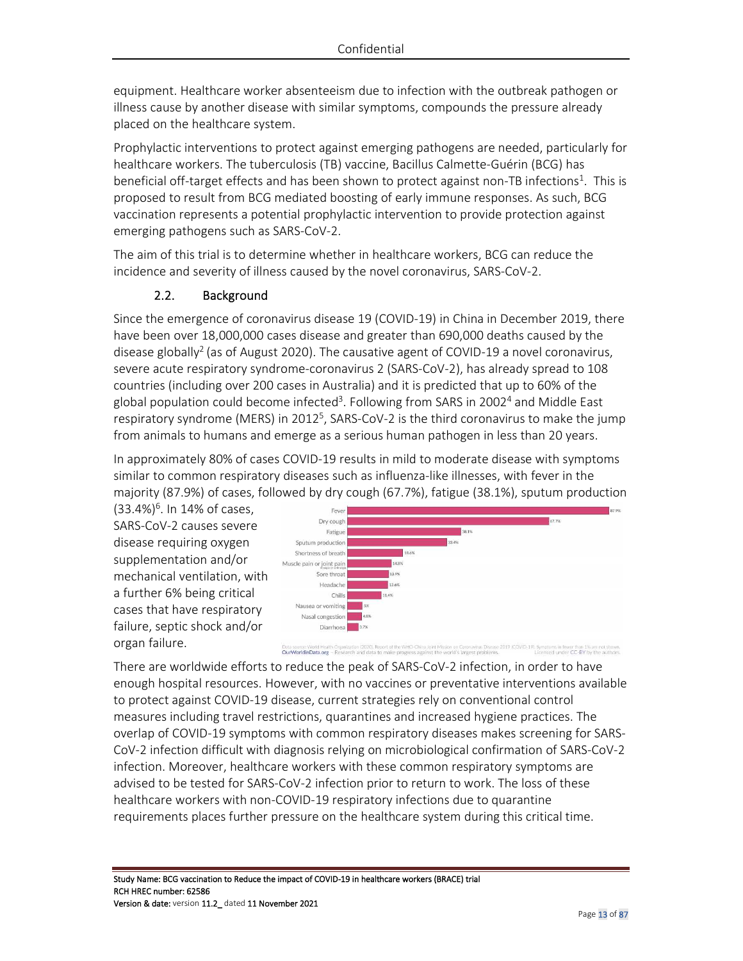equipment. Healthcare worker absenteeism due to infection with the outbreak pathogen or illness cause by another disease with similar symptoms, compounds the pressure already placed on the healthcare system.

Prophylactic interventions to protect against emerging pathogens are needed, particularly for healthcare workers. The tuberculosis (TB) vaccine, Bacillus Calmette-Guérin (BCG) has beneficial off-target effects and has been shown to protect against non-TB infections<sup>1</sup>. This is proposed to result from BCG mediated boosting of early immune responses. As such, BCG vaccination represents a potential prophylactic intervention to provide protection against emerging pathogens such as SARS-CoV-2.

The aim of this trial is to determine whether in healthcare workers, BCG can reduce the incidence and severity of illness caused by the novel coronavirus, SARS-CoV-2.

## 2.2. Background

Since the emergence of coronavirus disease 19 (COVID-19) in China in December 2019, there have been over 18,000,000 cases disease and greater than 690,000 deaths caused by the disease globally<sup>2</sup> (as of August 2020). The causative agent of COVID-19 a novel coronavirus, severe acute respiratory syndrome-coronavirus 2 (SARS-CoV-2), has already spread to 108 countries (including over 200 cases in Australia) and it is predicted that up to 60% of the global population could become infected<sup>3</sup>. Following from SARS in 2002<sup>4</sup> and Middle East respiratory syndrome (MERS) in 2012<sup>5</sup>, SARS-CoV-2 is the third coronavirus to make the jump from animals to humans and emerge as a serious human pathogen in less than 20 years.

In approximately 80% of cases COVID-19 results in mild to moderate disease with symptoms similar to common respiratory diseases such as influenza-like illnesses, with fever in the majority (87.9%) of cases, followed by dry cough (67.7%), fatigue (38.1%), sputum production

(33.4%)<sup>6</sup>. In 14% of cases, SARS-CoV-2 causes severe disease requiring oxygen supplementation and/or mechanical ventilation, with a further 6% being critical cases that have respiratory failure, septic shock and/or organ failure.



COVID-19). Symptoms in fewer than 1% are not shown.<br>Licensed under CC-BY by the authors. Data source: World Health Organization (2020). Report -<br>**OurWorldinData.org** – Research and data to ma

There are worldwide efforts to reduce the peak of SARS-CoV-2 infection, in order to have enough hospital resources. However, with no vaccines or preventative interventions available to protect against COVID-19 disease, current strategies rely on conventional control measures including travel restrictions, quarantines and increased hygiene practices. The overlap of COVID-19 symptoms with common respiratory diseases makes screening for SARS-CoV-2 infection difficult with diagnosis relying on microbiological confirmation of SARS-CoV-2 infection. Moreover, healthcare workers with these common respiratory symptoms are advised to be tested for SARS-CoV-2 infection prior to return to work. The loss of these healthcare workers with non-COVID-19 respiratory infections due to quarantine requirements places further pressure on the healthcare system during this critical time.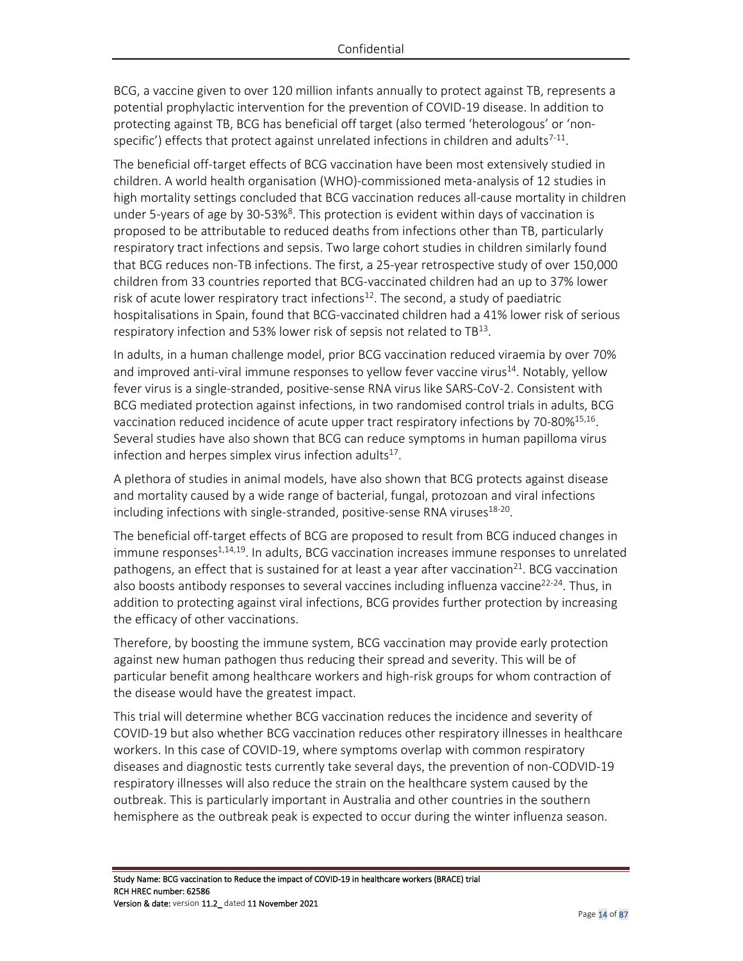BCG, a vaccine given to over 120 million infants annually to protect against TB, represents a potential prophylactic intervention for the prevention of COVID-19 disease. In addition to protecting against TB, BCG has beneficial off target (also termed 'heterologous' or 'nonspecific') effects that protect against unrelated infections in children and adults<sup>7-11</sup>.

The beneficial off-target effects of BCG vaccination have been most extensively studied in children. A world health organisation (WHO)-commissioned meta-analysis of 12 studies in high mortality settings concluded that BCG vaccination reduces all-cause mortality in children under 5-years of age by 30-53%<sup>8</sup>. This protection is evident within days of vaccination is proposed to be attributable to reduced deaths from infections other than TB, particularly respiratory tract infections and sepsis. Two large cohort studies in children similarly found that BCG reduces non-TB infections. The first, a 25-year retrospective study of over 150,000 children from 33 countries reported that BCG-vaccinated children had an up to 37% lower risk of acute lower respiratory tract infections<sup>12</sup>. The second, a study of paediatric hospitalisations in Spain, found that BCG-vaccinated children had a 41% lower risk of serious respiratory infection and 53% lower risk of sepsis not related to  $TB^{13}$ .

In adults, in a human challenge model, prior BCG vaccination reduced viraemia by over 70% and improved anti-viral immune responses to yellow fever vaccine virus<sup>14</sup>. Notably, yellow fever virus is a single-stranded, positive-sense RNA virus like SARS-CoV-2. Consistent with BCG mediated protection against infections, in two randomised control trials in adults, BCG vaccination reduced incidence of acute upper tract respiratory infections by 70-80%<sup>15,16</sup>. Several studies have also shown that BCG can reduce symptoms in human papilloma virus infection and herpes simplex virus infection adults $^{17}$ .

A plethora of studies in animal models, have also shown that BCG protects against disease and mortality caused by a wide range of bacterial, fungal, protozoan and viral infections including infections with single-stranded, positive-sense RNA viruses<sup>18-20</sup>.

The beneficial off-target effects of BCG are proposed to result from BCG induced changes in immune responses<sup>1,14,19</sup>. In adults, BCG vaccination increases immune responses to unrelated pathogens, an effect that is sustained for at least a year after vaccination<sup>21</sup>. BCG vaccination also boosts antibody responses to several vaccines including influenza vaccine<sup>22-24</sup>. Thus, in addition to protecting against viral infections, BCG provides further protection by increasing the efficacy of other vaccinations.

Therefore, by boosting the immune system, BCG vaccination may provide early protection against new human pathogen thus reducing their spread and severity. This will be of particular benefit among healthcare workers and high-risk groups for whom contraction of the disease would have the greatest impact.

This trial will determine whether BCG vaccination reduces the incidence and severity of COVID-19 but also whether BCG vaccination reduces other respiratory illnesses in healthcare workers. In this case of COVID-19, where symptoms overlap with common respiratory diseases and diagnostic tests currently take several days, the prevention of non-CODVID-19 respiratory illnesses will also reduce the strain on the healthcare system caused by the outbreak. This is particularly important in Australia and other countries in the southern hemisphere as the outbreak peak is expected to occur during the winter influenza season.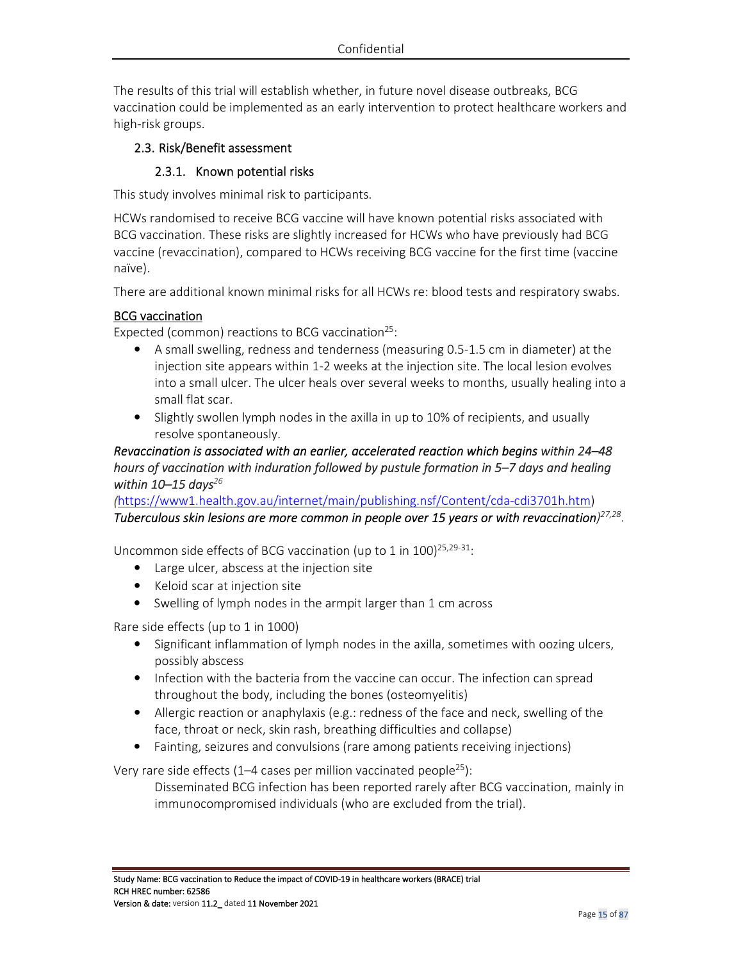The results of this trial will establish whether, in future novel disease outbreaks, BCG vaccination could be implemented as an early intervention to protect healthcare workers and high-risk groups.

## 2.3. Risk/Benefit assessment

#### 2.3.1. Known potential risks

This study involves minimal risk to participants.

HCWs randomised to receive BCG vaccine will have known potential risks associated with BCG vaccination. These risks are slightly increased for HCWs who have previously had BCG vaccine (revaccination), compared to HCWs receiving BCG vaccine for the first time (vaccine naïve).

There are additional known minimal risks for all HCWs re: blood tests and respiratory swabs.

#### **BCG** vaccination

Expected (common) reactions to BCG vaccination<sup>25</sup>:

- A small swelling, redness and tenderness (measuring 0.5-1.5 cm in diameter) at the injection site appears within 1-2 weeks at the injection site. The local lesion evolves into a small ulcer. The ulcer heals over several weeks to months, usually healing into a small flat scar.
- Slightly swollen lymph nodes in the axilla in up to 10% of recipients, and usually resolve spontaneously.

## *Revaccination is associated with an earlier, accelerated reaction which begins within 24–48 hours of vaccination with induration followed by pustule formation in 5–7 days and healing within 10–15 days<sup>26</sup>*

*(*https://www1.health.gov.au/internet/main/publishing.nsf/Content/cda-cdi3701h.htm) *Tuberculous skin lesions are more common in people over 15 years or with revaccination) 27,28* .

Uncommon side effects of BCG vaccination (up to 1 in  $100$ )<sup>25,29-31</sup>:

- Large ulcer, abscess at the injection site
- Keloid scar at injection site
- Swelling of lymph nodes in the armpit larger than 1 cm across

Rare side effects (up to 1 in 1000)

- Significant inflammation of lymph nodes in the axilla, sometimes with oozing ulcers, possibly abscess
- Infection with the bacteria from the vaccine can occur. The infection can spread throughout the body, including the bones (osteomyelitis)
- Allergic reaction or anaphylaxis (e.g.: redness of the face and neck, swelling of the face, throat or neck, skin rash, breathing difficulties and collapse)
- Fainting, seizures and convulsions (rare among patients receiving injections)

Very rare side effects (1–4 cases per million vaccinated people<sup>25</sup>):

Disseminated BCG infection has been reported rarely after BCG vaccination, mainly in immunocompromised individuals (who are excluded from the trial).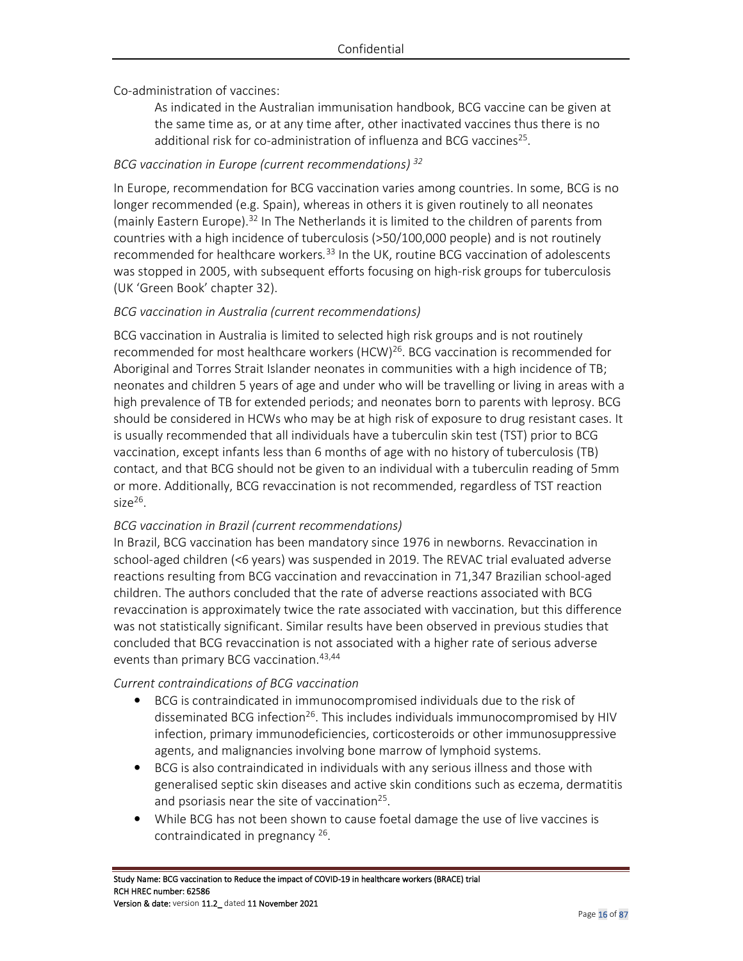Co-administration of vaccines:

As indicated in the Australian immunisation handbook, BCG vaccine can be given at the same time as, or at any time after, other inactivated vaccines thus there is no additional risk for co-administration of influenza and BCG vaccines<sup>25</sup>.

## *BCG vaccination in Europe (current recommendations) <sup>32</sup>*

In Europe, recommendation for BCG vaccination varies among countries. In some, BCG is no longer recommended (e.g. Spain), whereas in others it is given routinely to all neonates (mainly Eastern Europe).<sup>32</sup> In The Netherlands it is limited to the children of parents from countries with a high incidence of tuberculosis (>50/100,000 people) and is not routinely recommended for healthcare workers*.* <sup>33</sup> In the UK, routine BCG vaccination of adolescents was stopped in 2005, with subsequent efforts focusing on high-risk groups for tuberculosis (UK 'Green Book' chapter 32).

## *BCG vaccination in Australia (current recommendations)*

BCG vaccination in Australia is limited to selected high risk groups and is not routinely recommended for most healthcare workers (HCW)<sup>26</sup>. BCG vaccination is recommended for Aboriginal and Torres Strait Islander neonates in communities with a high incidence of TB; neonates and children 5 years of age and under who will be travelling or living in areas with a high prevalence of TB for extended periods; and neonates born to parents with leprosy. BCG should be considered in HCWs who may be at high risk of exposure to drug resistant cases. It is usually recommended that all individuals have a tuberculin skin test (TST) prior to BCG vaccination, except infants less than 6 months of age with no history of tuberculosis (TB) contact, and that BCG should not be given to an individual with a tuberculin reading of 5mm or more. Additionally, BCG revaccination is not recommended, regardless of TST reaction size $^{26}$ .

### *BCG vaccination in Brazil (current recommendations)*

In Brazil, BCG vaccination has been mandatory since 1976 in newborns. Revaccination in school-aged children (<6 years) was suspended in 2019. The REVAC trial evaluated adverse reactions resulting from BCG vaccination and revaccination in 71,347 Brazilian school-aged children. The authors concluded that the rate of adverse reactions associated with BCG revaccination is approximately twice the rate associated with vaccination, but this difference was not statistically significant. Similar results have been observed in previous studies that concluded that BCG revaccination is not associated with a higher rate of serious adverse events than primary BCG vaccination.<sup>43,44</sup>

*Current contraindications of BCG vaccination* 

- BCG is contraindicated in immunocompromised individuals due to the risk of disseminated BCG infection<sup>26</sup>. This includes individuals immunocompromised by HIV infection, primary immunodeficiencies, corticosteroids or other immunosuppressive agents, and malignancies involving bone marrow of lymphoid systems.
- BCG is also contraindicated in individuals with any serious illness and those with generalised septic skin diseases and active skin conditions such as eczema, dermatitis and psoriasis near the site of vaccination<sup>25</sup>.
- While BCG has not been shown to cause foetal damage the use of live vaccines is contraindicated in pregnancy<sup>26</sup>.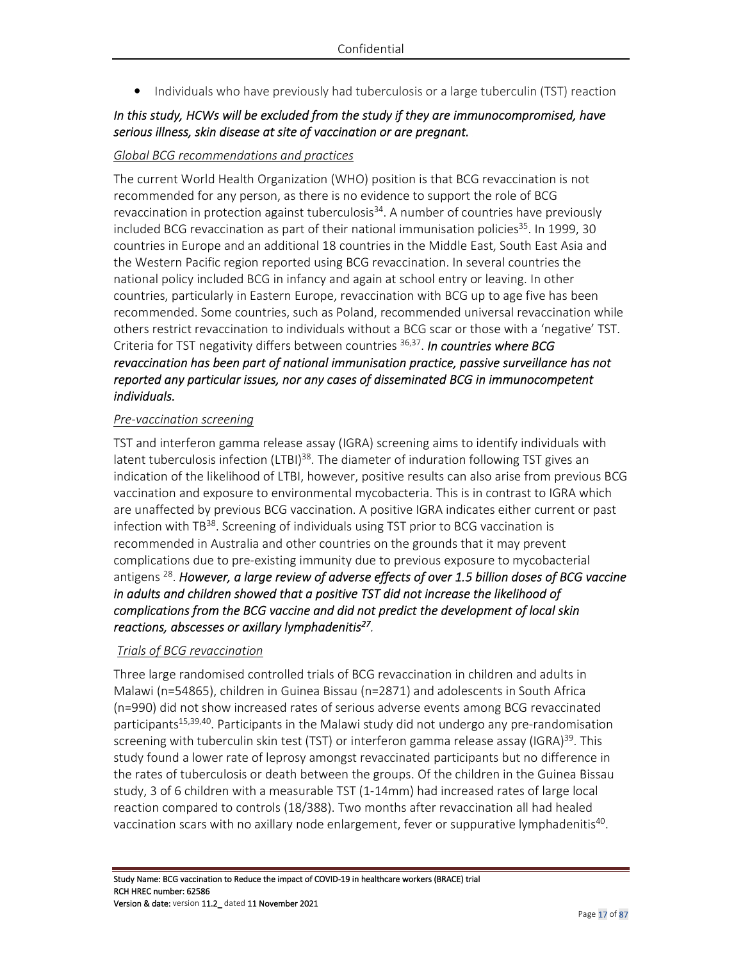• Individuals who have previously had tuberculosis or a large tuberculin (TST) reaction

## *In this study, HCWs will be excluded from the study if they are immunocompromised, have serious illness, skin disease at site of vaccination or are pregnant.*

#### *Global BCG recommendations and practices*

The current World Health Organization (WHO) position is that BCG revaccination is not recommended for any person, as there is no evidence to support the role of BCG revaccination in protection against tuberculosis<sup>34</sup>. A number of countries have previously included BCG revaccination as part of their national immunisation policies<sup>35</sup>. In 1999, 30 countries in Europe and an additional 18 countries in the Middle East, South East Asia and the Western Pacific region reported using BCG revaccination. In several countries the national policy included BCG in infancy and again at school entry or leaving. In other countries, particularly in Eastern Europe, revaccination with BCG up to age five has been recommended. Some countries, such as Poland, recommended universal revaccination while others restrict revaccination to individuals without a BCG scar or those with a 'negative' TST. Criteria for TST negativity differs between countries 36,37 . *In countries where BCG revaccination has been part of national immunisation practice, passive surveillance has not reported any particular issues, nor any cases of disseminated BCG in immunocompetent individuals.*

#### *Pre-vaccination screening*

TST and interferon gamma release assay (IGRA) screening aims to identify individuals with latent tuberculosis infection (LTBI)<sup>38</sup>. The diameter of induration following TST gives an indication of the likelihood of LTBI, however, positive results can also arise from previous BCG vaccination and exposure to environmental mycobacteria. This is in contrast to IGRA which are unaffected by previous BCG vaccination. A positive IGRA indicates either current or past infection with TB<sup>38</sup>. Screening of individuals using TST prior to BCG vaccination is recommended in Australia and other countries on the grounds that it may prevent complications due to pre-existing immunity due to previous exposure to mycobacterial antigens <sup>28</sup>. However, a large review of adverse effects of over 1.5 billion doses of BCG vaccine *in adults and children showed that a positive TST did not increase the likelihood of complications from the BCG vaccine and did not predict the development of local skin reactions, abscesses or axillary lymphadenitis<sup>27</sup> .* 

### *Trials of BCG revaccination*

Three large randomised controlled trials of BCG revaccination in children and adults in Malawi (n=54865), children in Guinea Bissau (n=2871) and adolescents in South Africa (n=990) did not show increased rates of serious adverse events among BCG revaccinated participants<sup>15,39,40</sup>. Participants in the Malawi study did not undergo any pre-randomisation screening with tuberculin skin test (TST) or interferon gamma release assay (IGRA) $^{39}$ . This study found a lower rate of leprosy amongst revaccinated participants but no difference in the rates of tuberculosis or death between the groups. Of the children in the Guinea Bissau study, 3 of 6 children with a measurable TST (1-14mm) had increased rates of large local reaction compared to controls (18/388). Two months after revaccination all had healed vaccination scars with no axillary node enlargement, fever or suppurative lymphadenitis<sup>40</sup>.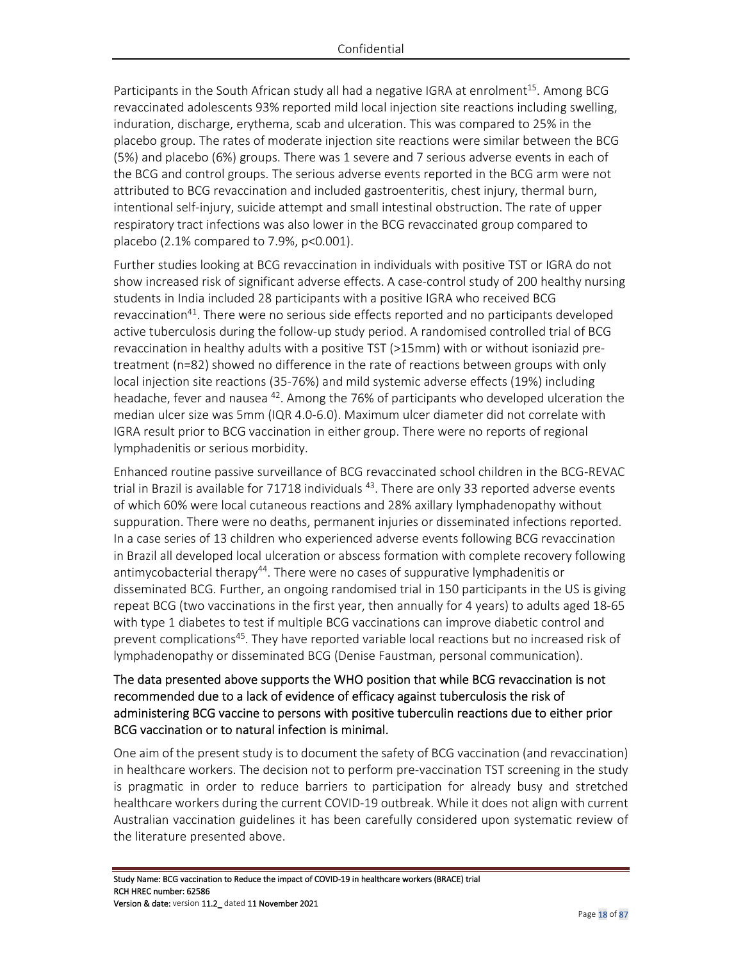Participants in the South African study all had a negative IGRA at enrolment<sup>15</sup>. Among BCG revaccinated adolescents 93% reported mild local injection site reactions including swelling, induration, discharge, erythema, scab and ulceration. This was compared to 25% in the placebo group. The rates of moderate injection site reactions were similar between the BCG (5%) and placebo (6%) groups. There was 1 severe and 7 serious adverse events in each of the BCG and control groups. The serious adverse events reported in the BCG arm were not attributed to BCG revaccination and included gastroenteritis, chest injury, thermal burn, intentional self-injury, suicide attempt and small intestinal obstruction. The rate of upper respiratory tract infections was also lower in the BCG revaccinated group compared to placebo (2.1% compared to 7.9%, p<0.001).

Further studies looking at BCG revaccination in individuals with positive TST or IGRA do not show increased risk of significant adverse effects. A case-control study of 200 healthy nursing students in India included 28 participants with a positive IGRA who received BCG revaccination<sup>41</sup>. There were no serious side effects reported and no participants developed active tuberculosis during the follow-up study period. A randomised controlled trial of BCG revaccination in healthy adults with a positive TST (>15mm) with or without isoniazid pretreatment (n=82) showed no difference in the rate of reactions between groups with only local injection site reactions (35-76%) and mild systemic adverse effects (19%) including headache, fever and nausea <sup>42</sup>. Among the 76% of participants who developed ulceration the median ulcer size was 5mm (IQR 4.0-6.0). Maximum ulcer diameter did not correlate with IGRA result prior to BCG vaccination in either group. There were no reports of regional lymphadenitis or serious morbidity.

Enhanced routine passive surveillance of BCG revaccinated school children in the BCG-REVAC trial in Brazil is available for 71718 individuals  $43$ . There are only 33 reported adverse events of which 60% were local cutaneous reactions and 28% axillary lymphadenopathy without suppuration. There were no deaths, permanent injuries or disseminated infections reported. In a case series of 13 children who experienced adverse events following BCG revaccination in Brazil all developed local ulceration or abscess formation with complete recovery following antimycobacterial therapy<sup>44</sup>. There were no cases of suppurative lymphadenitis or disseminated BCG. Further, an ongoing randomised trial in 150 participants in the US is giving repeat BCG (two vaccinations in the first year, then annually for 4 years) to adults aged 18-65 with type 1 diabetes to test if multiple BCG vaccinations can improve diabetic control and prevent complications<sup>45</sup>. They have reported variable local reactions but no increased risk of lymphadenopathy or disseminated BCG (Denise Faustman, personal communication).

## The data presented above supports the WHO position that while BCG revaccination is not recommended due to a lack of evidence of efficacy against tuberculosis the risk of administering BCG vaccine to persons with positive tuberculin reactions due to either prior BCG vaccination or to natural infection is minimal.

One aim of the present study is to document the safety of BCG vaccination (and revaccination) in healthcare workers. The decision not to perform pre-vaccination TST screening in the study is pragmatic in order to reduce barriers to participation for already busy and stretched healthcare workers during the current COVID-19 outbreak. While it does not align with current Australian vaccination guidelines it has been carefully considered upon systematic review of the literature presented above.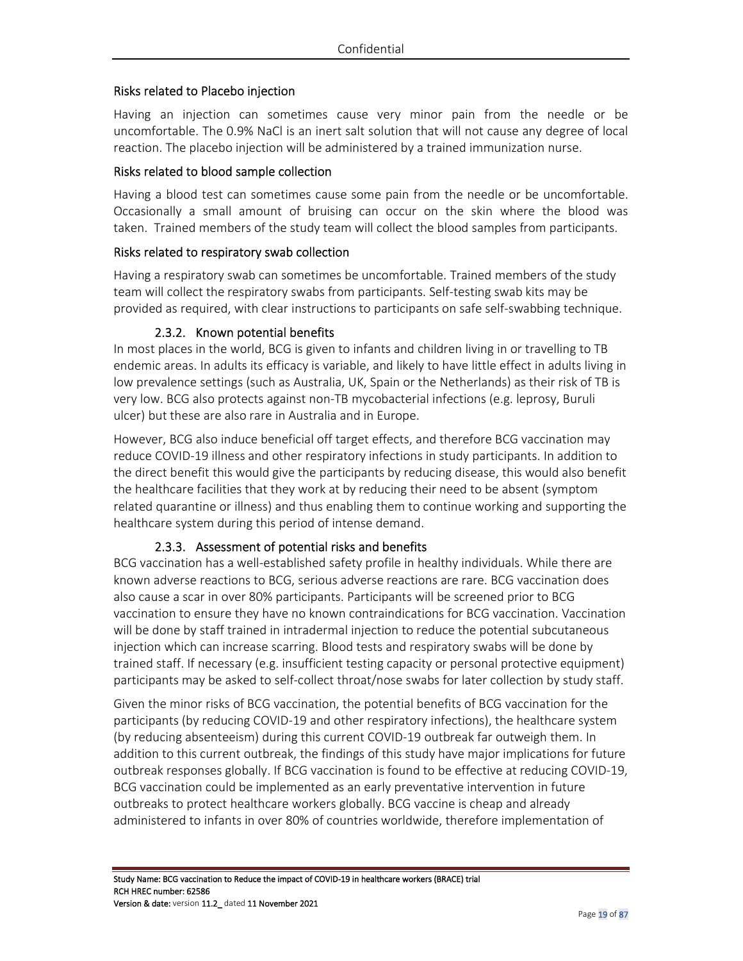### Risks related to Placebo injection

Having an injection can sometimes cause very minor pain from the needle or be uncomfortable. The 0.9% NaCl is an inert salt solution that will not cause any degree of local reaction. The placebo injection will be administered by a trained immunization nurse.

#### Risks related to blood sample collection

Having a blood test can sometimes cause some pain from the needle or be uncomfortable. Occasionally a small amount of bruising can occur on the skin where the blood was taken. Trained members of the study team will collect the blood samples from participants.

#### Risks related to respiratory swab collection

Having a respiratory swab can sometimes be uncomfortable. Trained members of the study team will collect the respiratory swabs from participants. Self-testing swab kits may be provided as required, with clear instructions to participants on safe self-swabbing technique.

#### 2.3.2. Known potential benefits

In most places in the world, BCG is given to infants and children living in or travelling to TB endemic areas. In adults its efficacy is variable, and likely to have little effect in adults living in low prevalence settings (such as Australia, UK, Spain or the Netherlands) as their risk of TB is very low. BCG also protects against non-TB mycobacterial infections (e.g. leprosy, Buruli ulcer) but these are also rare in Australia and in Europe.

However, BCG also induce beneficial off target effects, and therefore BCG vaccination may reduce COVID-19 illness and other respiratory infections in study participants. In addition to the direct benefit this would give the participants by reducing disease, this would also benefit the healthcare facilities that they work at by reducing their need to be absent (symptom related quarantine or illness) and thus enabling them to continue working and supporting the healthcare system during this period of intense demand.

### 2.3.3. Assessment of potential risks and benefits

BCG vaccination has a well-established safety profile in healthy individuals. While there are known adverse reactions to BCG, serious adverse reactions are rare. BCG vaccination does also cause a scar in over 80% participants. Participants will be screened prior to BCG vaccination to ensure they have no known contraindications for BCG vaccination. Vaccination will be done by staff trained in intradermal injection to reduce the potential subcutaneous injection which can increase scarring. Blood tests and respiratory swabs will be done by trained staff. If necessary (e.g. insufficient testing capacity or personal protective equipment) participants may be asked to self-collect throat/nose swabs for later collection by study staff.

Given the minor risks of BCG vaccination, the potential benefits of BCG vaccination for the participants (by reducing COVID-19 and other respiratory infections), the healthcare system (by reducing absenteeism) during this current COVID-19 outbreak far outweigh them. In addition to this current outbreak, the findings of this study have major implications for future outbreak responses globally. If BCG vaccination is found to be effective at reducing COVID-19, BCG vaccination could be implemented as an early preventative intervention in future outbreaks to protect healthcare workers globally. BCG vaccine is cheap and already administered to infants in over 80% of countries worldwide, therefore implementation of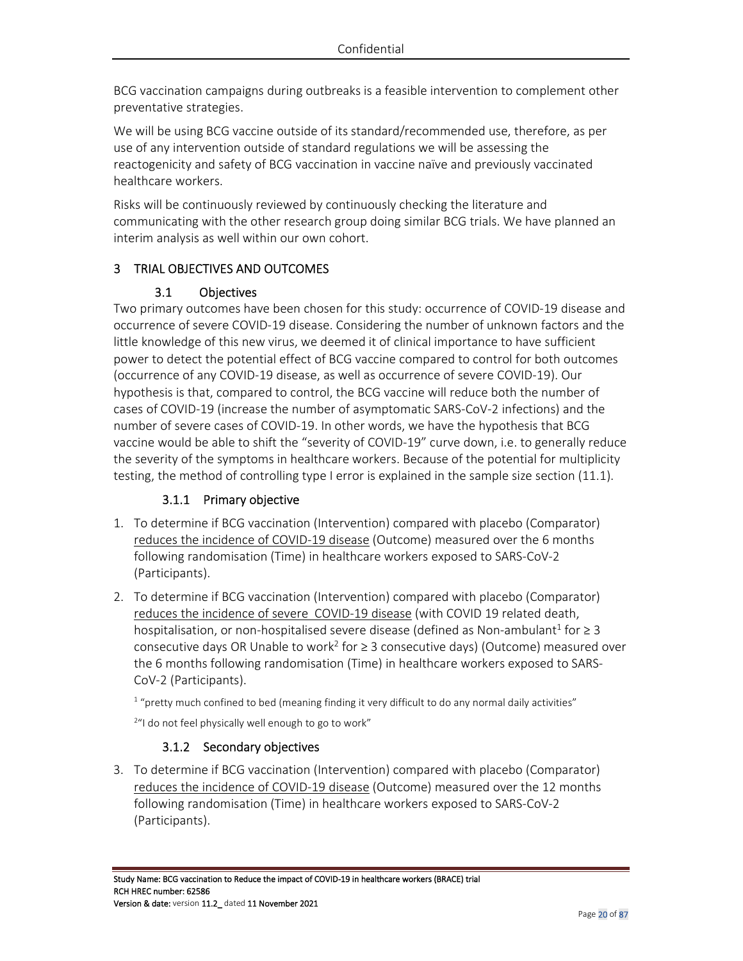BCG vaccination campaigns during outbreaks is a feasible intervention to complement other preventative strategies.

We will be using BCG vaccine outside of its standard/recommended use, therefore, as per use of any intervention outside of standard regulations we will be assessing the reactogenicity and safety of BCG vaccination in vaccine naïve and previously vaccinated healthcare workers.

Risks will be continuously reviewed by continuously checking the literature and communicating with the other research group doing similar BCG trials. We have planned an interim analysis as well within our own cohort.

## 3 TRIAL OBJECTIVES AND OUTCOMES

## 3.1 Objectives

Two primary outcomes have been chosen for this study: occurrence of COVID-19 disease and occurrence of severe COVID-19 disease. Considering the number of unknown factors and the little knowledge of this new virus, we deemed it of clinical importance to have sufficient power to detect the potential effect of BCG vaccine compared to control for both outcomes (occurrence of any COVID-19 disease, as well as occurrence of severe COVID-19). Our hypothesis is that, compared to control, the BCG vaccine will reduce both the number of cases of COVID-19 (increase the number of asymptomatic SARS-CoV-2 infections) and the number of severe cases of COVID-19. In other words, we have the hypothesis that BCG vaccine would be able to shift the "severity of COVID-19" curve down, i.e. to generally reduce the severity of the symptoms in healthcare workers. Because of the potential for multiplicity testing, the method of controlling type I error is explained in the sample size section (11.1).

## 3.1.1 Primary objective

- 1. To determine if BCG vaccination (Intervention) compared with placebo (Comparator) reduces the incidence of COVID-19 disease (Outcome) measured over the 6 months following randomisation (Time) in healthcare workers exposed to SARS-CoV-2 (Participants).
- 2. To determine if BCG vaccination (Intervention) compared with placebo (Comparator) reduces the incidence of severe COVID-19 disease (with COVID 19 related death, hospitalisation, or non-hospitalised severe disease (defined as Non-ambulant<sup>1</sup> for  $\geq 3$ consecutive days OR Unable to work<sup>2</sup> for  $\geq$  3 consecutive days) (Outcome) measured over the 6 months following randomisation (Time) in healthcare workers exposed to SARS-CoV-2 (Participants).

<sup>1</sup> "pretty much confined to bed (meaning finding it very difficult to do any normal daily activities"

<sup>2</sup>"I do not feel physically well enough to go to work"

## 3.1.2 Secondary objectives

3. To determine if BCG vaccination (Intervention) compared with placebo (Comparator) reduces the incidence of COVID-19 disease (Outcome) measured over the 12 months following randomisation (Time) in healthcare workers exposed to SARS-CoV-2 (Participants).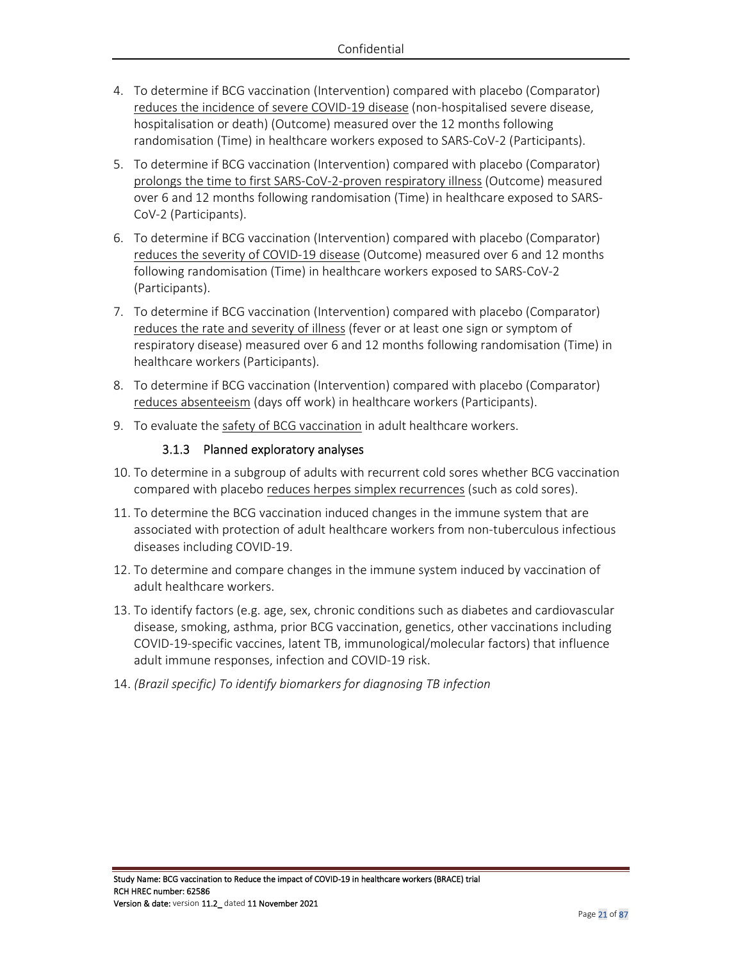- 4. To determine if BCG vaccination (Intervention) compared with placebo (Comparator) reduces the incidence of severe COVID-19 disease (non-hospitalised severe disease, hospitalisation or death) (Outcome) measured over the 12 months following randomisation (Time) in healthcare workers exposed to SARS-CoV-2 (Participants).
- 5. To determine if BCG vaccination (Intervention) compared with placebo (Comparator) prolongs the time to first SARS-CoV-2-proven respiratory illness (Outcome) measured over 6 and 12 months following randomisation (Time) in healthcare exposed to SARS-CoV-2 (Participants).
- 6. To determine if BCG vaccination (Intervention) compared with placebo (Comparator) reduces the severity of COVID-19 disease (Outcome) measured over 6 and 12 months following randomisation (Time) in healthcare workers exposed to SARS-CoV-2 (Participants).
- 7. To determine if BCG vaccination (Intervention) compared with placebo (Comparator) reduces the rate and severity of illness (fever or at least one sign or symptom of respiratory disease) measured over 6 and 12 months following randomisation (Time) in healthcare workers (Participants).
- 8. To determine if BCG vaccination (Intervention) compared with placebo (Comparator) reduces absenteeism (days off work) in healthcare workers (Participants).
- 9. To evaluate the safety of BCG vaccination in adult healthcare workers.

### 3.1.3 Planned exploratory analyses

- 10. To determine in a subgroup of adults with recurrent cold sores whether BCG vaccination compared with placebo reduces herpes simplex recurrences (such as cold sores).
- 11. To determine the BCG vaccination induced changes in the immune system that are associated with protection of adult healthcare workers from non-tuberculous infectious diseases including COVID-19.
- 12. To determine and compare changes in the immune system induced by vaccination of adult healthcare workers.
- 13. To identify factors (e.g. age, sex, chronic conditions such as diabetes and cardiovascular disease, smoking, asthma, prior BCG vaccination, genetics, other vaccinations including COVID-19-specific vaccines, latent TB, immunological/molecular factors) that influence adult immune responses, infection and COVID-19 risk.
- 14. *(Brazil specific) To identify biomarkers for diagnosing TB infection*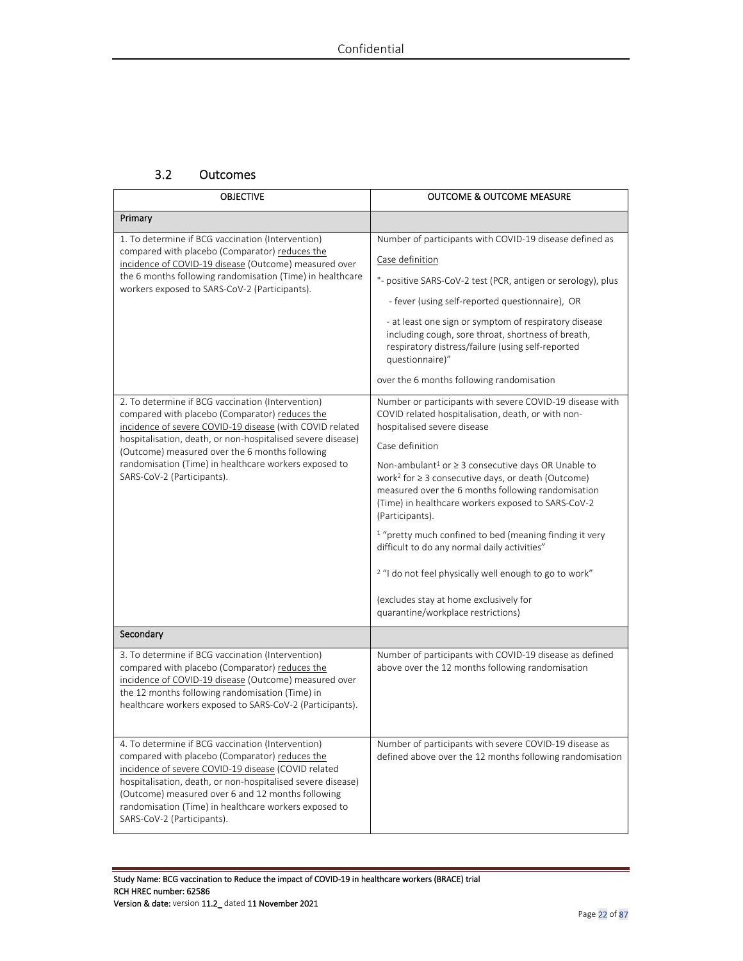## 3.2 Outcomes

| <b>OBJECTIVE</b>                                                                                                                                                                                                                                                                                                                                                        | <b>OUTCOME &amp; OUTCOME MEASURE</b>                                                                                                                                                                                                                                                                                                                                                                                                                                                                                                                                                                                                                                                                                     |
|-------------------------------------------------------------------------------------------------------------------------------------------------------------------------------------------------------------------------------------------------------------------------------------------------------------------------------------------------------------------------|--------------------------------------------------------------------------------------------------------------------------------------------------------------------------------------------------------------------------------------------------------------------------------------------------------------------------------------------------------------------------------------------------------------------------------------------------------------------------------------------------------------------------------------------------------------------------------------------------------------------------------------------------------------------------------------------------------------------------|
| Primary                                                                                                                                                                                                                                                                                                                                                                 |                                                                                                                                                                                                                                                                                                                                                                                                                                                                                                                                                                                                                                                                                                                          |
| 1. To determine if BCG vaccination (Intervention)<br>compared with placebo (Comparator) reduces the<br>incidence of COVID-19 disease (Outcome) measured over<br>the 6 months following randomisation (Time) in healthcare<br>workers exposed to SARS-CoV-2 (Participants).                                                                                              | Number of participants with COVID-19 disease defined as<br>Case definition<br>"- positive SARS-CoV-2 test (PCR, antigen or serology), plus<br>- fever (using self-reported questionnaire), OR<br>- at least one sign or symptom of respiratory disease<br>including cough, sore throat, shortness of breath,<br>respiratory distress/failure (using self-reported<br>questionnaire)"<br>over the 6 months following randomisation                                                                                                                                                                                                                                                                                        |
| 2. To determine if BCG vaccination (Intervention)<br>compared with placebo (Comparator) reduces the<br>incidence of severe COVID-19 disease (with COVID related<br>hospitalisation, death, or non-hospitalised severe disease)<br>(Outcome) measured over the 6 months following<br>randomisation (Time) in healthcare workers exposed to<br>SARS-CoV-2 (Participants). | Number or participants with severe COVID-19 disease with<br>COVID related hospitalisation, death, or with non-<br>hospitalised severe disease<br>Case definition<br>Non-ambulant <sup>1</sup> or $\geq$ 3 consecutive days OR Unable to<br>work <sup>2</sup> for $\geq$ 3 consecutive days, or death (Outcome)<br>measured over the 6 months following randomisation<br>(Time) in healthcare workers exposed to SARS-CoV-2<br>(Participants).<br><sup>1</sup> "pretty much confined to bed (meaning finding it very<br>difficult to do any normal daily activities"<br><sup>2</sup> "I do not feel physically well enough to go to work"<br>(excludes stay at home exclusively for<br>quarantine/workplace restrictions) |
| Secondary                                                                                                                                                                                                                                                                                                                                                               |                                                                                                                                                                                                                                                                                                                                                                                                                                                                                                                                                                                                                                                                                                                          |
| 3. To determine if BCG vaccination (Intervention)<br>compared with placebo (Comparator) reduces the<br>incidence of COVID-19 disease (Outcome) measured over<br>the 12 months following randomisation (Time) in<br>healthcare workers exposed to SARS-CoV-2 (Participants).                                                                                             | Number of participants with COVID-19 disease as defined<br>above over the 12 months following randomisation                                                                                                                                                                                                                                                                                                                                                                                                                                                                                                                                                                                                              |
| 4. To determine if BCG vaccination (Intervention)<br>compared with placebo (Comparator) reduces the<br>incidence of severe COVID-19 disease (COVID related<br>hospitalisation, death, or non-hospitalised severe disease)<br>(Outcome) measured over 6 and 12 months following<br>randomisation (Time) in healthcare workers exposed to<br>SARS-CoV-2 (Participants).   | Number of participants with severe COVID-19 disease as<br>defined above over the 12 months following randomisation                                                                                                                                                                                                                                                                                                                                                                                                                                                                                                                                                                                                       |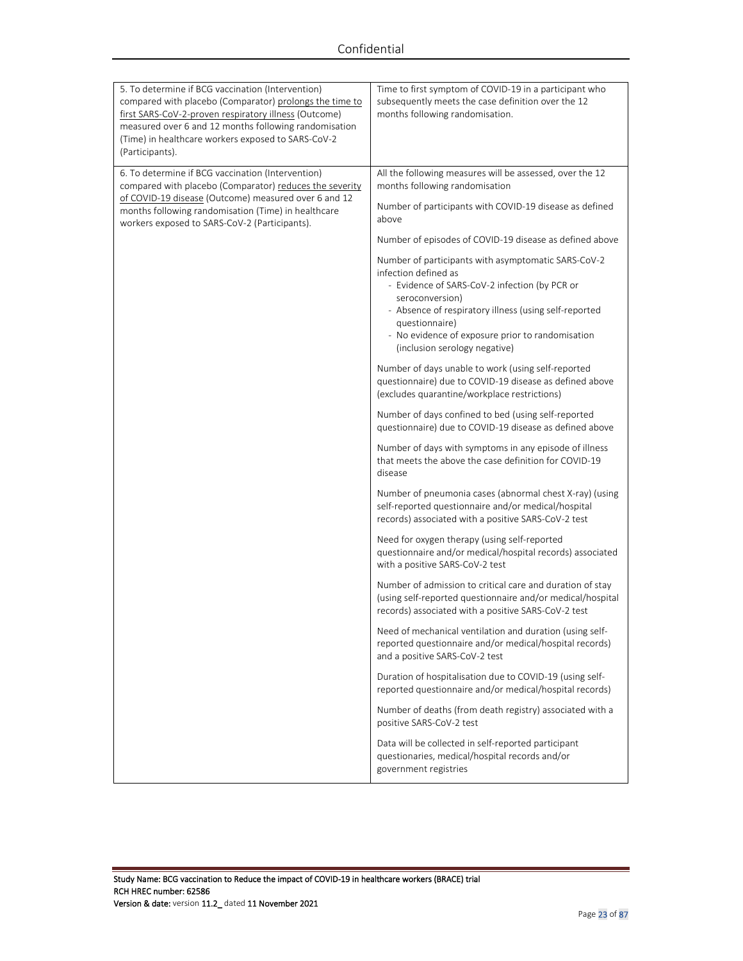| 5. To determine if BCG vaccination (Intervention)<br>compared with placebo (Comparator) prolongs the time to<br>first SARS-CoV-2-proven respiratory illness (Outcome)<br>measured over 6 and 12 months following randomisation<br>(Time) in healthcare workers exposed to SARS-CoV-2<br>(Participants). | Time to first symptom of COVID-19 in a participant who<br>subsequently meets the case definition over the 12<br>months following randomisation.                                                                                                                                                                 |
|---------------------------------------------------------------------------------------------------------------------------------------------------------------------------------------------------------------------------------------------------------------------------------------------------------|-----------------------------------------------------------------------------------------------------------------------------------------------------------------------------------------------------------------------------------------------------------------------------------------------------------------|
| 6. To determine if BCG vaccination (Intervention)<br>compared with placebo (Comparator) reduces the severity<br>of COVID-19 disease (Outcome) measured over 6 and 12<br>months following randomisation (Time) in healthcare<br>workers exposed to SARS-CoV-2 (Participants).                            | All the following measures will be assessed, over the 12<br>months following randomisation<br>Number of participants with COVID-19 disease as defined<br>above                                                                                                                                                  |
|                                                                                                                                                                                                                                                                                                         | Number of episodes of COVID-19 disease as defined above                                                                                                                                                                                                                                                         |
|                                                                                                                                                                                                                                                                                                         | Number of participants with asymptomatic SARS-CoV-2<br>infection defined as<br>- Evidence of SARS-CoV-2 infection (by PCR or<br>seroconversion)<br>- Absence of respiratory illness (using self-reported<br>questionnaire)<br>- No evidence of exposure prior to randomisation<br>(inclusion serology negative) |
|                                                                                                                                                                                                                                                                                                         | Number of days unable to work (using self-reported<br>questionnaire) due to COVID-19 disease as defined above<br>(excludes quarantine/workplace restrictions)                                                                                                                                                   |
|                                                                                                                                                                                                                                                                                                         | Number of days confined to bed (using self-reported<br>questionnaire) due to COVID-19 disease as defined above                                                                                                                                                                                                  |
|                                                                                                                                                                                                                                                                                                         | Number of days with symptoms in any episode of illness<br>that meets the above the case definition for COVID-19<br>disease                                                                                                                                                                                      |
|                                                                                                                                                                                                                                                                                                         | Number of pneumonia cases (abnormal chest X-ray) (using<br>self-reported questionnaire and/or medical/hospital<br>records) associated with a positive SARS-CoV-2 test                                                                                                                                           |
|                                                                                                                                                                                                                                                                                                         | Need for oxygen therapy (using self-reported<br>questionnaire and/or medical/hospital records) associated<br>with a positive SARS-CoV-2 test                                                                                                                                                                    |
|                                                                                                                                                                                                                                                                                                         | Number of admission to critical care and duration of stay<br>(using self-reported questionnaire and/or medical/hospital<br>records) associated with a positive SARS-CoV-2 test                                                                                                                                  |
|                                                                                                                                                                                                                                                                                                         | Need of mechanical ventilation and duration (using self-<br>reported questionnaire and/or medical/hospital records)<br>and a positive SARS-CoV-2 test                                                                                                                                                           |
|                                                                                                                                                                                                                                                                                                         | Duration of hospitalisation due to COVID-19 (using self-<br>reported questionnaire and/or medical/hospital records)                                                                                                                                                                                             |
|                                                                                                                                                                                                                                                                                                         | Number of deaths (from death registry) associated with a<br>positive SARS-CoV-2 test                                                                                                                                                                                                                            |
|                                                                                                                                                                                                                                                                                                         | Data will be collected in self-reported participant<br>questionaries, medical/hospital records and/or<br>government registries                                                                                                                                                                                  |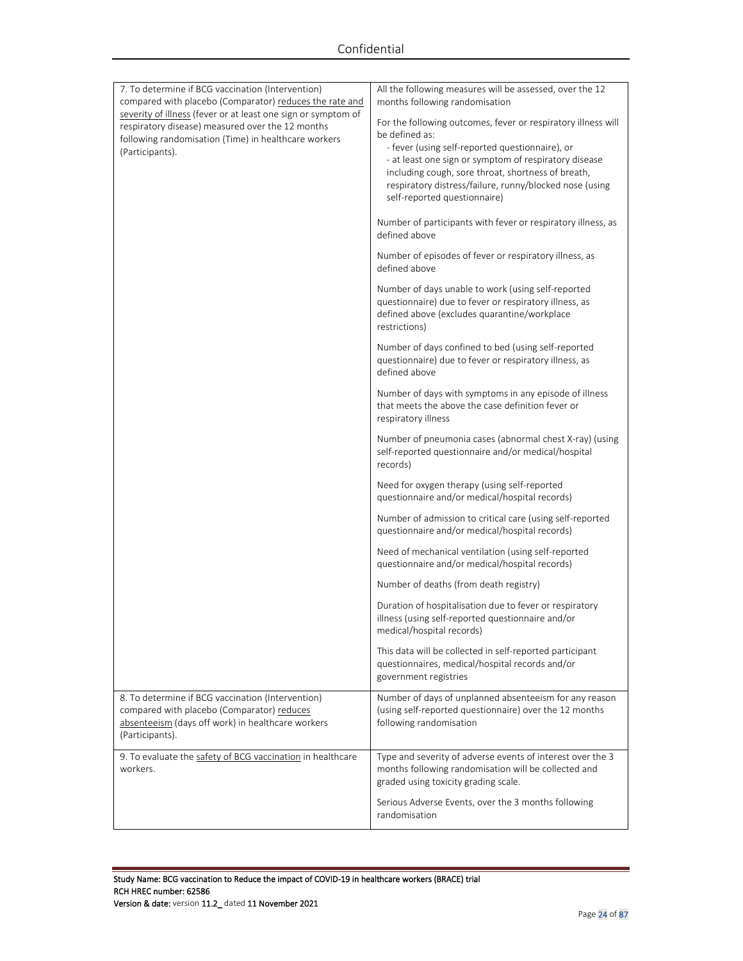| 7. To determine if BCG vaccination (Intervention)<br>compared with placebo (Comparator) reduces the rate and<br>severity of illness (fever or at least one sign or symptom of<br>respiratory disease) measured over the 12 months<br>following randomisation (Time) in healthcare workers<br>(Participants). | All the following measures will be assessed, over the 12<br>months following randomisation<br>For the following outcomes, fever or respiratory illness will<br>be defined as:<br>- fever (using self-reported questionnaire), or<br>- at least one sign or symptom of respiratory disease<br>including cough, sore throat, shortness of breath,<br>respiratory distress/failure, runny/blocked nose (using<br>self-reported questionnaire)<br>Number of participants with fever or respiratory illness, as<br>defined above<br>Number of episodes of fever or respiratory illness, as<br>defined above<br>Number of days unable to work (using self-reported<br>questionnaire) due to fever or respiratory illness, as<br>defined above (excludes quarantine/workplace<br>restrictions)<br>Number of days confined to bed (using self-reported<br>questionnaire) due to fever or respiratory illness, as<br>defined above<br>Number of days with symptoms in any episode of illness<br>that meets the above the case definition fever or<br>respiratory illness<br>Number of pneumonia cases (abnormal chest X-ray) (using<br>self-reported questionnaire and/or medical/hospital<br>records)<br>Need for oxygen therapy (using self-reported<br>questionnaire and/or medical/hospital records)<br>Number of admission to critical care (using self-reported<br>questionnaire and/or medical/hospital records)<br>Need of mechanical ventilation (using self-reported<br>questionnaire and/or medical/hospital records)<br>Number of deaths (from death registry)<br>Duration of hospitalisation due to fever or respiratory<br>illness (using self-reported questionnaire and/or<br>medical/hospital records)<br>This data will be collected in self-reported participant<br>questionnaires, medical/hospital records and/or |
|--------------------------------------------------------------------------------------------------------------------------------------------------------------------------------------------------------------------------------------------------------------------------------------------------------------|-------------------------------------------------------------------------------------------------------------------------------------------------------------------------------------------------------------------------------------------------------------------------------------------------------------------------------------------------------------------------------------------------------------------------------------------------------------------------------------------------------------------------------------------------------------------------------------------------------------------------------------------------------------------------------------------------------------------------------------------------------------------------------------------------------------------------------------------------------------------------------------------------------------------------------------------------------------------------------------------------------------------------------------------------------------------------------------------------------------------------------------------------------------------------------------------------------------------------------------------------------------------------------------------------------------------------------------------------------------------------------------------------------------------------------------------------------------------------------------------------------------------------------------------------------------------------------------------------------------------------------------------------------------------------------------------------------------------------------------------------------------------------------------------------------------------------------|
|                                                                                                                                                                                                                                                                                                              | government registries                                                                                                                                                                                                                                                                                                                                                                                                                                                                                                                                                                                                                                                                                                                                                                                                                                                                                                                                                                                                                                                                                                                                                                                                                                                                                                                                                                                                                                                                                                                                                                                                                                                                                                                                                                                                         |
| 8. To determine if BCG vaccination (Intervention)<br>compared with placebo (Comparator) reduces<br>absenteeism (days off work) in healthcare workers<br>(Participants).                                                                                                                                      | Number of days of unplanned absenteeism for any reason<br>(using self-reported questionnaire) over the 12 months<br>following randomisation                                                                                                                                                                                                                                                                                                                                                                                                                                                                                                                                                                                                                                                                                                                                                                                                                                                                                                                                                                                                                                                                                                                                                                                                                                                                                                                                                                                                                                                                                                                                                                                                                                                                                   |
| 9. To evaluate the safety of BCG vaccination in healthcare<br>workers.                                                                                                                                                                                                                                       | Type and severity of adverse events of interest over the 3<br>months following randomisation will be collected and<br>graded using toxicity grading scale.<br>Serious Adverse Events, over the 3 months following<br>randomisation                                                                                                                                                                                                                                                                                                                                                                                                                                                                                                                                                                                                                                                                                                                                                                                                                                                                                                                                                                                                                                                                                                                                                                                                                                                                                                                                                                                                                                                                                                                                                                                            |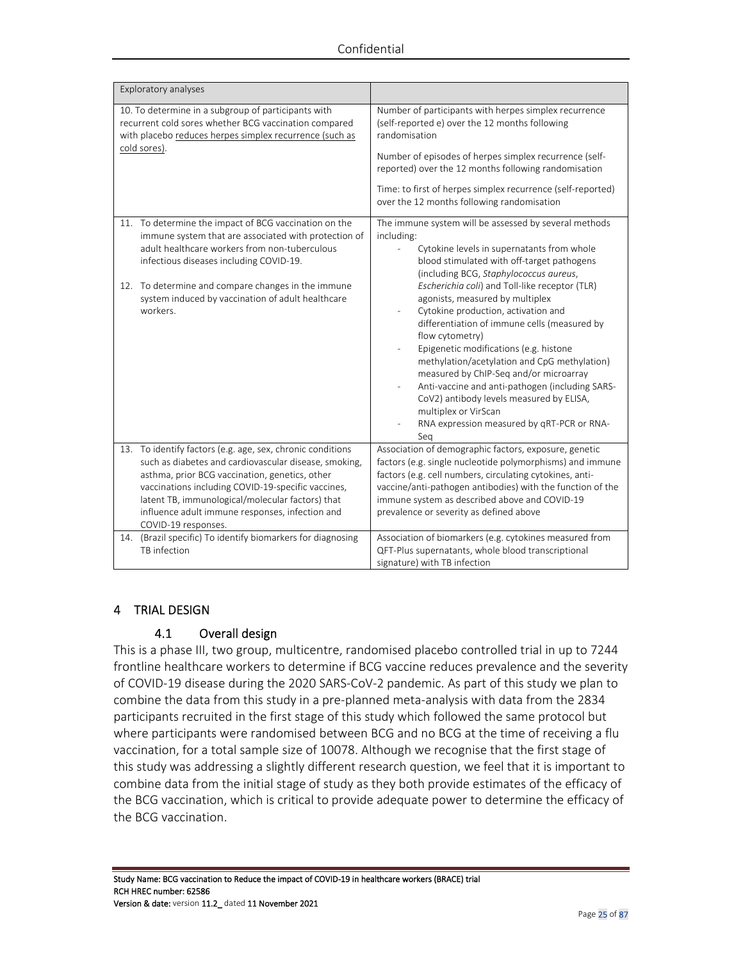| Exploratory analyses                                                                                                                                                                                                                                                                                                                                      |                                                                                                                                                                                                                                                                                                                                                                                                                                                                                                                                                                                                                                                                                                                          |
|-----------------------------------------------------------------------------------------------------------------------------------------------------------------------------------------------------------------------------------------------------------------------------------------------------------------------------------------------------------|--------------------------------------------------------------------------------------------------------------------------------------------------------------------------------------------------------------------------------------------------------------------------------------------------------------------------------------------------------------------------------------------------------------------------------------------------------------------------------------------------------------------------------------------------------------------------------------------------------------------------------------------------------------------------------------------------------------------------|
| 10. To determine in a subgroup of participants with<br>recurrent cold sores whether BCG vaccination compared<br>with placebo reduces herpes simplex recurrence (such as                                                                                                                                                                                   | Number of participants with herpes simplex recurrence<br>(self-reported e) over the 12 months following<br>randomisation                                                                                                                                                                                                                                                                                                                                                                                                                                                                                                                                                                                                 |
| cold sores).                                                                                                                                                                                                                                                                                                                                              | Number of episodes of herpes simplex recurrence (self-<br>reported) over the 12 months following randomisation                                                                                                                                                                                                                                                                                                                                                                                                                                                                                                                                                                                                           |
|                                                                                                                                                                                                                                                                                                                                                           | Time: to first of herpes simplex recurrence (self-reported)<br>over the 12 months following randomisation                                                                                                                                                                                                                                                                                                                                                                                                                                                                                                                                                                                                                |
| 11. To determine the impact of BCG vaccination on the<br>immune system that are associated with protection of<br>adult healthcare workers from non-tuberculous<br>infectious diseases including COVID-19.<br>12. To determine and compare changes in the immune<br>system induced by vaccination of adult healthcare<br>workers.                          | The immune system will be assessed by several methods<br>including:<br>Cytokine levels in supernatants from whole<br>blood stimulated with off-target pathogens<br>(including BCG, Staphylococcus aureus,<br>Escherichia coli) and Toll-like receptor (TLR)<br>agonists, measured by multiplex<br>Cytokine production, activation and<br>differentiation of immune cells (measured by<br>flow cytometry)<br>Epigenetic modifications (e.g. histone<br>methylation/acetylation and CpG methylation)<br>measured by ChIP-Seq and/or microarray<br>Anti-vaccine and anti-pathogen (including SARS-<br>CoV2) antibody levels measured by ELISA,<br>multiplex or VirScan<br>RNA expression measured by qRT-PCR or RNA-<br>Seg |
| 13. To identify factors (e.g. age, sex, chronic conditions<br>such as diabetes and cardiovascular disease, smoking,<br>asthma, prior BCG vaccination, genetics, other<br>vaccinations including COVID-19-specific vaccines,<br>latent TB, immunological/molecular factors) that<br>influence adult immune responses, infection and<br>COVID-19 responses. | Association of demographic factors, exposure, genetic<br>factors (e.g. single nucleotide polymorphisms) and immune<br>factors (e.g. cell numbers, circulating cytokines, anti-<br>vaccine/anti-pathogen antibodies) with the function of the<br>immune system as described above and COVID-19<br>prevalence or severity as defined above                                                                                                                                                                                                                                                                                                                                                                                 |
| 14. (Brazil specific) To identify biomarkers for diagnosing<br>TB infection                                                                                                                                                                                                                                                                               | Association of biomarkers (e.g. cytokines measured from<br>QFT-Plus supernatants, whole blood transcriptional<br>signature) with TB infection                                                                                                                                                                                                                                                                                                                                                                                                                                                                                                                                                                            |

### 4 TRIAL DESIGN

### 4.1 Overall design

This is a phase III, two group, multicentre, randomised placebo controlled trial in up to 7244 frontline healthcare workers to determine if BCG vaccine reduces prevalence and the severity of COVID-19 disease during the 2020 SARS-CoV-2 pandemic. As part of this study we plan to combine the data from this study in a pre-planned meta-analysis with data from the 2834 participants recruited in the first stage of this study which followed the same protocol but where participants were randomised between BCG and no BCG at the time of receiving a flu vaccination, for a total sample size of 10078. Although we recognise that the first stage of this study was addressing a slightly different research question, we feel that it is important to combine data from the initial stage of study as they both provide estimates of the efficacy of the BCG vaccination, which is critical to provide adequate power to determine the efficacy of the BCG vaccination.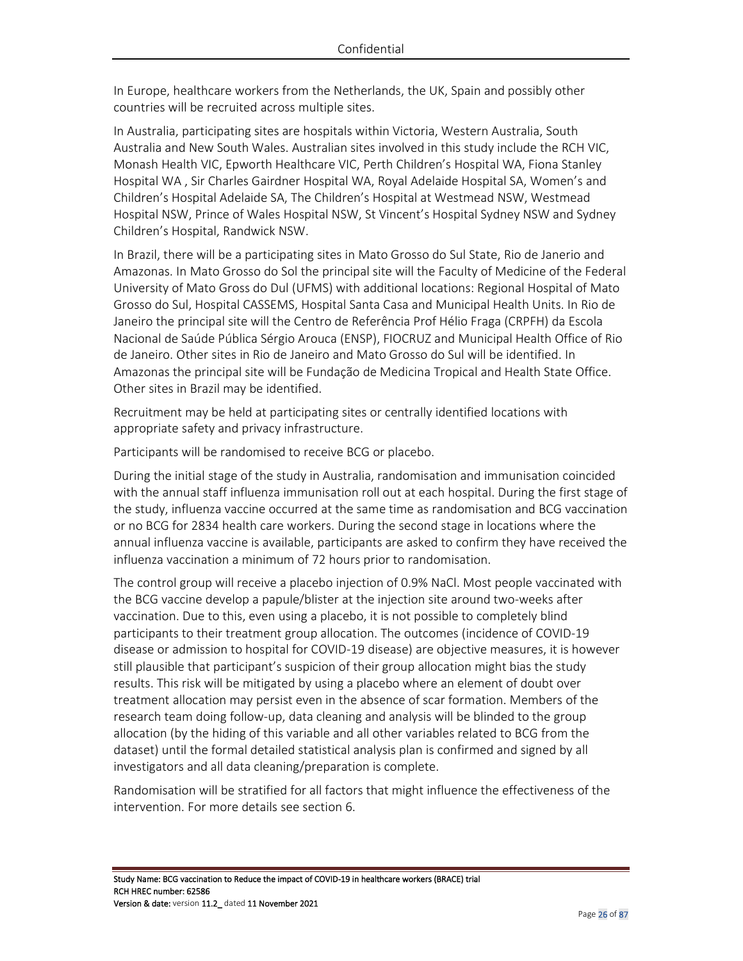In Europe, healthcare workers from the Netherlands, the UK, Spain and possibly other countries will be recruited across multiple sites.

In Australia, participating sites are hospitals within Victoria, Western Australia, South Australia and New South Wales. Australian sites involved in this study include the RCH VIC, Monash Health VIC, Epworth Healthcare VIC, Perth Children's Hospital WA, Fiona Stanley Hospital WA , Sir Charles Gairdner Hospital WA, Royal Adelaide Hospital SA, Women's and Children's Hospital Adelaide SA, The Children's Hospital at Westmead NSW, Westmead Hospital NSW, Prince of Wales Hospital NSW, St Vincent's Hospital Sydney NSW and Sydney Children's Hospital, Randwick NSW.

In Brazil, there will be a participating sites in Mato Grosso do Sul State, Rio de Janerio and Amazonas. In Mato Grosso do Sol the principal site will the Faculty of Medicine of the Federal University of Mato Gross do Dul (UFMS) with additional locations: Regional Hospital of Mato Grosso do Sul, Hospital CASSEMS, Hospital Santa Casa and Municipal Health Units. In Rio de Janeiro the principal site will the Centro de Referência Prof Hélio Fraga (CRPFH) da Escola Nacional de Saúde Pública Sérgio Arouca (ENSP), FIOCRUZ and Municipal Health Office of Rio de Janeiro. Other sites in Rio de Janeiro and Mato Grosso do Sul will be identified. In Amazonas the principal site will be Fundação de Medicina Tropical and Health State Office. Other sites in Brazil may be identified.

Recruitment may be held at participating sites or centrally identified locations with appropriate safety and privacy infrastructure.

Participants will be randomised to receive BCG or placebo.

During the initial stage of the study in Australia, randomisation and immunisation coincided with the annual staff influenza immunisation roll out at each hospital. During the first stage of the study, influenza vaccine occurred at the same time as randomisation and BCG vaccination or no BCG for 2834 health care workers. During the second stage in locations where the annual influenza vaccine is available, participants are asked to confirm they have received the influenza vaccination a minimum of 72 hours prior to randomisation.

The control group will receive a placebo injection of 0.9% NaCl. Most people vaccinated with the BCG vaccine develop a papule/blister at the injection site around two-weeks after vaccination. Due to this, even using a placebo, it is not possible to completely blind participants to their treatment group allocation. The outcomes (incidence of COVID-19 disease or admission to hospital for COVID-19 disease) are objective measures, it is however still plausible that participant's suspicion of their group allocation might bias the study results. This risk will be mitigated by using a placebo where an element of doubt over treatment allocation may persist even in the absence of scar formation. Members of the research team doing follow-up, data cleaning and analysis will be blinded to the group allocation (by the hiding of this variable and all other variables related to BCG from the dataset) until the formal detailed statistical analysis plan is confirmed and signed by all investigators and all data cleaning/preparation is complete.

Randomisation will be stratified for all factors that might influence the effectiveness of the intervention. For more details see section 6.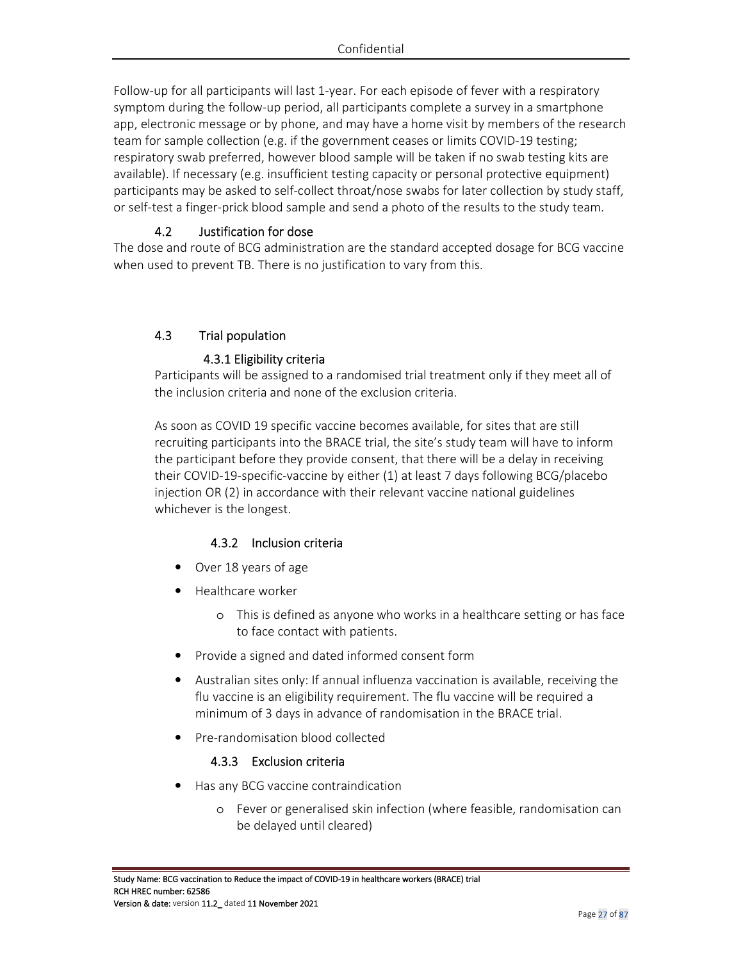Follow-up for all participants will last 1-year. For each episode of fever with a respiratory symptom during the follow-up period, all participants complete a survey in a smartphone app, electronic message or by phone, and may have a home visit by members of the research team for sample collection (e.g. if the government ceases or limits COVID-19 testing; respiratory swab preferred, however blood sample will be taken if no swab testing kits are available). If necessary (e.g. insufficient testing capacity or personal protective equipment) participants may be asked to self-collect throat/nose swabs for later collection by study staff, or self-test a finger-prick blood sample and send a photo of the results to the study team.

## 4.2 Justification for dose

The dose and route of BCG administration are the standard accepted dosage for BCG vaccine when used to prevent TB. There is no justification to vary from this.

## 4.3 Trial population

#### 4.3.1 Eligibility criteria

Participants will be assigned to a randomised trial treatment only if they meet all of the inclusion criteria and none of the exclusion criteria.

As soon as COVID 19 specific vaccine becomes available, for sites that are still recruiting participants into the BRACE trial, the site's study team will have to inform the participant before they provide consent, that there will be a delay in receiving their COVID-19-specific-vaccine by either (1) at least 7 days following BCG/placebo injection OR (2) in accordance with their relevant vaccine national guidelines whichever is the longest.

## 4.3.2 Inclusion criteria

- Over 18 years of age
- Healthcare worker
	- o This is defined as anyone who works in a healthcare setting or has face to face contact with patients.
- Provide a signed and dated informed consent form
- Australian sites only: If annual influenza vaccination is available, receiving the flu vaccine is an eligibility requirement. The flu vaccine will be required a minimum of 3 days in advance of randomisation in the BRACE trial.
- Pre-randomisation blood collected

### 4.3.3 Exclusion criteria

- Has any BCG vaccine contraindication
	- o Fever or generalised skin infection (where feasible, randomisation can be delayed until cleared)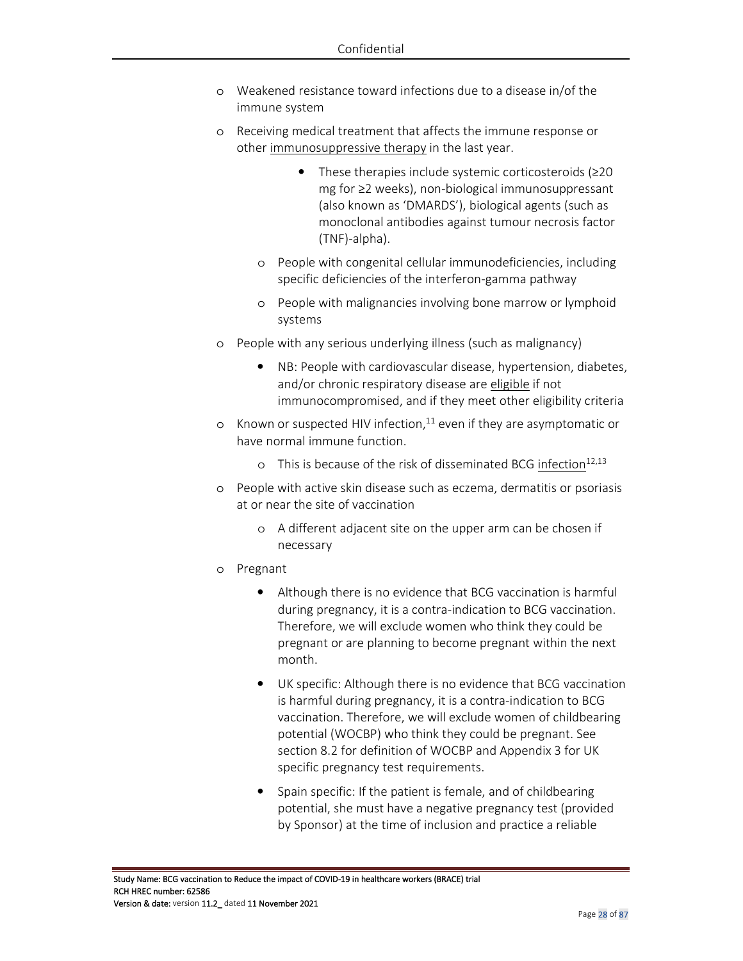- o Weakened resistance toward infections due to a disease in/of the immune system
- o Receiving medical treatment that affects the immune response or other immunosuppressive therapy in the last year.
	- These therapies include systemic corticosteroids  $(≥20$ mg for ≥2 weeks), non-biological immunosuppressant (also known as 'DMARDS'), biological agents (such as monoclonal antibodies against tumour necrosis factor (TNF)-alpha).
	- o People with congenital cellular immunodeficiencies, including specific deficiencies of the interferon-gamma pathway
	- o People with malignancies involving bone marrow or lymphoid systems
- o People with any serious underlying illness (such as malignancy)
	- NB: People with cardiovascular disease, hypertension, diabetes, and/or chronic respiratory disease are eligible if not immunocompromised, and if they meet other eligibility criteria
- o Known or suspected HIV infection, $11$  even if they are asymptomatic or have normal immune function.
	- $\circ$  This is because of the risk of disseminated BCG infection<sup>12,13</sup>
- o People with active skin disease such as eczema, dermatitis or psoriasis at or near the site of vaccination
	- o A different adjacent site on the upper arm can be chosen if necessary
- o Pregnant
	- Although there is no evidence that BCG vaccination is harmful during pregnancy, it is a contra-indication to BCG vaccination. Therefore, we will exclude women who think they could be pregnant or are planning to become pregnant within the next month.
	- UK specific: Although there is no evidence that BCG vaccination is harmful during pregnancy, it is a contra-indication to BCG vaccination. Therefore, we will exclude women of childbearing potential (WOCBP) who think they could be pregnant. See section 8.2 for definition of WOCBP and Appendix 3 for UK specific pregnancy test requirements.
	- Spain specific: If the patient is female, and of childbearing potential, she must have a negative pregnancy test (provided by Sponsor) at the time of inclusion and practice a reliable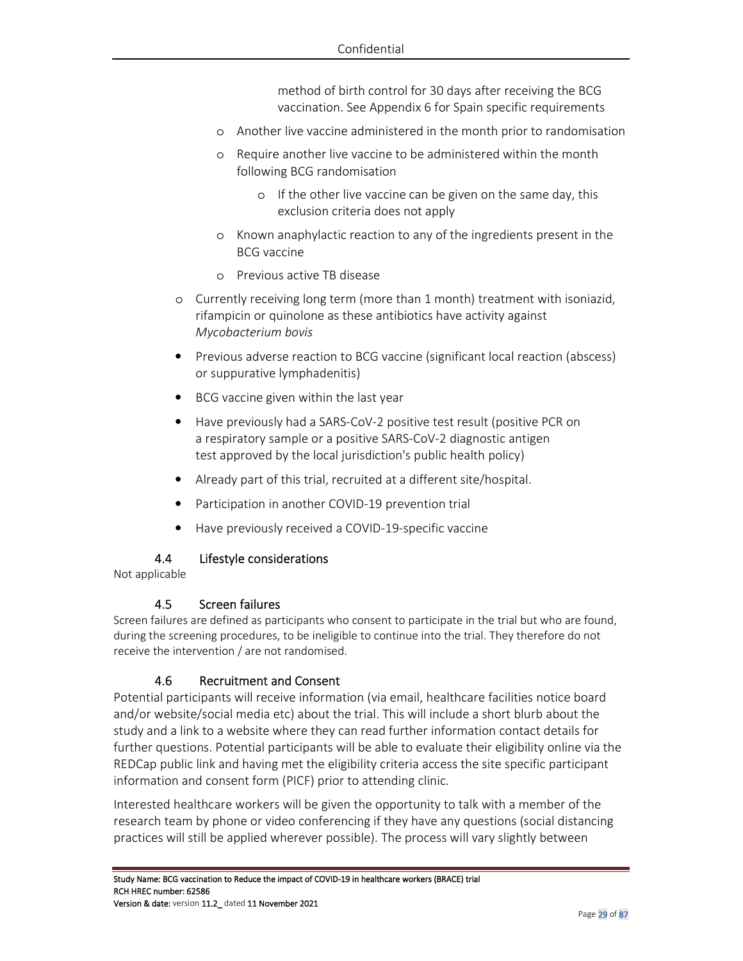method of birth control for 30 days after receiving the BCG vaccination. See Appendix 6 for Spain specific requirements

- o Another live vaccine administered in the month prior to randomisation
- o Require another live vaccine to be administered within the month following BCG randomisation
	- o If the other live vaccine can be given on the same day, this exclusion criteria does not apply
- o Known anaphylactic reaction to any of the ingredients present in the BCG vaccine
- o Previous active TB disease
- o Currently receiving long term (more than 1 month) treatment with isoniazid, rifampicin or quinolone as these antibiotics have activity against *Mycobacterium bovis*
- Previous adverse reaction to BCG vaccine (significant local reaction (abscess) or suppurative lymphadenitis)
- BCG vaccine given within the last year
- Have previously had a SARS-CoV-2 positive test result (positive PCR on a respiratory sample or a positive SARS-CoV-2 diagnostic antigen test approved by the local jurisdiction's public health policy)
- Already part of this trial, recruited at a different site/hospital.
- Participation in another COVID-19 prevention trial
- Have previously received a COVID-19-specific vaccine

### 4.4 Lifestyle considerations

Not applicable

#### 4.5 Screen failures

Screen failures are defined as participants who consent to participate in the trial but who are found, during the screening procedures, to be ineligible to continue into the trial. They therefore do not receive the intervention / are not randomised.

### 4.6 Recruitment and Consent

Potential participants will receive information (via email, healthcare facilities notice board and/or website/social media etc) about the trial. This will include a short blurb about the study and a link to a website where they can read further information contact details for further questions. Potential participants will be able to evaluate their eligibility online via the REDCap public link and having met the eligibility criteria access the site specific participant information and consent form (PICF) prior to attending clinic.

Interested healthcare workers will be given the opportunity to talk with a member of the research team by phone or video conferencing if they have any questions (social distancing practices will still be applied wherever possible). The process will vary slightly between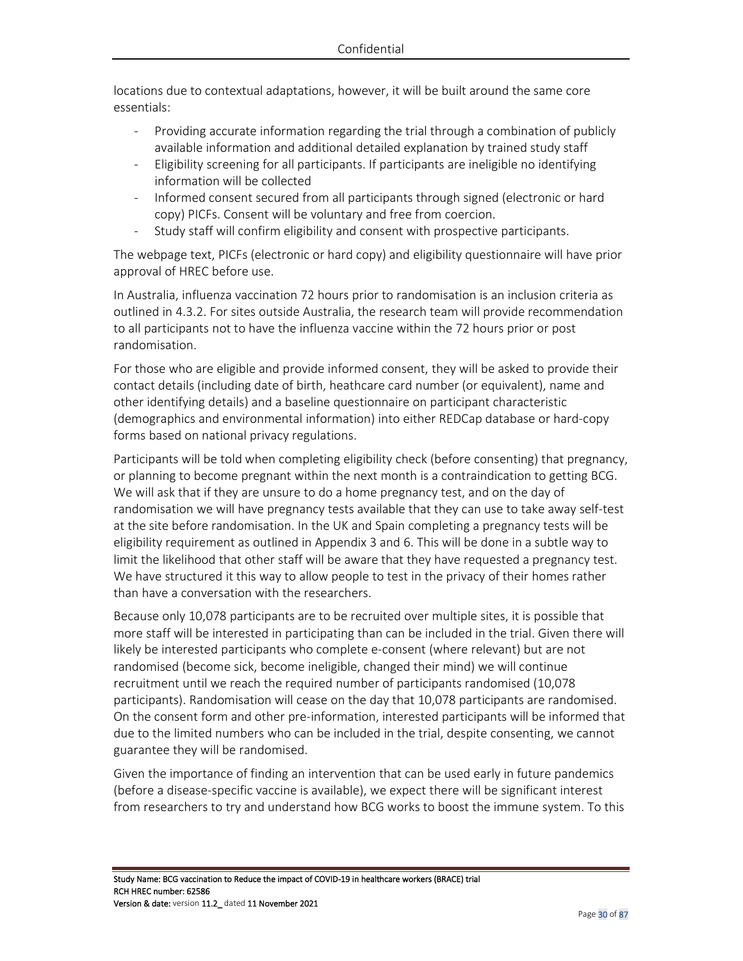locations due to contextual adaptations, however, it will be built around the same core essentials:

- Providing accurate information regarding the trial through a combination of publicly available information and additional detailed explanation by trained study staff
- Eligibility screening for all participants. If participants are ineligible no identifying information will be collected
- Informed consent secured from all participants through signed (electronic or hard copy) PICFs. Consent will be voluntary and free from coercion.
- Study staff will confirm eligibility and consent with prospective participants.

The webpage text, PICFs (electronic or hard copy) and eligibility questionnaire will have prior approval of HREC before use.

In Australia, influenza vaccination 72 hours prior to randomisation is an inclusion criteria as outlined in 4.3.2. For sites outside Australia, the research team will provide recommendation to all participants not to have the influenza vaccine within the 72 hours prior or post randomisation.

For those who are eligible and provide informed consent, they will be asked to provide their contact details (including date of birth, heathcare card number (or equivalent), name and other identifying details) and a baseline questionnaire on participant characteristic (demographics and environmental information) into either REDCap database or hard-copy forms based on national privacy regulations.

Participants will be told when completing eligibility check (before consenting) that pregnancy, or planning to become pregnant within the next month is a contraindication to getting BCG. We will ask that if they are unsure to do a home pregnancy test, and on the day of randomisation we will have pregnancy tests available that they can use to take away self-test at the site before randomisation. In the UK and Spain completing a pregnancy tests will be eligibility requirement as outlined in Appendix 3 and 6. This will be done in a subtle way to limit the likelihood that other staff will be aware that they have requested a pregnancy test. We have structured it this way to allow people to test in the privacy of their homes rather than have a conversation with the researchers.

Because only 10,078 participants are to be recruited over multiple sites, it is possible that more staff will be interested in participating than can be included in the trial. Given there will likely be interested participants who complete e-consent (where relevant) but are not randomised (become sick, become ineligible, changed their mind) we will continue recruitment until we reach the required number of participants randomised (10,078 participants). Randomisation will cease on the day that 10,078 participants are randomised. On the consent form and other pre-information, interested participants will be informed that due to the limited numbers who can be included in the trial, despite consenting, we cannot guarantee they will be randomised.

Given the importance of finding an intervention that can be used early in future pandemics (before a disease-specific vaccine is available), we expect there will be significant interest from researchers to try and understand how BCG works to boost the immune system. To this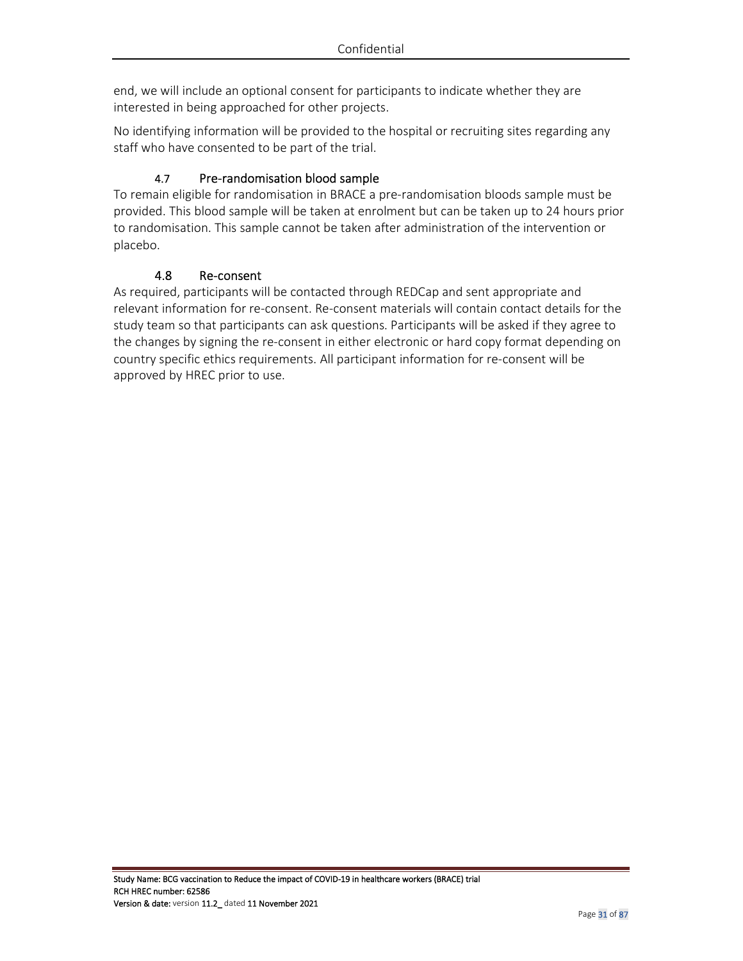end, we will include an optional consent for participants to indicate whether they are interested in being approached for other projects.

No identifying information will be provided to the hospital or recruiting sites regarding any staff who have consented to be part of the trial.

## 4.7 Pre-randomisation blood sample

To remain eligible for randomisation in BRACE a pre-randomisation bloods sample must be provided. This blood sample will be taken at enrolment but can be taken up to 24 hours prior to randomisation. This sample cannot be taken after administration of the intervention or placebo.

### 4.8 Re-consent

As required, participants will be contacted through REDCap and sent appropriate and relevant information for re-consent. Re-consent materials will contain contact details for the study team so that participants can ask questions. Participants will be asked if they agree to the changes by signing the re-consent in either electronic or hard copy format depending on country specific ethics requirements. All participant information for re-consent will be approved by HREC prior to use.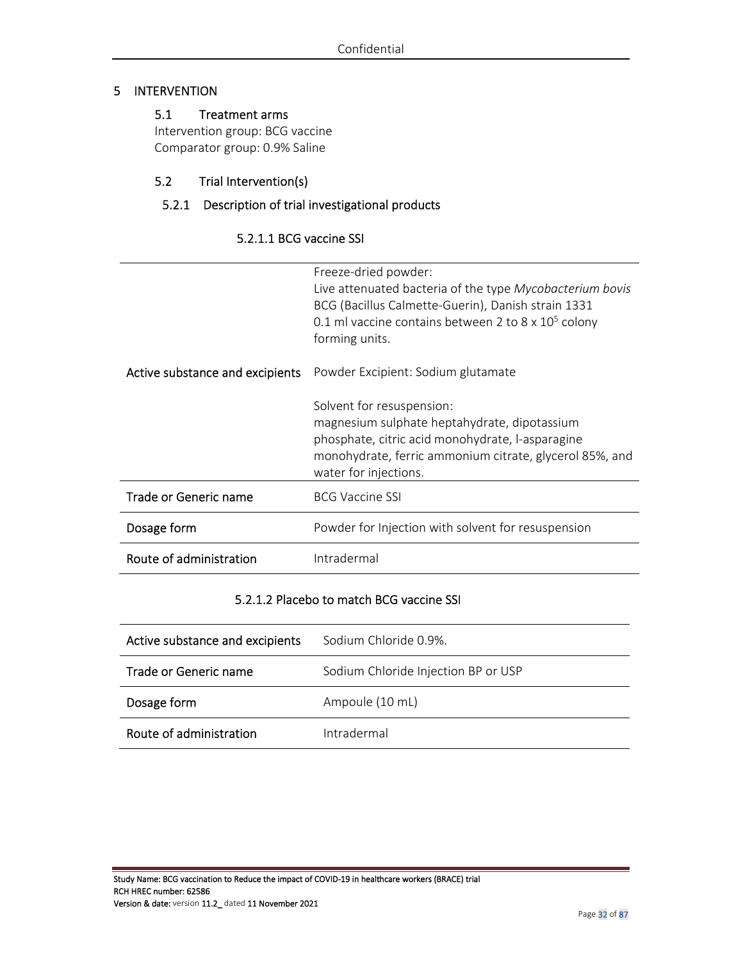### 5 INTERVENTION

## 5.1 Treatment arms

Intervention group: BCG vaccine Comparator group: 0.9% Saline

## 5.2 Trial Intervention(s)

## 5.2.1 Description of trial investigational products

## 5.2.1.1 BCG vaccine SSI

|                                 | Freeze-dried powder:<br>Live attenuated bacteria of the type Mycobacterium bovis<br>BCG (Bacillus Calmette-Guerin), Danish strain 1331<br>0.1 ml vaccine contains between 2 to 8 x $10^5$ colony<br>forming units. |
|---------------------------------|--------------------------------------------------------------------------------------------------------------------------------------------------------------------------------------------------------------------|
| Active substance and excipients | Powder Excipient: Sodium glutamate                                                                                                                                                                                 |
|                                 | Solvent for resuspension:<br>magnesium sulphate heptahydrate, dipotassium<br>phosphate, citric acid monohydrate, l-asparagine<br>monohydrate, ferric ammonium citrate, glycerol 85%, and<br>water for injections.  |
| Trade or Generic name           | <b>BCG Vaccine SSI</b>                                                                                                                                                                                             |
| Dosage form                     | Powder for Injection with solvent for resuspension                                                                                                                                                                 |
| Route of administration         | Intradermal                                                                                                                                                                                                        |

#### 5.2.1.2 Placebo to match BCG vaccine SSI

| Active substance and excipients | Sodium Chloride 0.9%.               |
|---------------------------------|-------------------------------------|
| Trade or Generic name           | Sodium Chloride Injection BP or USP |
| Dosage form                     | Ampoule (10 mL)                     |
| Route of administration         | Intradermal                         |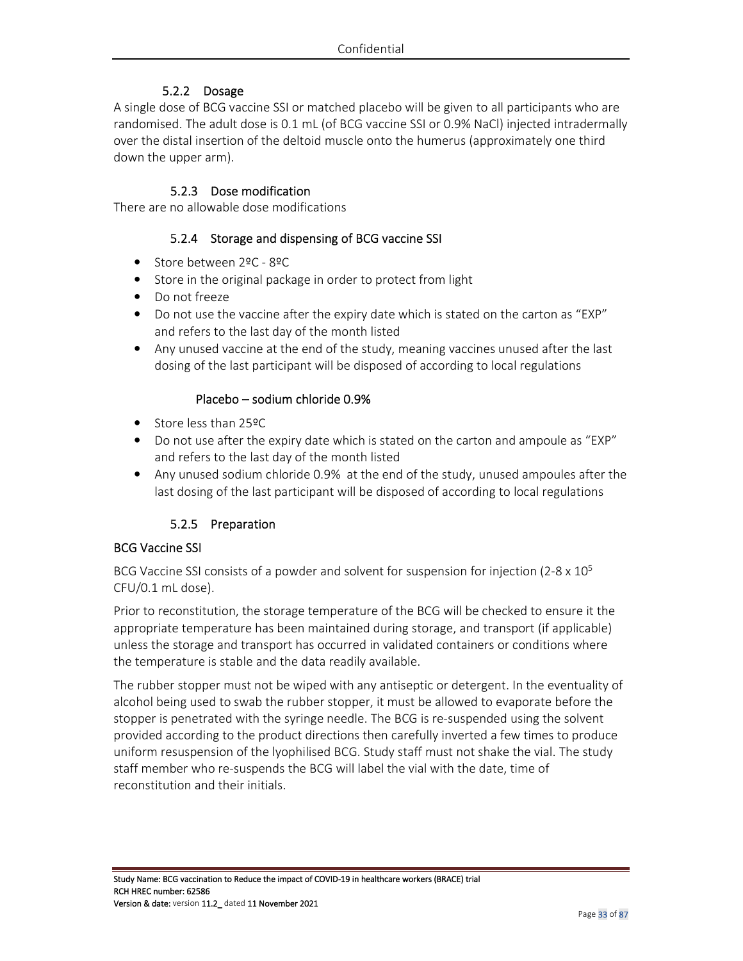## 5.2.2 Dosage

A single dose of BCG vaccine SSI or matched placebo will be given to all participants who are randomised. The adult dose is 0.1 mL (of BCG vaccine SSI or 0.9% NaCl) injected intradermally over the distal insertion of the deltoid muscle onto the humerus (approximately one third down the upper arm).

#### 5.2.3 Dose modification

There are no allowable dose modifications

#### 5.2.4 Storage and dispensing of BCG vaccine SSI

- Store between 2ºC 8ºC
- Store in the original package in order to protect from light
- Do not freeze
- Do not use the vaccine after the expiry date which is stated on the carton as "EXP" and refers to the last day of the month listed
- Any unused vaccine at the end of the study, meaning vaccines unused after the last dosing of the last participant will be disposed of according to local regulations

#### Placebo – sodium chloride 0.9%

- Store less than 25ºC
- Do not use after the expiry date which is stated on the carton and ampoule as "EXP" and refers to the last day of the month listed
- Any unused sodium chloride 0.9% at the end of the study, unused ampoules after the last dosing of the last participant will be disposed of according to local regulations

### 5.2.5 Preparation

#### BCG Vaccine SSI

BCG Vaccine SSI consists of a powder and solvent for suspension for injection (2-8  $\times$  10<sup>5</sup> CFU/0.1 mL dose).

Prior to reconstitution, the storage temperature of the BCG will be checked to ensure it the appropriate temperature has been maintained during storage, and transport (if applicable) unless the storage and transport has occurred in validated containers or conditions where the temperature is stable and the data readily available.

The rubber stopper must not be wiped with any antiseptic or detergent. In the eventuality of alcohol being used to swab the rubber stopper, it must be allowed to evaporate before the stopper is penetrated with the syringe needle. The BCG is re-suspended using the solvent provided according to the product directions then carefully inverted a few times to produce uniform resuspension of the lyophilised BCG. Study staff must not shake the vial. The study staff member who re-suspends the BCG will label the vial with the date, time of reconstitution and their initials.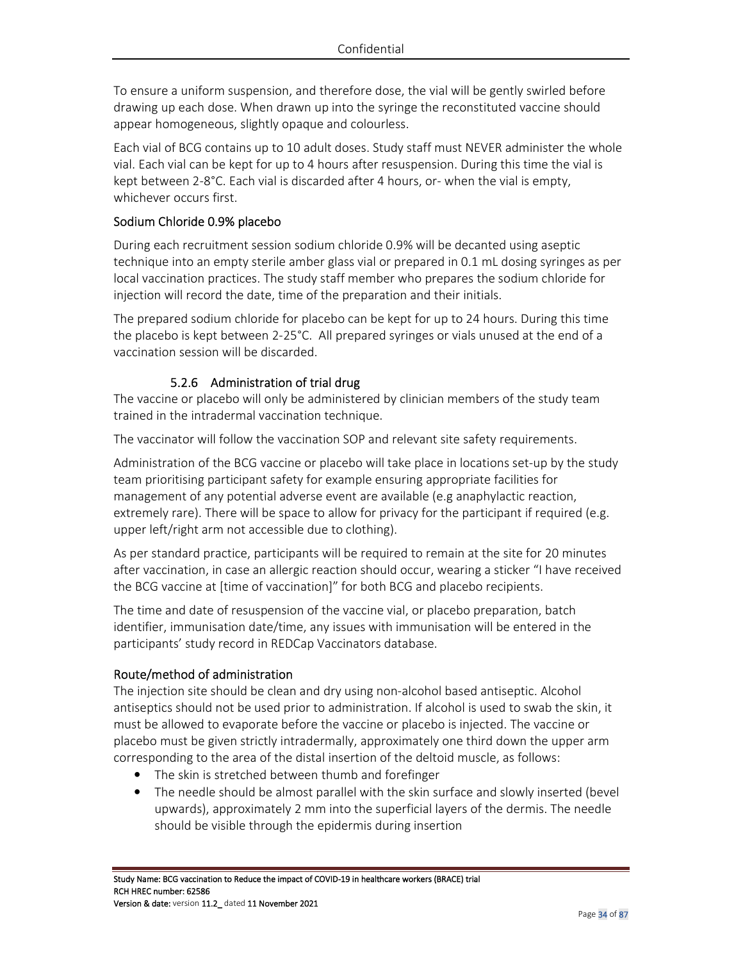To ensure a uniform suspension, and therefore dose, the vial will be gently swirled before drawing up each dose. When drawn up into the syringe the reconstituted vaccine should appear homogeneous, slightly opaque and colourless.

Each vial of BCG contains up to 10 adult doses. Study staff must NEVER administer the whole vial. Each vial can be kept for up to 4 hours after resuspension. During this time the vial is kept between 2-8°C. Each vial is discarded after 4 hours, or- when the vial is empty, whichever occurs first.

### Sodium Chloride 0.9% placebo

During each recruitment session sodium chloride 0.9% will be decanted using aseptic technique into an empty sterile amber glass vial or prepared in 0.1 mL dosing syringes as per local vaccination practices. The study staff member who prepares the sodium chloride for injection will record the date, time of the preparation and their initials.

The prepared sodium chloride for placebo can be kept for up to 24 hours. During this time the placebo is kept between 2-25°C. All prepared syringes or vials unused at the end of a vaccination session will be discarded.

## 5.2.6 Administration of trial drug

The vaccine or placebo will only be administered by clinician members of the study team trained in the intradermal vaccination technique.

The vaccinator will follow the vaccination SOP and relevant site safety requirements.

Administration of the BCG vaccine or placebo will take place in locations set-up by the study team prioritising participant safety for example ensuring appropriate facilities for management of any potential adverse event are available (e.g anaphylactic reaction, extremely rare). There will be space to allow for privacy for the participant if required (e.g. upper left/right arm not accessible due to clothing).

As per standard practice, participants will be required to remain at the site for 20 minutes after vaccination, in case an allergic reaction should occur, wearing a sticker "I have received the BCG vaccine at [time of vaccination]" for both BCG and placebo recipients.

The time and date of resuspension of the vaccine vial, or placebo preparation, batch identifier, immunisation date/time, any issues with immunisation will be entered in the participants' study record in REDCap Vaccinators database.

### Route/method of administration

The injection site should be clean and dry using non-alcohol based antiseptic. Alcohol antiseptics should not be used prior to administration. If alcohol is used to swab the skin, it must be allowed to evaporate before the vaccine or placebo is injected. The vaccine or placebo must be given strictly intradermally, approximately one third down the upper arm corresponding to the area of the distal insertion of the deltoid muscle, as follows:

- The skin is stretched between thumb and forefinger
- The needle should be almost parallel with the skin surface and slowly inserted (bevel upwards), approximately 2 mm into the superficial layers of the dermis. The needle should be visible through the epidermis during insertion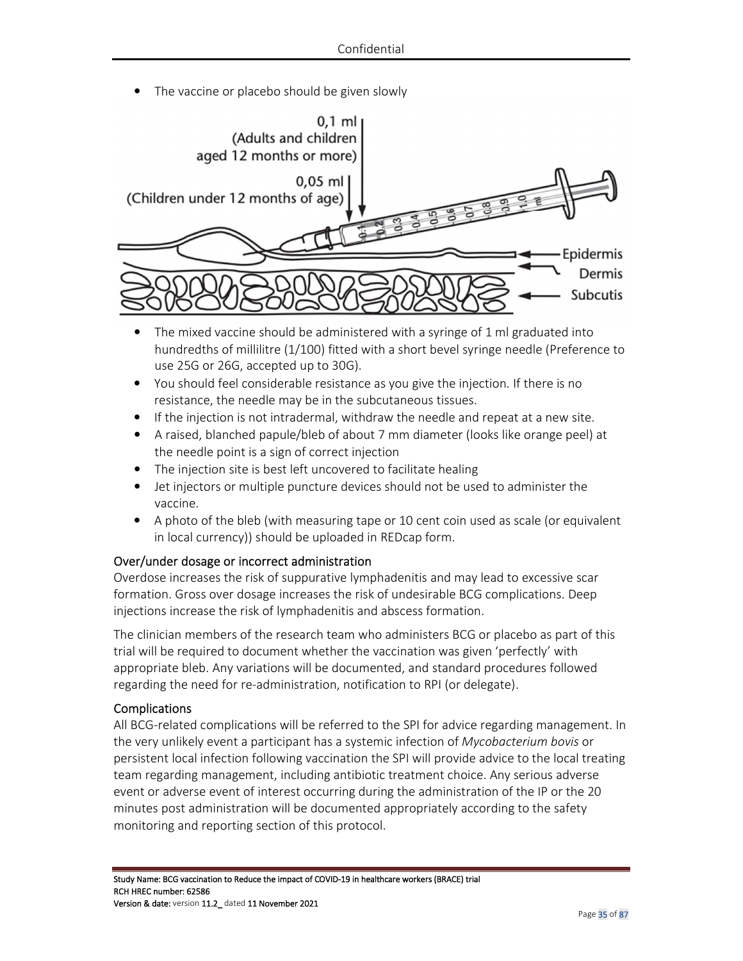The vaccine or placebo should be given slowly



- The mixed vaccine should be administered with a syringe of 1 ml graduated into hundredths of millilitre (1/100) fitted with a short bevel syringe needle (Preference to use 25G or 26G, accepted up to 30G).
- You should feel considerable resistance as you give the injection. If there is no resistance, the needle may be in the subcutaneous tissues.
- If the injection is not intradermal, withdraw the needle and repeat at a new site.
- A raised, blanched papule/bleb of about 7 mm diameter (looks like orange peel) at the needle point is a sign of correct injection
- The injection site is best left uncovered to facilitate healing
- Jet injectors or multiple puncture devices should not be used to administer the vaccine.
- A photo of the bleb (with measuring tape or 10 cent coin used as scale (or equivalent in local currency)) should be uploaded in REDcap form.

### Over/under dosage or incorrect administration

Overdose increases the risk of suppurative lymphadenitis and may lead to excessive scar formation. Gross over dosage increases the risk of undesirable BCG complications. Deep injections increase the risk of lymphadenitis and abscess formation.

The clinician members of the research team who administers BCG or placebo as part of this trial will be required to document whether the vaccination was given 'perfectly' with appropriate bleb. Any variations will be documented, and standard procedures followed regarding the need for re-administration, notification to RPI (or delegate).

#### Complications

All BCG-related complications will be referred to the SPI for advice regarding management. In the very unlikely event a participant has a systemic infection of *Mycobacterium bovis* or persistent local infection following vaccination the SPI will provide advice to the local treating team regarding management, including antibiotic treatment choice. Any serious adverse event or adverse event of interest occurring during the administration of the IP or the 20 minutes post administration will be documented appropriately according to the safety monitoring and reporting section of this protocol.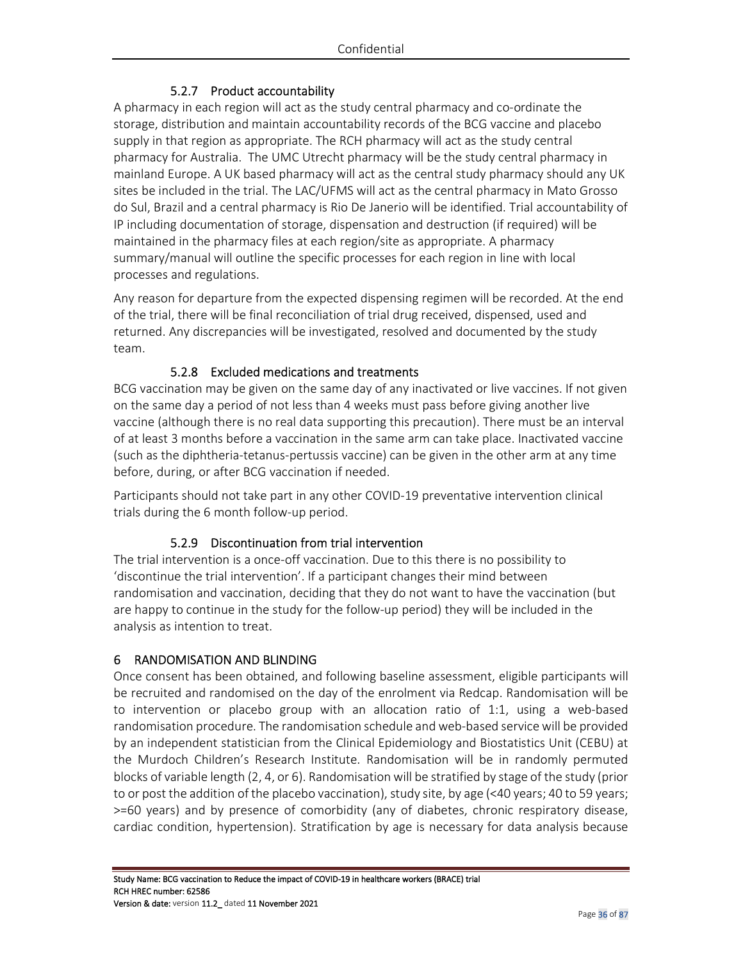## 5.2.7 Product accountability

A pharmacy in each region will act as the study central pharmacy and co-ordinate the storage, distribution and maintain accountability records of the BCG vaccine and placebo supply in that region as appropriate. The RCH pharmacy will act as the study central pharmacy for Australia. The UMC Utrecht pharmacy will be the study central pharmacy in mainland Europe. A UK based pharmacy will act as the central study pharmacy should any UK sites be included in the trial. The LAC/UFMS will act as the central pharmacy in Mato Grosso do Sul, Brazil and a central pharmacy is Rio De Janerio will be identified. Trial accountability of IP including documentation of storage, dispensation and destruction (if required) will be maintained in the pharmacy files at each region/site as appropriate. A pharmacy summary/manual will outline the specific processes for each region in line with local processes and regulations.

Any reason for departure from the expected dispensing regimen will be recorded. At the end of the trial, there will be final reconciliation of trial drug received, dispensed, used and returned. Any discrepancies will be investigated, resolved and documented by the study team.

## 5.2.8 Excluded medications and treatments

BCG vaccination may be given on the same day of any inactivated or live vaccines. If not given on the same day a period of not less than 4 weeks must pass before giving another live vaccine (although there is no real data supporting this precaution). There must be an interval of at least 3 months before a vaccination in the same arm can take place. Inactivated vaccine (such as the diphtheria-tetanus-pertussis vaccine) can be given in the other arm at any time before, during, or after BCG vaccination if needed.

Participants should not take part in any other COVID-19 preventative intervention clinical trials during the 6 month follow-up period.

## 5.2.9 Discontinuation from trial intervention

The trial intervention is a once-off vaccination. Due to this there is no possibility to 'discontinue the trial intervention'. If a participant changes their mind between randomisation and vaccination, deciding that they do not want to have the vaccination (but are happy to continue in the study for the follow-up period) they will be included in the analysis as intention to treat.

### 6 RANDOMISATION AND BLINDING

Once consent has been obtained, and following baseline assessment, eligible participants will be recruited and randomised on the day of the enrolment via Redcap. Randomisation will be to intervention or placebo group with an allocation ratio of 1:1, using a web-based randomisation procedure. The randomisation schedule and web-based service will be provided by an independent statistician from the Clinical Epidemiology and Biostatistics Unit (CEBU) at the Murdoch Children's Research Institute. Randomisation will be in randomly permuted blocks of variable length (2, 4, or 6). Randomisation will be stratified by stage of the study (prior to or post the addition of the placebo vaccination), study site, by age (<40 years; 40 to 59 years; >=60 years) and by presence of comorbidity (any of diabetes, chronic respiratory disease, cardiac condition, hypertension). Stratification by age is necessary for data analysis because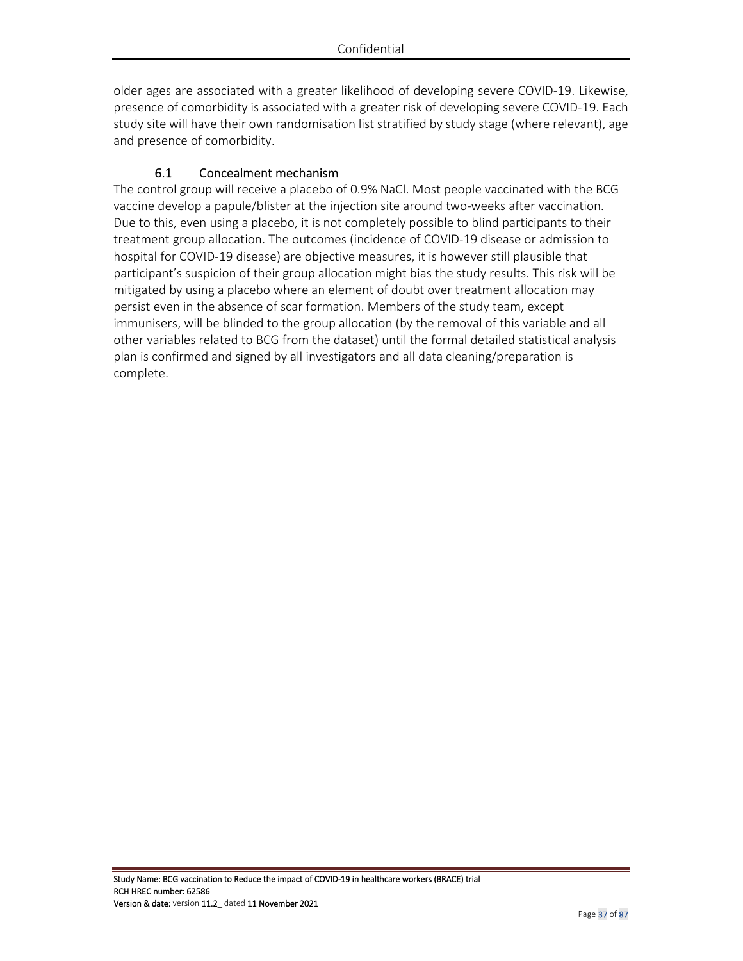older ages are associated with a greater likelihood of developing severe COVID-19. Likewise, presence of comorbidity is associated with a greater risk of developing severe COVID-19. Each study site will have their own randomisation list stratified by study stage (where relevant), age and presence of comorbidity.

## 6.1 Concealment mechanism

The control group will receive a placebo of 0.9% NaCl. Most people vaccinated with the BCG vaccine develop a papule/blister at the injection site around two-weeks after vaccination. Due to this, even using a placebo, it is not completely possible to blind participants to their treatment group allocation. The outcomes (incidence of COVID-19 disease or admission to hospital for COVID-19 disease) are objective measures, it is however still plausible that participant's suspicion of their group allocation might bias the study results. This risk will be mitigated by using a placebo where an element of doubt over treatment allocation may persist even in the absence of scar formation. Members of the study team, except immunisers, will be blinded to the group allocation (by the removal of this variable and all other variables related to BCG from the dataset) until the formal detailed statistical analysis plan is confirmed and signed by all investigators and all data cleaning/preparation is complete.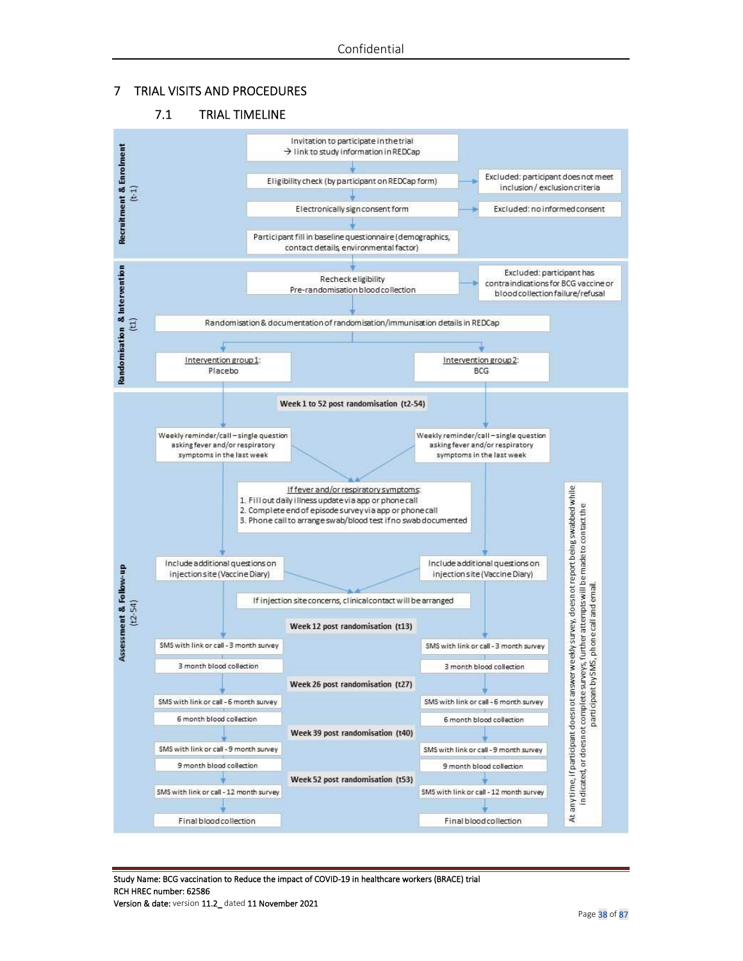#### 7 TRIAL VISITS AND PROCEDURES

#### 7.1 TRIAL TIMELINE



Study Name: BCG vaccination to Reduce the impact of COVID-19 in healthcare workers (BRACE) trial RCH HREC number: 62586 Version & date: version 11.2 dated 11 November 2021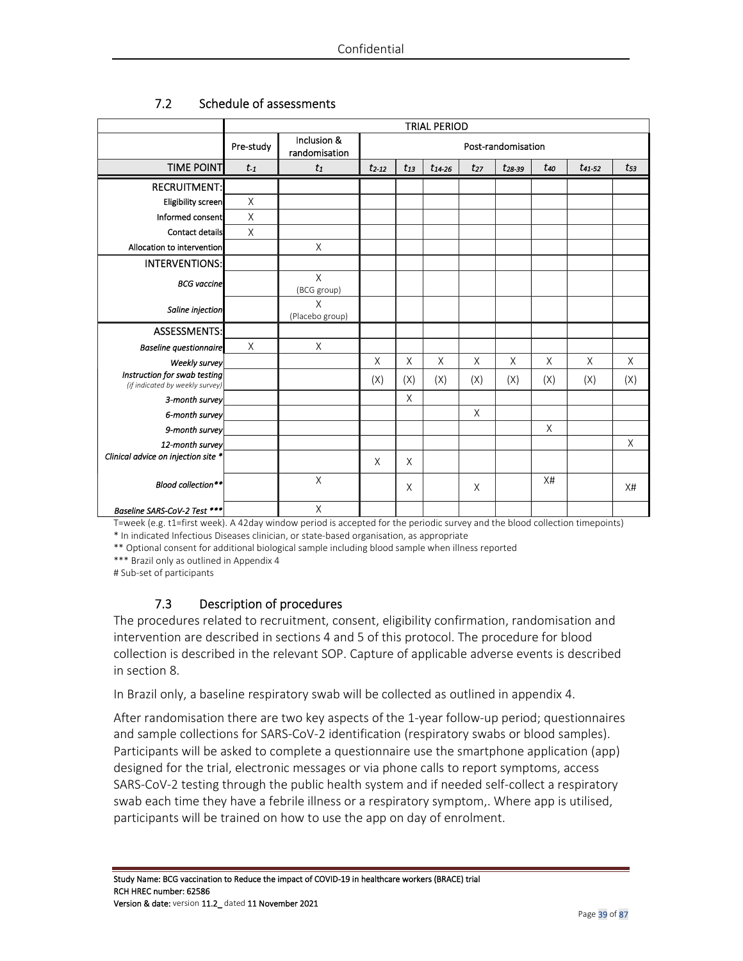|                                                                 | <b>TRIAL PERIOD</b> |                                                    |            |          |             |             |             |          |             |          |
|-----------------------------------------------------------------|---------------------|----------------------------------------------------|------------|----------|-------------|-------------|-------------|----------|-------------|----------|
|                                                                 | Pre-study           | Inclusion &<br>Post-randomisation<br>randomisation |            |          |             |             |             |          |             |          |
| <b>TIME POINT</b>                                               | $t_1$               | $t_1$                                              | $t_{2-12}$ | $t_{13}$ | $t_{14-26}$ | $t_{27}$    | $t_{28-39}$ | $t_{40}$ | $t_{41,52}$ | $t_{53}$ |
| <b>RECRUITMENT:</b>                                             |                     |                                                    |            |          |             |             |             |          |             |          |
| Eligibility screen                                              | $\mathsf X$         |                                                    |            |          |             |             |             |          |             |          |
| Informed consent                                                | X                   |                                                    |            |          |             |             |             |          |             |          |
| Contact details                                                 | $\times$            |                                                    |            |          |             |             |             |          |             |          |
| Allocation to intervention                                      |                     | X                                                  |            |          |             |             |             |          |             |          |
| <b>INTERVENTIONS:</b>                                           |                     |                                                    |            |          |             |             |             |          |             |          |
| <b>BCG</b> vaccine                                              |                     | Χ<br>(BCG group)                                   |            |          |             |             |             |          |             |          |
| Saline injection                                                |                     | X<br>(Placebo group)                               |            |          |             |             |             |          |             |          |
| <b>ASSESSMENTS:</b>                                             |                     |                                                    |            |          |             |             |             |          |             |          |
| <b>Baseline questionnaire</b>                                   | $\mathsf X$         | $\mathsf{X}% _{0}$                                 |            |          |             |             |             |          |             |          |
| Weekly survey                                                   |                     |                                                    | Χ          | X        | X           | $\mathsf X$ | X           | X        | $\times$    | X        |
| Instruction for swab testing<br>(if indicated by weekly survey) |                     |                                                    | (X)        | (X)      | (X)         | (X)         | (X)         | (X)      | (X)         | (X)      |
| 3-month survey                                                  |                     |                                                    |            | X        |             |             |             |          |             |          |
| 6-month survey                                                  |                     |                                                    |            |          |             | $\times$    |             |          |             |          |
| 9-month survey                                                  |                     |                                                    |            |          |             |             |             | X        |             |          |
| 12-month survey                                                 |                     |                                                    |            |          |             |             |             |          |             | X        |
| Clinical advice on injection site *                             |                     |                                                    | X          | X        |             |             |             |          |             |          |
| Blood collection**                                              |                     | $\mathsf X$                                        |            | X        |             | X           |             | X#       |             | X#       |
| Baseline SARS-CoV-2 Test ***                                    |                     | X                                                  |            |          |             |             |             |          |             |          |

### 7.2 Schedule of assessments

T=week (e.g. t1=first week). A 42day window period is accepted for the periodic survey and the blood collection timepoints)

\* In indicated Infectious Diseases clinician, or state-based organisation, as appropriate

\*\* Optional consent for additional biological sample including blood sample when illness reported

\*\*\* Brazil only as outlined in Appendix 4

# Sub-set of participants

### 7.3 Description of procedures

The procedures related to recruitment, consent, eligibility confirmation, randomisation and intervention are described in sections 4 and 5 of this protocol. The procedure for blood collection is described in the relevant SOP. Capture of applicable adverse events is described in section 8.

In Brazil only, a baseline respiratory swab will be collected as outlined in appendix 4.

After randomisation there are two key aspects of the 1-year follow-up period; questionnaires and sample collections for SARS-CoV-2 identification (respiratory swabs or blood samples). Participants will be asked to complete a questionnaire use the smartphone application (app) designed for the trial, electronic messages or via phone calls to report symptoms, access SARS-CoV-2 testing through the public health system and if needed self-collect a respiratory swab each time they have a febrile illness or a respiratory symptom,. Where app is utilised, participants will be trained on how to use the app on day of enrolment.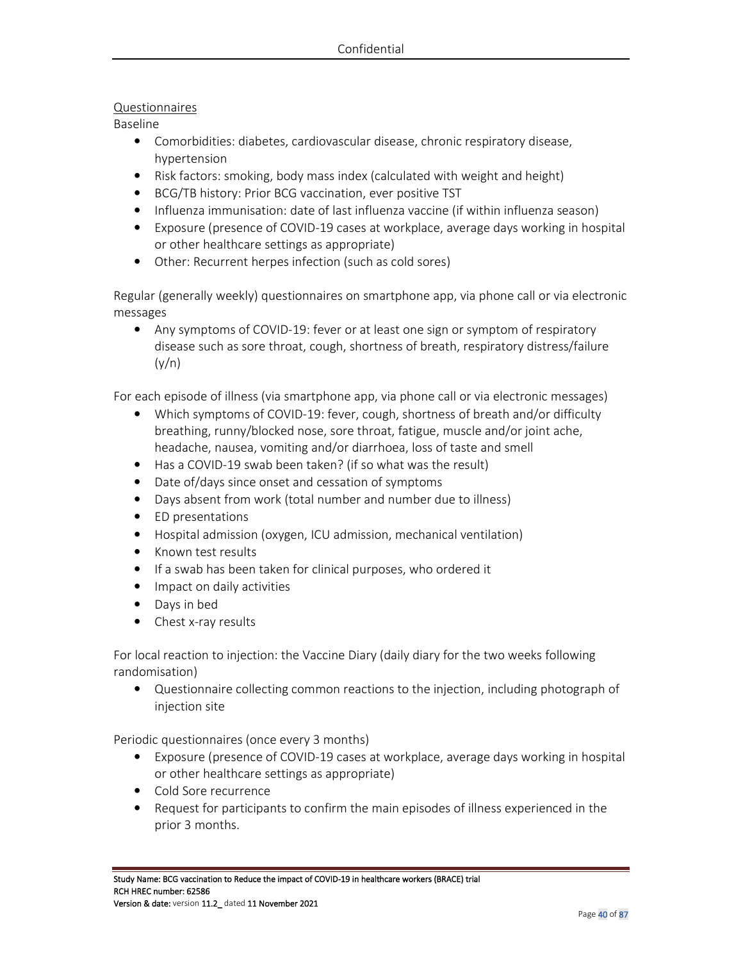### Questionnaires

Baseline

- Comorbidities: diabetes, cardiovascular disease, chronic respiratory disease, hypertension
- Risk factors: smoking, body mass index (calculated with weight and height)
- BCG/TB history: Prior BCG vaccination, ever positive TST
- Influenza immunisation: date of last influenza vaccine (if within influenza season)
- Exposure (presence of COVID-19 cases at workplace, average days working in hospital or other healthcare settings as appropriate)
- Other: Recurrent herpes infection (such as cold sores)

Regular (generally weekly) questionnaires on smartphone app, via phone call or via electronic messages

• Any symptoms of COVID-19: fever or at least one sign or symptom of respiratory disease such as sore throat, cough, shortness of breath, respiratory distress/failure  $(y/n)$ 

For each episode of illness (via smartphone app, via phone call or via electronic messages)

- Which symptoms of COVID-19: fever, cough, shortness of breath and/or difficulty breathing, runny/blocked nose, sore throat, fatigue, muscle and/or joint ache, headache, nausea, vomiting and/or diarrhoea, loss of taste and smell
- Has a COVID-19 swab been taken? (if so what was the result)
- Date of/days since onset and cessation of symptoms
- Days absent from work (total number and number due to illness)
- ED presentations
- Hospital admission (oxygen, ICU admission, mechanical ventilation)
- Known test results
- If a swab has been taken for clinical purposes, who ordered it
- Impact on daily activities
- Days in bed
- Chest x-ray results

For local reaction to injection: the Vaccine Diary (daily diary for the two weeks following randomisation)

• Questionnaire collecting common reactions to the injection, including photograph of injection site

Periodic questionnaires (once every 3 months)

- Exposure (presence of COVID-19 cases at workplace, average days working in hospital or other healthcare settings as appropriate)
- Cold Sore recurrence
- Request for participants to confirm the main episodes of illness experienced in the prior 3 months.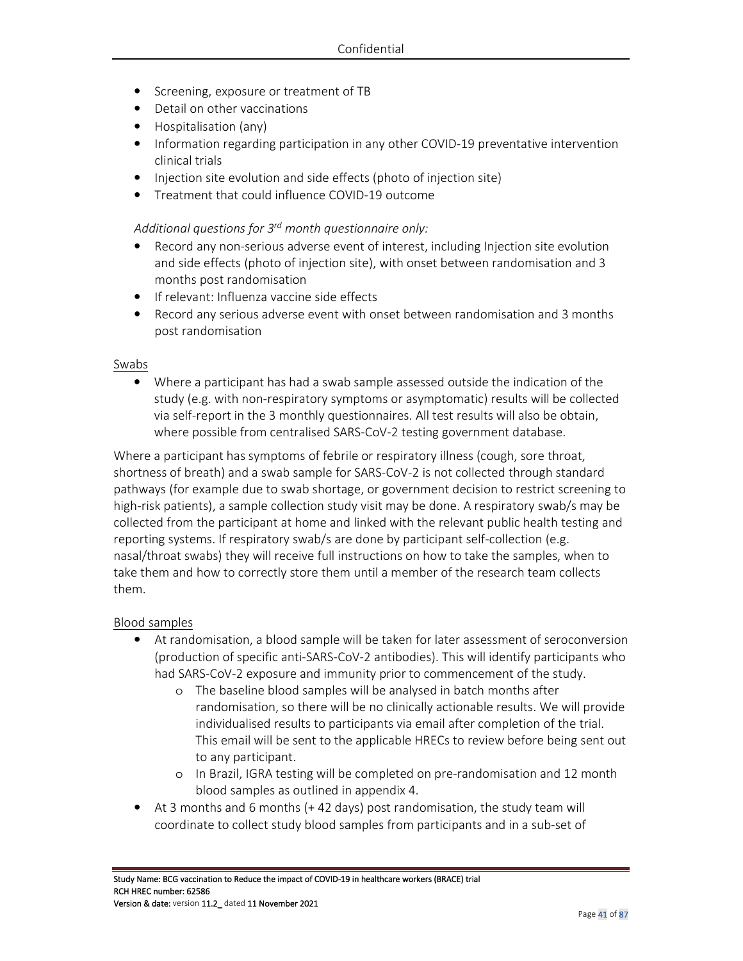- Screening, exposure or treatment of TB
- Detail on other vaccinations
- Hospitalisation (any)
- Information regarding participation in any other COVID-19 preventative intervention clinical trials
- Injection site evolution and side effects (photo of injection site)
- Treatment that could influence COVID-19 outcome

### *Additional questions for 3rd month questionnaire only:*

- Record any non-serious adverse event of interest, including Injection site evolution and side effects (photo of injection site), with onset between randomisation and 3 months post randomisation
- If relevant: Influenza vaccine side effects
- Record any serious adverse event with onset between randomisation and 3 months post randomisation

#### Swabs

• Where a participant has had a swab sample assessed outside the indication of the study (e.g. with non-respiratory symptoms or asymptomatic) results will be collected via self-report in the 3 monthly questionnaires. All test results will also be obtain, where possible from centralised SARS-CoV-2 testing government database.

Where a participant has symptoms of febrile or respiratory illness (cough, sore throat, shortness of breath) and a swab sample for SARS-CoV-2 is not collected through standard pathways (for example due to swab shortage, or government decision to restrict screening to high-risk patients), a sample collection study visit may be done. A respiratory swab/s may be collected from the participant at home and linked with the relevant public health testing and reporting systems. If respiratory swab/s are done by participant self-collection (e.g. nasal/throat swabs) they will receive full instructions on how to take the samples, when to take them and how to correctly store them until a member of the research team collects them.

#### Blood samples

- At randomisation, a blood sample will be taken for later assessment of seroconversion (production of specific anti-SARS-CoV-2 antibodies). This will identify participants who had SARS-CoV-2 exposure and immunity prior to commencement of the study.
	- o The baseline blood samples will be analysed in batch months after randomisation, so there will be no clinically actionable results. We will provide individualised results to participants via email after completion of the trial. This email will be sent to the applicable HRECs to review before being sent out to any participant.
	- o In Brazil, IGRA testing will be completed on pre-randomisation and 12 month blood samples as outlined in appendix 4.
- At 3 months and 6 months (+ 42 days) post randomisation, the study team will coordinate to collect study blood samples from participants and in a sub-set of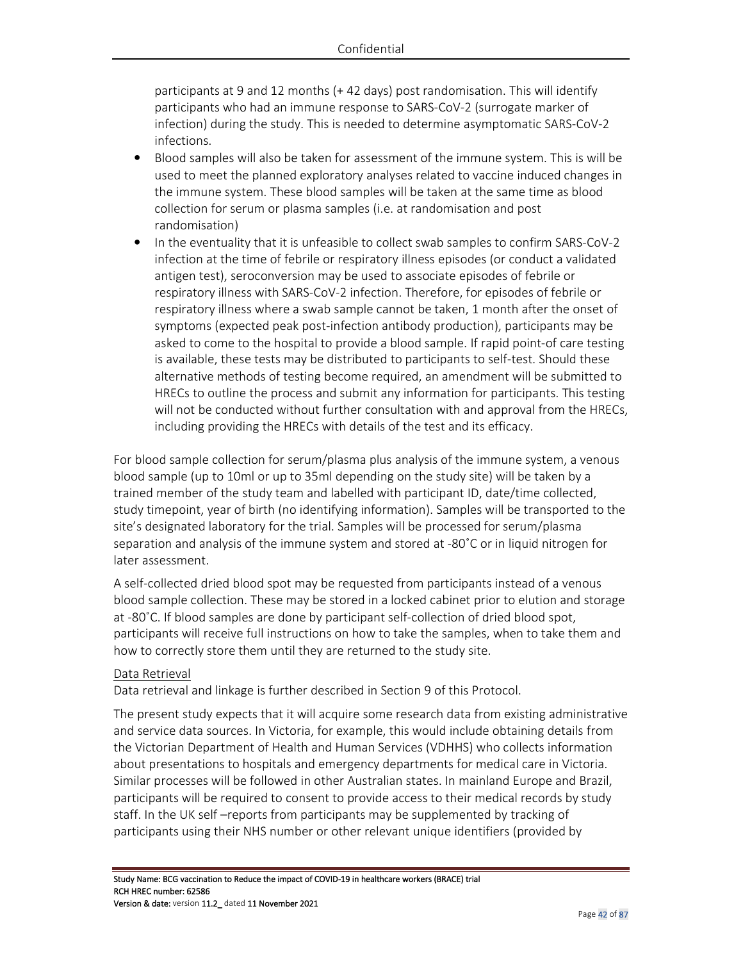participants at 9 and 12 months (+ 42 days) post randomisation. This will identify participants who had an immune response to SARS-CoV-2 (surrogate marker of infection) during the study. This is needed to determine asymptomatic SARS-CoV-2 infections.

- Blood samples will also be taken for assessment of the immune system. This is will be used to meet the planned exploratory analyses related to vaccine induced changes in the immune system. These blood samples will be taken at the same time as blood collection for serum or plasma samples (i.e. at randomisation and post randomisation)
- In the eventuality that it is unfeasible to collect swab samples to confirm SARS-CoV-2 infection at the time of febrile or respiratory illness episodes (or conduct a validated antigen test), seroconversion may be used to associate episodes of febrile or respiratory illness with SARS-CoV-2 infection. Therefore, for episodes of febrile or respiratory illness where a swab sample cannot be taken, 1 month after the onset of symptoms (expected peak post-infection antibody production), participants may be asked to come to the hospital to provide a blood sample. If rapid point-of care testing is available, these tests may be distributed to participants to self-test. Should these alternative methods of testing become required, an amendment will be submitted to HRECs to outline the process and submit any information for participants. This testing will not be conducted without further consultation with and approval from the HRECs, including providing the HRECs with details of the test and its efficacy.

For blood sample collection for serum/plasma plus analysis of the immune system, a venous blood sample (up to 10ml or up to 35ml depending on the study site) will be taken by a trained member of the study team and labelled with participant ID, date/time collected, study timepoint, year of birth (no identifying information). Samples will be transported to the site's designated laboratory for the trial. Samples will be processed for serum/plasma separation and analysis of the immune system and stored at -80˚C or in liquid nitrogen for later assessment.

A self-collected dried blood spot may be requested from participants instead of a venous blood sample collection. These may be stored in a locked cabinet prior to elution and storage at -80˚C. If blood samples are done by participant self-collection of dried blood spot, participants will receive full instructions on how to take the samples, when to take them and how to correctly store them until they are returned to the study site.

### Data Retrieval

Data retrieval and linkage is further described in Section 9 of this Protocol.

The present study expects that it will acquire some research data from existing administrative and service data sources. In Victoria, for example, this would include obtaining details from the Victorian Department of Health and Human Services (VDHHS) who collects information about presentations to hospitals and emergency departments for medical care in Victoria. Similar processes will be followed in other Australian states. In mainland Europe and Brazil, participants will be required to consent to provide access to their medical records by study staff. In the UK self –reports from participants may be supplemented by tracking of participants using their NHS number or other relevant unique identifiers (provided by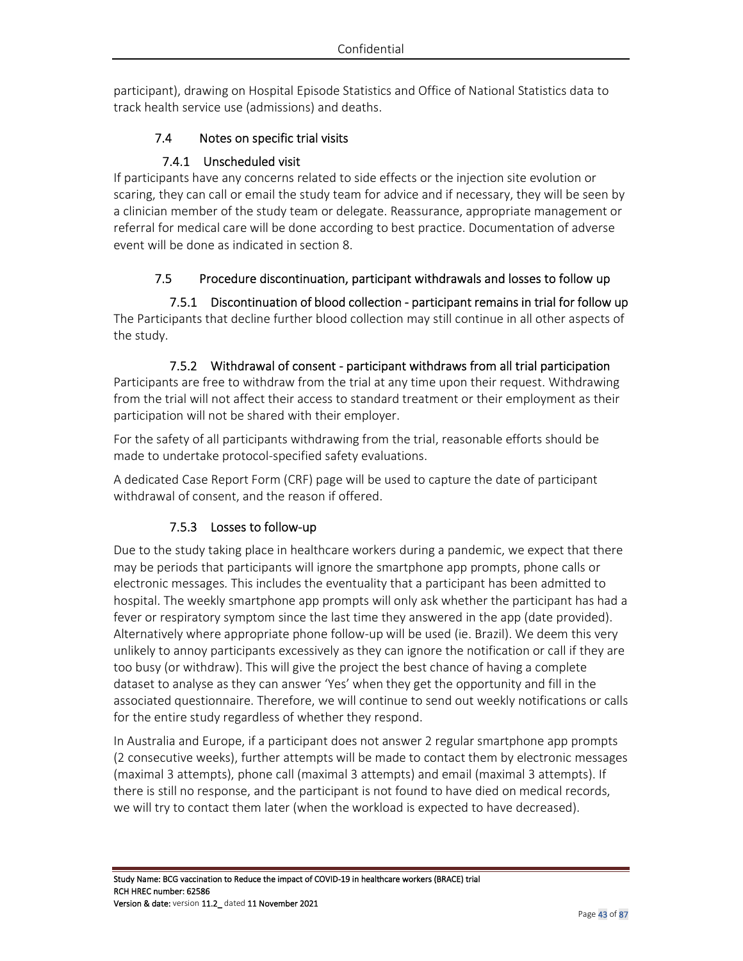participant), drawing on Hospital Episode Statistics and Office of National Statistics data to track health service use (admissions) and deaths.

# 7.4 Notes on specific trial visits

# 7.4.1 Unscheduled visit

If participants have any concerns related to side effects or the injection site evolution or scaring, they can call or email the study team for advice and if necessary, they will be seen by a clinician member of the study team or delegate. Reassurance, appropriate management or referral for medical care will be done according to best practice. Documentation of adverse event will be done as indicated in section 8.

# 7.5 Procedure discontinuation, participant withdrawals and losses to follow up

7.5.1 Discontinuation of blood collection - participant remains in trial for follow up The Participants that decline further blood collection may still continue in all other aspects of the study.

## 7.5.2 Withdrawal of consent - participant withdraws from all trial participation

Participants are free to withdraw from the trial at any time upon their request. Withdrawing from the trial will not affect their access to standard treatment or their employment as their participation will not be shared with their employer.

For the safety of all participants withdrawing from the trial, reasonable efforts should be made to undertake protocol-specified safety evaluations.

A dedicated Case Report Form (CRF) page will be used to capture the date of participant withdrawal of consent, and the reason if offered.

# 7.5.3 Losses to follow-up

Due to the study taking place in healthcare workers during a pandemic, we expect that there may be periods that participants will ignore the smartphone app prompts, phone calls or electronic messages. This includes the eventuality that a participant has been admitted to hospital. The weekly smartphone app prompts will only ask whether the participant has had a fever or respiratory symptom since the last time they answered in the app (date provided). Alternatively where appropriate phone follow-up will be used (ie. Brazil). We deem this very unlikely to annoy participants excessively as they can ignore the notification or call if they are too busy (or withdraw). This will give the project the best chance of having a complete dataset to analyse as they can answer 'Yes' when they get the opportunity and fill in the associated questionnaire. Therefore, we will continue to send out weekly notifications or calls for the entire study regardless of whether they respond.

In Australia and Europe, if a participant does not answer 2 regular smartphone app prompts (2 consecutive weeks), further attempts will be made to contact them by electronic messages (maximal 3 attempts), phone call (maximal 3 attempts) and email (maximal 3 attempts). If there is still no response, and the participant is not found to have died on medical records, we will try to contact them later (when the workload is expected to have decreased).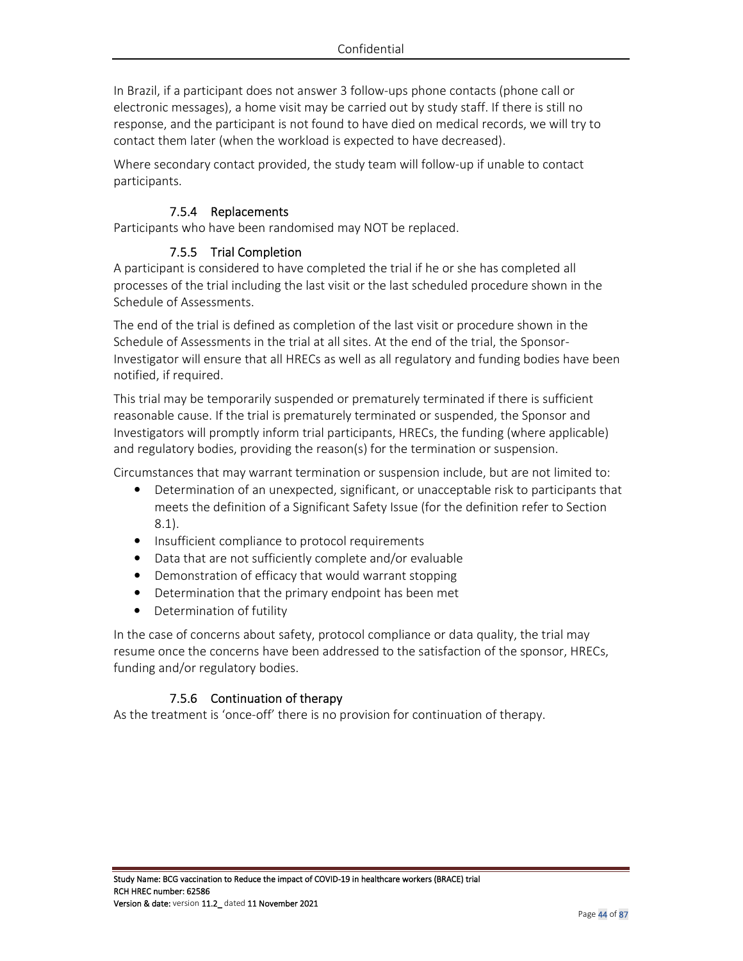In Brazil, if a participant does not answer 3 follow-ups phone contacts (phone call or electronic messages), a home visit may be carried out by study staff. If there is still no response, and the participant is not found to have died on medical records, we will try to contact them later (when the workload is expected to have decreased).

Where secondary contact provided, the study team will follow-up if unable to contact participants.

## 7.5.4 Replacements

Participants who have been randomised may NOT be replaced.

### 7.5.5 Trial Completion

A participant is considered to have completed the trial if he or she has completed all processes of the trial including the last visit or the last scheduled procedure shown in the Schedule of Assessments.

The end of the trial is defined as completion of the last visit or procedure shown in the Schedule of Assessments in the trial at all sites. At the end of the trial, the Sponsor-Investigator will ensure that all HRECs as well as all regulatory and funding bodies have been notified, if required.

This trial may be temporarily suspended or prematurely terminated if there is sufficient reasonable cause. If the trial is prematurely terminated or suspended, the Sponsor and Investigators will promptly inform trial participants, HRECs, the funding (where applicable) and regulatory bodies, providing the reason(s) for the termination or suspension.

Circumstances that may warrant termination or suspension include, but are not limited to:

- Determination of an unexpected, significant, or unacceptable risk to participants that meets the definition of a Significant Safety Issue (for the definition refer to Section 8.1).
- Insufficient compliance to protocol requirements
- Data that are not sufficiently complete and/or evaluable
- Demonstration of efficacy that would warrant stopping
- Determination that the primary endpoint has been met
- Determination of futility

In the case of concerns about safety, protocol compliance or data quality, the trial may resume once the concerns have been addressed to the satisfaction of the sponsor, HRECs, funding and/or regulatory bodies.

### 7.5.6 Continuation of therapy

As the treatment is 'once-off' there is no provision for continuation of therapy.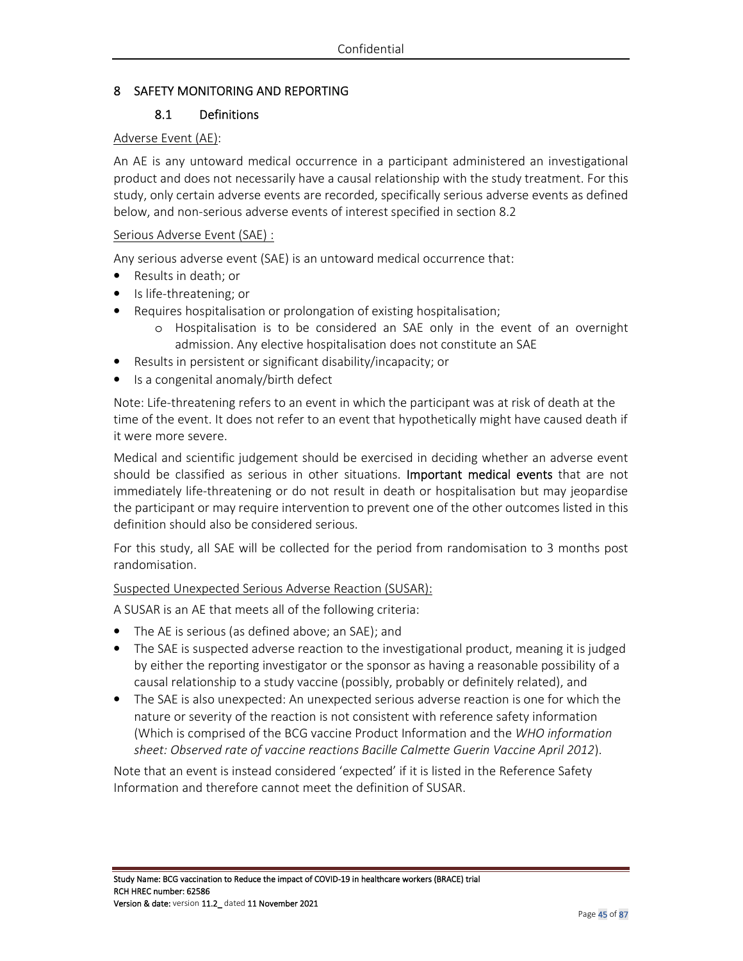## 8 SAFETY MONITORING AND REPORTING

### 8.1 Definitions

#### Adverse Event (AE):

An AE is any untoward medical occurrence in a participant administered an investigational product and does not necessarily have a causal relationship with the study treatment. For this study, only certain adverse events are recorded, specifically serious adverse events as defined below, and non-serious adverse events of interest specified in section 8.2

#### Serious Adverse Event (SAE) :

Any serious adverse event (SAE) is an untoward medical occurrence that:

- Results in death; or
- Is life-threatening; or
- Requires hospitalisation or prolongation of existing hospitalisation;
	- o Hospitalisation is to be considered an SAE only in the event of an overnight admission. Any elective hospitalisation does not constitute an SAE
- Results in persistent or significant disability/incapacity; or
- Is a congenital anomaly/birth defect

Note: Life-threatening refers to an event in which the participant was at risk of death at the time of the event. It does not refer to an event that hypothetically might have caused death if it were more severe.

Medical and scientific judgement should be exercised in deciding whether an adverse event should be classified as serious in other situations. Important medical events that are not immediately life-threatening or do not result in death or hospitalisation but may jeopardise the participant or may require intervention to prevent one of the other outcomes listed in this definition should also be considered serious.

For this study, all SAE will be collected for the period from randomisation to 3 months post randomisation.

Suspected Unexpected Serious Adverse Reaction (SUSAR):

A SUSAR is an AE that meets all of the following criteria:

- The AE is serious (as defined above; an SAE); and
- The SAE is suspected adverse reaction to the investigational product, meaning it is judged by either the reporting investigator or the sponsor as having a reasonable possibility of a causal relationship to a study vaccine (possibly, probably or definitely related), and
- The SAE is also unexpected: An unexpected serious adverse reaction is one for which the nature or severity of the reaction is not consistent with reference safety information (Which is comprised of the BCG vaccine Product Information and the *WHO information sheet: Observed rate of vaccine reactions Bacille Calmette Guerin Vaccine April 2012*).

Note that an event is instead considered 'expected' if it is listed in the Reference Safety Information and therefore cannot meet the definition of SUSAR.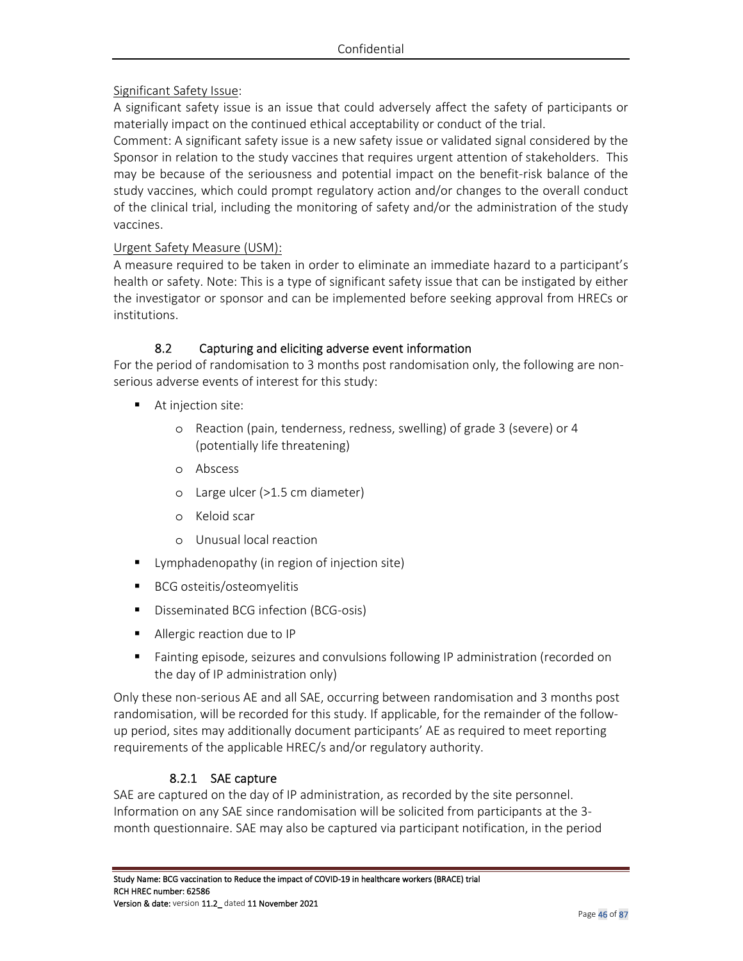### Significant Safety Issue:

A significant safety issue is an issue that could adversely affect the safety of participants or materially impact on the continued ethical acceptability or conduct of the trial.

Comment: A significant safety issue is a new safety issue or validated signal considered by the Sponsor in relation to the study vaccines that requires urgent attention of stakeholders. This may be because of the seriousness and potential impact on the benefit-risk balance of the study vaccines, which could prompt regulatory action and/or changes to the overall conduct of the clinical trial, including the monitoring of safety and/or the administration of the study vaccines.

### Urgent Safety Measure (USM):

A measure required to be taken in order to eliminate an immediate hazard to a participant's health or safety. Note: This is a type of significant safety issue that can be instigated by either the investigator or sponsor and can be implemented before seeking approval from HRECs or institutions.

### 8.2 Capturing and eliciting adverse event information

For the period of randomisation to 3 months post randomisation only, the following are nonserious adverse events of interest for this study:

- At injection site:
	- o Reaction (pain, tenderness, redness, swelling) of grade 3 (severe) or 4 (potentially life threatening)
	- o Abscess
	- o Large ulcer (>1.5 cm diameter)
	- o Keloid scar
	- o Unusual local reaction
- Lymphadenopathy (in region of injection site)
- BCG osteitis/osteomyelitis
- Disseminated BCG infection (BCG-osis)
- Allergic reaction due to IP
- Fainting episode, seizures and convulsions following IP administration (recorded on the day of IP administration only)

Only these non-serious AE and all SAE, occurring between randomisation and 3 months post randomisation, will be recorded for this study. If applicable, for the remainder of the followup period, sites may additionally document participants' AE as required to meet reporting requirements of the applicable HREC/s and/or regulatory authority.

### 8.2.1 SAE capture

SAE are captured on the day of IP administration, as recorded by the site personnel. Information on any SAE since randomisation will be solicited from participants at the 3 month questionnaire. SAE may also be captured via participant notification, in the period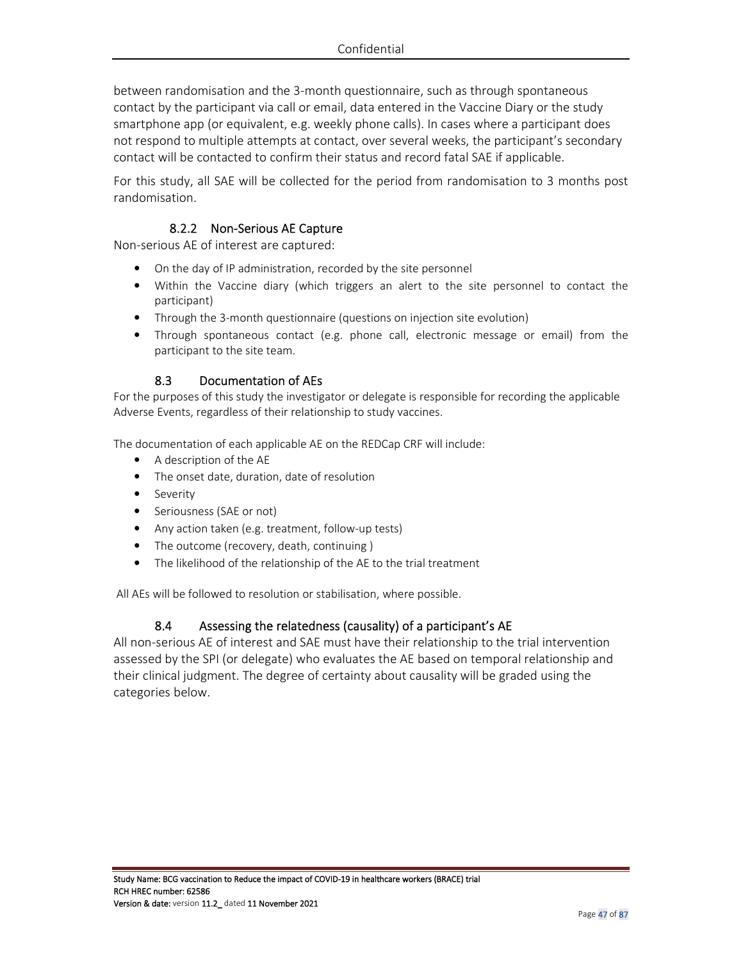between randomisation and the 3-month questionnaire, such as through spontaneous contact by the participant via call or email, data entered in the Vaccine Diary or the study smartphone app (or equivalent, e.g. weekly phone calls). In cases where a participant does not respond to multiple attempts at contact, over several weeks, the participant's secondary contact will be contacted to confirm their status and record fatal SAE if applicable.

For this study, all SAE will be collected for the period from randomisation to 3 months post randomisation.

### 8.2.2 Non-Serious AE Capture

Non-serious AE of interest are captured:

- On the day of IP administration, recorded by the site personnel
- Within the Vaccine diary (which triggers an alert to the site personnel to contact the participant)
- Through the 3-month questionnaire (questions on injection site evolution)
- Through spontaneous contact (e.g. phone call, electronic message or email) from the participant to the site team.

#### 8.3 Documentation of AEs

For the purposes of this study the investigator or delegate is responsible for recording the applicable Adverse Events, regardless of their relationship to study vaccines.

The documentation of each applicable AE on the REDCap CRF will include:

- A description of the AE
- The onset date, duration, date of resolution
- Severity
- Seriousness (SAE or not)
- Any action taken (e.g. treatment, follow-up tests)
- The outcome (recovery, death, continuing)
- The likelihood of the relationship of the AE to the trial treatment

All AEs will be followed to resolution or stabilisation, where possible.

#### 8.4 Assessing the relatedness (causality) of a participant's AE

All non-serious AE of interest and SAE must have their relationship to the trial intervention assessed by the SPI (or delegate) who evaluates the AE based on temporal relationship and their clinical judgment. The degree of certainty about causality will be graded using the categories below.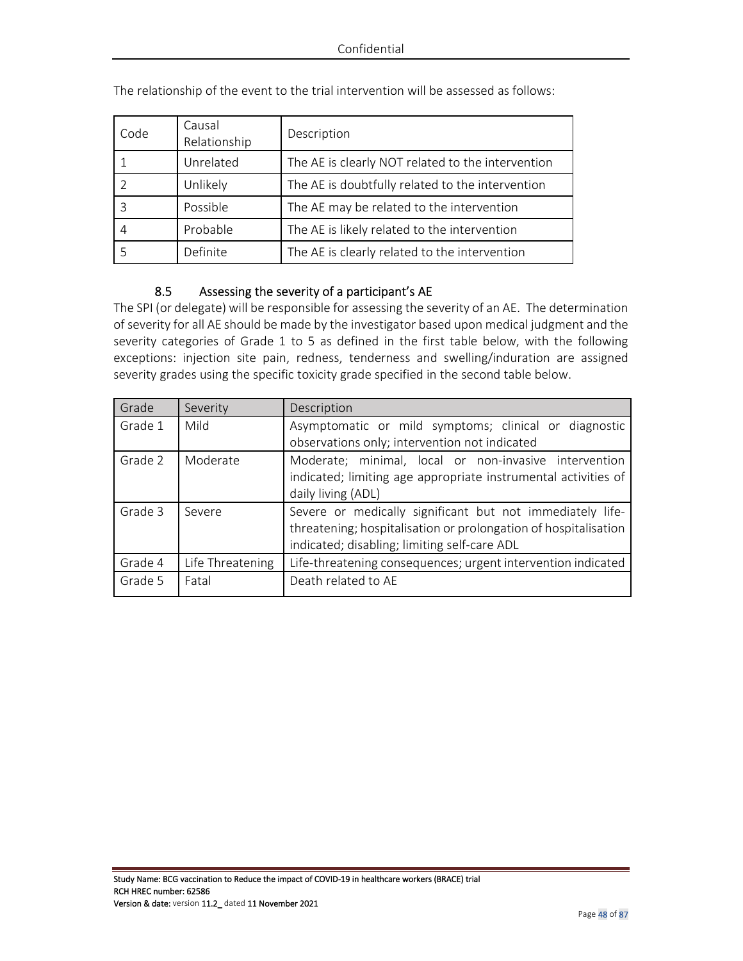| Code | Causal<br>Relationship | Description                                       |
|------|------------------------|---------------------------------------------------|
|      | Unrelated              | The AE is clearly NOT related to the intervention |
|      | Unlikely               | The AE is doubtfully related to the intervention  |
|      | Possible               | The AE may be related to the intervention         |
|      | Probable               | The AE is likely related to the intervention      |
|      | Definite               | The AE is clearly related to the intervention     |

The relationship of the event to the trial intervention will be assessed as follows:

### 8.5 Assessing the severity of a participant's AE

The SPI (or delegate) will be responsible for assessing the severity of an AE. The determination of severity for all AE should be made by the investigator based upon medical judgment and the severity categories of Grade 1 to 5 as defined in the first table below, with the following exceptions: injection site pain, redness, tenderness and swelling/induration are assigned severity grades using the specific toxicity grade specified in the second table below.

| Grade   | Severity         | Description                                                     |
|---------|------------------|-----------------------------------------------------------------|
| Grade 1 | Mild             | Asymptomatic or mild symptoms; clinical or diagnostic           |
|         |                  | observations only; intervention not indicated                   |
| Grade 2 | Moderate         | Moderate; minimal, local or non-invasive intervention           |
|         |                  | indicated; limiting age appropriate instrumental activities of  |
|         |                  | daily living (ADL)                                              |
| Grade 3 | Severe           | Severe or medically significant but not immediately life-       |
|         |                  | threatening; hospitalisation or prolongation of hospitalisation |
|         |                  | indicated; disabling; limiting self-care ADL                    |
| Grade 4 | Life Threatening | Life-threatening consequences; urgent intervention indicated    |
| Grade 5 | Fatal            | Death related to AE                                             |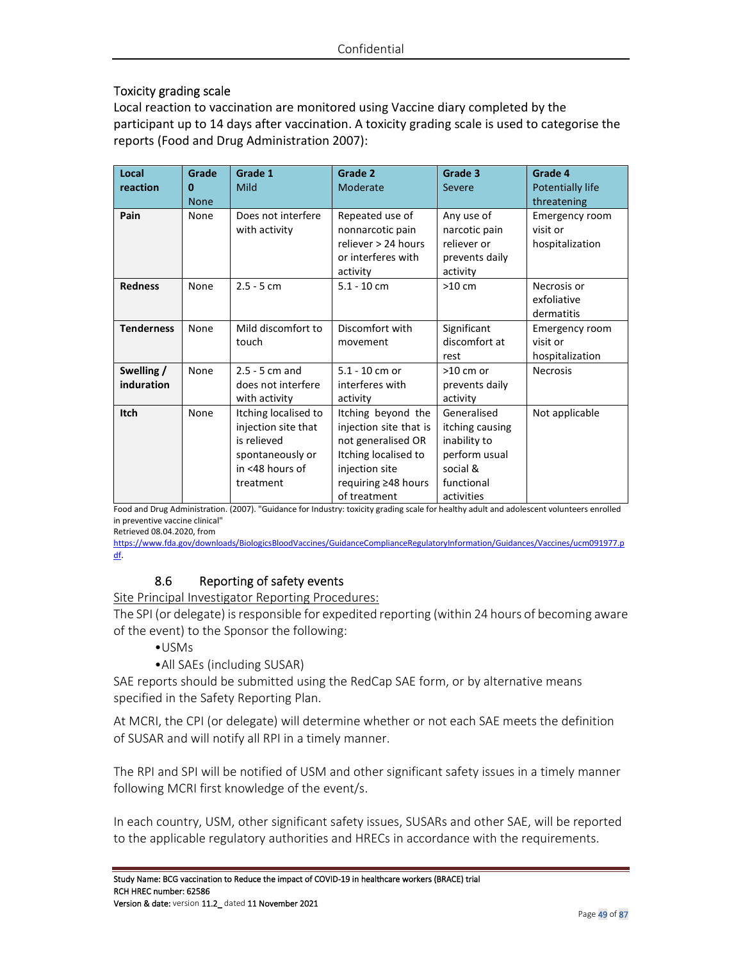## Toxicity grading scale

Local reaction to vaccination are monitored using Vaccine diary completed by the participant up to 14 days after vaccination. A toxicity grading scale is used to categorise the reports (Food and Drug Administration 2007):

| Local             | Grade       | Grade 1              | Grade 2                | Grade 3         | Grade 4          |
|-------------------|-------------|----------------------|------------------------|-----------------|------------------|
| reaction          | 0           | Mild                 | Moderate               | Severe          | Potentially life |
|                   | <b>None</b> |                      |                        |                 | threatening      |
| Pain              | None        | Does not interfere   | Repeated use of        | Any use of      | Emergency room   |
|                   |             | with activity        | nonnarcotic pain       | narcotic pain   | visit or         |
|                   |             |                      | reliever > 24 hours    | reliever or     | hospitalization  |
|                   |             |                      | or interferes with     | prevents daily  |                  |
|                   |             |                      | activity               | activity        |                  |
| <b>Redness</b>    | None        | $2.5 - 5$ cm         | $5.1 - 10$ cm          | $>10$ cm        | Necrosis or      |
|                   |             |                      |                        |                 | exfoliative      |
|                   |             |                      |                        |                 | dermatitis       |
| <b>Tenderness</b> | None        | Mild discomfort to   | Discomfort with        | Significant     | Emergency room   |
|                   |             | touch                | movement               | discomfort at   | visit or         |
|                   |             |                      |                        | rest            | hospitalization  |
| Swelling /        | None        | $2.5 - 5$ cm and     | $5.1 - 10$ cm or       | $>10$ cm or     | <b>Necrosis</b>  |
| induration        |             | does not interfere   | interferes with        | prevents daily  |                  |
|                   |             | with activity        | activity               | activity        |                  |
| Itch              | None        | Itching localised to | Itching beyond the     | Generalised     | Not applicable   |
|                   |             | injection site that  | injection site that is | itching causing |                  |
|                   |             | is relieved          | not generalised OR     | inability to    |                  |
|                   |             | spontaneously or     | Itching localised to   | perform usual   |                  |
|                   |             | in <48 hours of      | injection site         | social &        |                  |
|                   |             | treatment            | requiring ≥48 hours    | functional      |                  |
|                   |             |                      | of treatment           | activities      |                  |

Food and Drug Administration. (2007). "Guidance for Industry: toxicity grading scale for healthy adult and adolescent volunteers enrolled in preventive vaccine clinical"

Retrieved 08.04.2020, from

https://www.fda.gov/downloads/BiologicsBloodVaccines/GuidanceComplianceRegulatoryInformation/Guidances/Vaccines/ucm091977.p df.

# 8.6 Reporting of safety events

### Site Principal Investigator Reporting Procedures:

The SPI (or delegate) is responsible for expedited reporting (within 24 hours of becoming aware of the event) to the Sponsor the following:

- •USMs
- •All SAEs (including SUSAR)

SAE reports should be submitted using the RedCap SAE form, or by alternative means specified in the Safety Reporting Plan.

At MCRI, the CPI (or delegate) will determine whether or not each SAE meets the definition of SUSAR and will notify all RPI in a timely manner.

The RPI and SPI will be notified of USM and other significant safety issues in a timely manner following MCRI first knowledge of the event/s.

In each country, USM, other significant safety issues, SUSARs and other SAE, will be reported to the applicable regulatory authorities and HRECs in accordance with the requirements.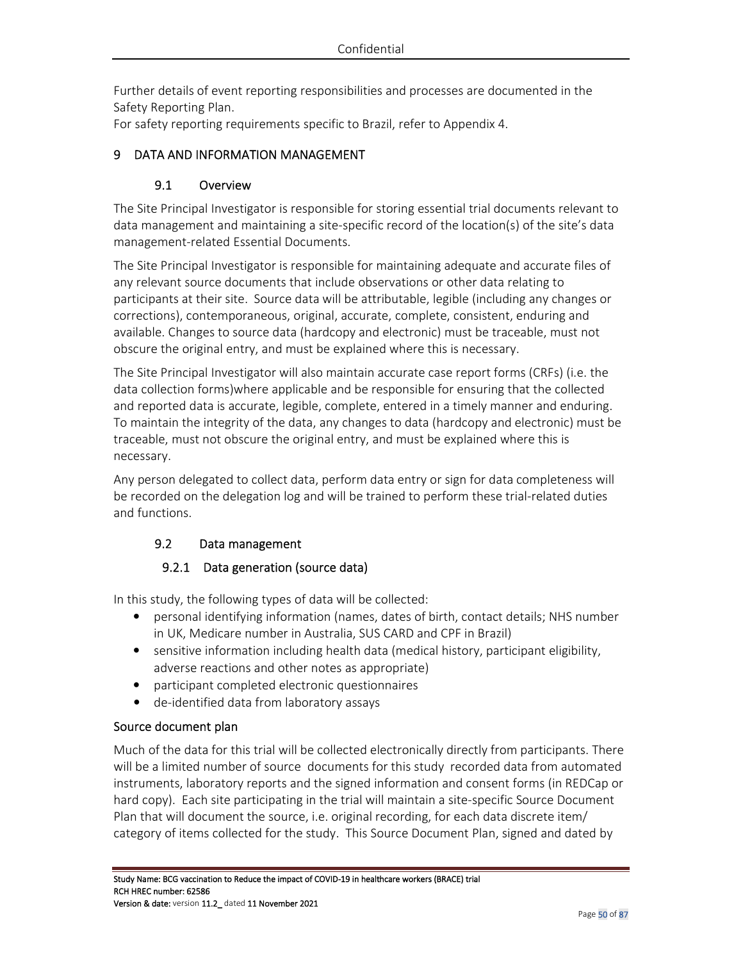Further details of event reporting responsibilities and processes are documented in the Safety Reporting Plan.

For safety reporting requirements specific to Brazil, refer to Appendix 4.

# 9 DATA AND INFORMATION MANAGEMENT

## 9.1 Overview

The Site Principal Investigator is responsible for storing essential trial documents relevant to data management and maintaining a site-specific record of the location(s) of the site's data management-related Essential Documents.

The Site Principal Investigator is responsible for maintaining adequate and accurate files of any relevant source documents that include observations or other data relating to participants at their site. Source data will be attributable, legible (including any changes or corrections), contemporaneous, original, accurate, complete, consistent, enduring and available. Changes to source data (hardcopy and electronic) must be traceable, must not obscure the original entry, and must be explained where this is necessary.

The Site Principal Investigator will also maintain accurate case report forms (CRFs) (i.e. the data collection forms)where applicable and be responsible for ensuring that the collected and reported data is accurate, legible, complete, entered in a timely manner and enduring. To maintain the integrity of the data, any changes to data (hardcopy and electronic) must be traceable, must not obscure the original entry, and must be explained where this is necessary.

Any person delegated to collect data, perform data entry or sign for data completeness will be recorded on the delegation log and will be trained to perform these trial-related duties and functions.

# 9.2 Data management

# 9.2.1 Data generation (source data)

In this study, the following types of data will be collected:

- personal identifying information (names, dates of birth, contact details; NHS number in UK, Medicare number in Australia, SUS CARD and CPF in Brazil)
- sensitive information including health data (medical history, participant eligibility, adverse reactions and other notes as appropriate)
- participant completed electronic questionnaires
- de-identified data from laboratory assays

### Source document plan

Much of the data for this trial will be collected electronically directly from participants. There will be a limited number of source documents for this study recorded data from automated instruments, laboratory reports and the signed information and consent forms (in REDCap or hard copy). Each site participating in the trial will maintain a site-specific Source Document Plan that will document the source, i.e. original recording, for each data discrete item/ category of items collected for the study. This Source Document Plan, signed and dated by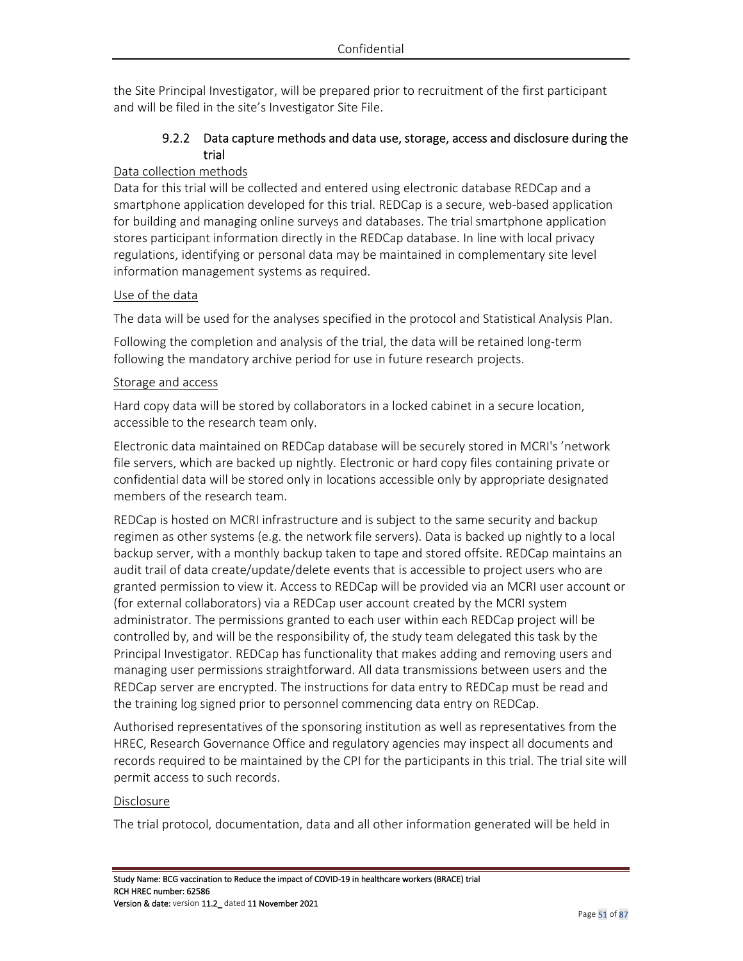the Site Principal Investigator, will be prepared prior to recruitment of the first participant and will be filed in the site's Investigator Site File.

# 9.2.2 Data capture methods and data use, storage, access and disclosure during the trial

### Data collection methods

Data for this trial will be collected and entered using electronic database REDCap and a smartphone application developed for this trial. REDCap is a secure, web-based application for building and managing online surveys and databases. The trial smartphone application stores participant information directly in the REDCap database. In line with local privacy regulations, identifying or personal data may be maintained in complementary site level information management systems as required.

### Use of the data

The data will be used for the analyses specified in the protocol and Statistical Analysis Plan.

Following the completion and analysis of the trial, the data will be retained long-term following the mandatory archive period for use in future research projects.

#### Storage and access

Hard copy data will be stored by collaborators in a locked cabinet in a secure location, accessible to the research team only.

Electronic data maintained on REDCap database will be securely stored in MCRI's 'network file servers, which are backed up nightly. Electronic or hard copy files containing private or confidential data will be stored only in locations accessible only by appropriate designated members of the research team.

REDCap is hosted on MCRI infrastructure and is subject to the same security and backup regimen as other systems (e.g. the network file servers). Data is backed up nightly to a local backup server, with a monthly backup taken to tape and stored offsite. REDCap maintains an audit trail of data create/update/delete events that is accessible to project users who are granted permission to view it. Access to REDCap will be provided via an MCRI user account or (for external collaborators) via a REDCap user account created by the MCRI system administrator. The permissions granted to each user within each REDCap project will be controlled by, and will be the responsibility of, the study team delegated this task by the Principal Investigator. REDCap has functionality that makes adding and removing users and managing user permissions straightforward. All data transmissions between users and the REDCap server are encrypted. The instructions for data entry to REDCap must be read and the training log signed prior to personnel commencing data entry on REDCap.

Authorised representatives of the sponsoring institution as well as representatives from the HREC, Research Governance Office and regulatory agencies may inspect all documents and records required to be maintained by the CPI for the participants in this trial. The trial site will permit access to such records.

#### Disclosure

The trial protocol, documentation, data and all other information generated will be held in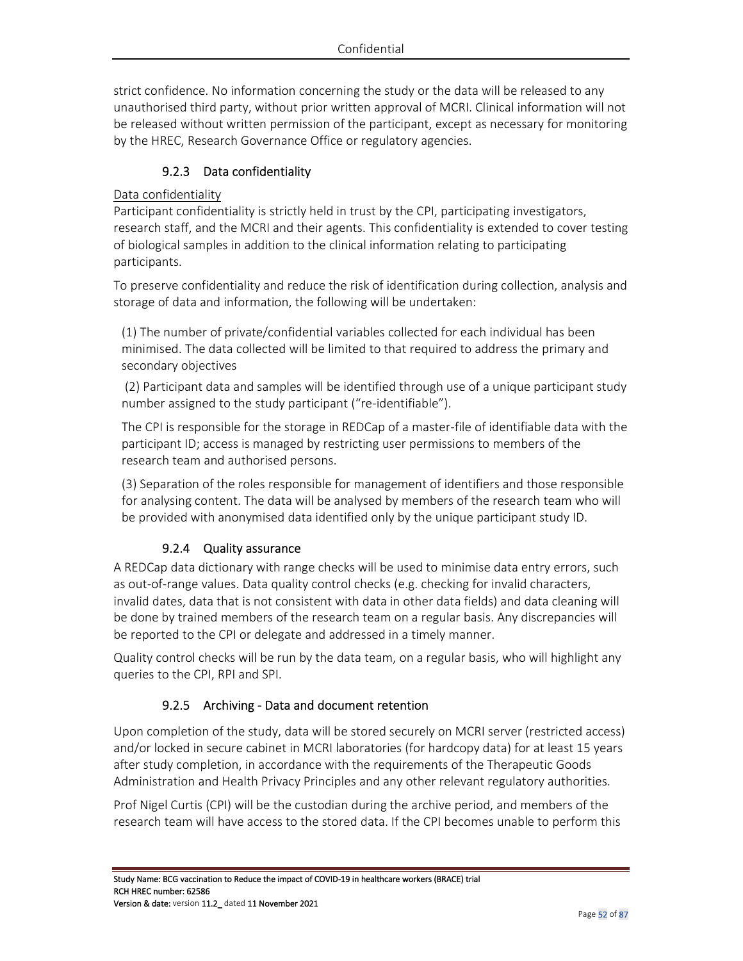strict confidence. No information concerning the study or the data will be released to any unauthorised third party, without prior written approval of MCRI. Clinical information will not be released without written permission of the participant, except as necessary for monitoring by the HREC, Research Governance Office or regulatory agencies.

# 9.2.3 Data confidentiality

### Data confidentiality

Participant confidentiality is strictly held in trust by the CPI, participating investigators, research staff, and the MCRI and their agents. This confidentiality is extended to cover testing of biological samples in addition to the clinical information relating to participating participants.

To preserve confidentiality and reduce the risk of identification during collection, analysis and storage of data and information, the following will be undertaken:

(1) The number of private/confidential variables collected for each individual has been minimised. The data collected will be limited to that required to address the primary and secondary objectives

 (2) Participant data and samples will be identified through use of a unique participant study number assigned to the study participant ("re-identifiable").

The CPI is responsible for the storage in REDCap of a master-file of identifiable data with the participant ID; access is managed by restricting user permissions to members of the research team and authorised persons.

(3) Separation of the roles responsible for management of identifiers and those responsible for analysing content. The data will be analysed by members of the research team who will be provided with anonymised data identified only by the unique participant study ID.

# 9.2.4 Quality assurance

A REDCap data dictionary with range checks will be used to minimise data entry errors, such as out-of-range values. Data quality control checks (e.g. checking for invalid characters, invalid dates, data that is not consistent with data in other data fields) and data cleaning will be done by trained members of the research team on a regular basis. Any discrepancies will be reported to the CPI or delegate and addressed in a timely manner.

Quality control checks will be run by the data team, on a regular basis, who will highlight any queries to the CPI, RPI and SPI.

# 9.2.5 Archiving - Data and document retention

Upon completion of the study, data will be stored securely on MCRI server (restricted access) and/or locked in secure cabinet in MCRI laboratories (for hardcopy data) for at least 15 years after study completion, in accordance with the requirements of the Therapeutic Goods Administration and Health Privacy Principles and any other relevant regulatory authorities.

Prof Nigel Curtis (CPI) will be the custodian during the archive period, and members of the research team will have access to the stored data. If the CPI becomes unable to perform this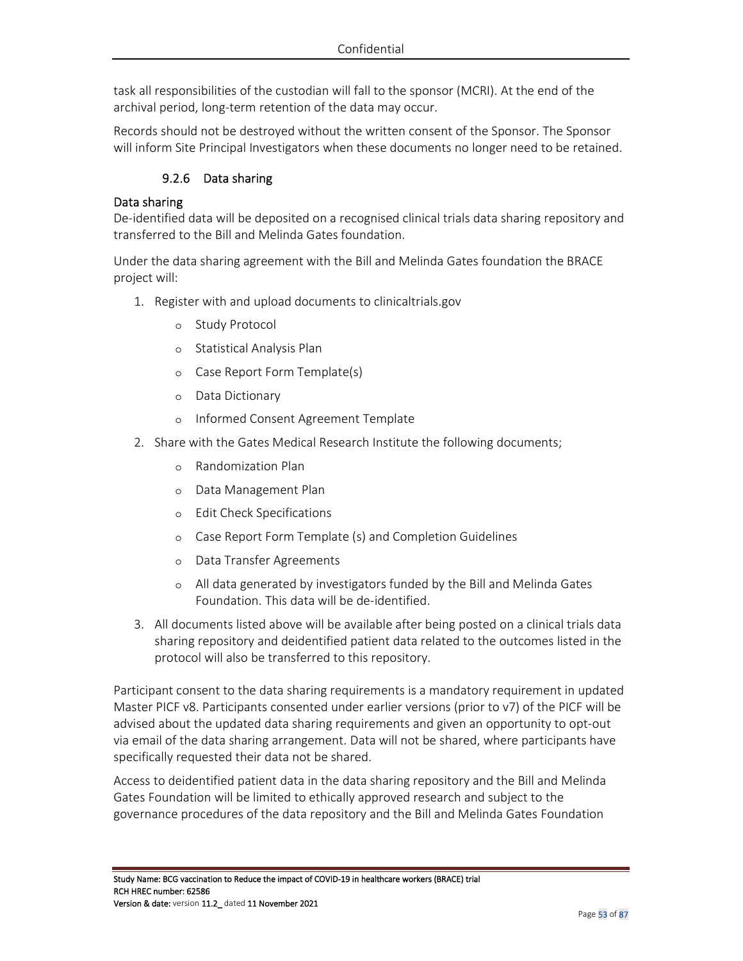task all responsibilities of the custodian will fall to the sponsor (MCRI). At the end of the archival period, long-term retention of the data may occur.

Records should not be destroyed without the written consent of the Sponsor. The Sponsor will inform Site Principal Investigators when these documents no longer need to be retained.

## 9.2.6 Data sharing

### Data sharing

De-identified data will be deposited on a recognised clinical trials data sharing repository and transferred to the Bill and Melinda Gates foundation.

Under the data sharing agreement with the Bill and Melinda Gates foundation the BRACE project will:

- 1. Register with and upload documents to clinicaltrials.gov
	- o Study Protocol
	- o Statistical Analysis Plan
	- o Case Report Form Template(s)
	- o Data Dictionary
	- o Informed Consent Agreement Template
- 2. Share with the Gates Medical Research Institute the following documents;
	- o Randomization Plan
	- o Data Management Plan
	- o Edit Check Specifications
	- o Case Report Form Template (s) and Completion Guidelines
	- o Data Transfer Agreements
	- o All data generated by investigators funded by the Bill and Melinda Gates Foundation. This data will be de-identified.
- 3. All documents listed above will be available after being posted on a clinical trials data sharing repository and deidentified patient data related to the outcomes listed in the protocol will also be transferred to this repository.

Participant consent to the data sharing requirements is a mandatory requirement in updated Master PICF v8. Participants consented under earlier versions (prior to v7) of the PICF will be advised about the updated data sharing requirements and given an opportunity to opt-out via email of the data sharing arrangement. Data will not be shared, where participants have specifically requested their data not be shared.

Access to deidentified patient data in the data sharing repository and the Bill and Melinda Gates Foundation will be limited to ethically approved research and subject to the governance procedures of the data repository and the Bill and Melinda Gates Foundation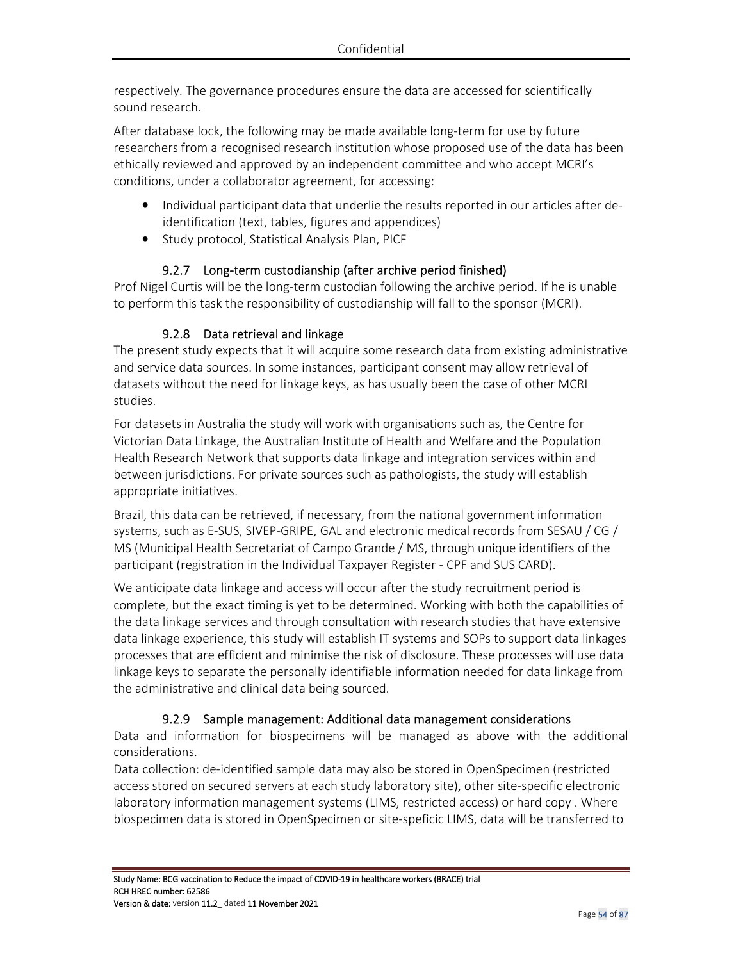respectively. The governance procedures ensure the data are accessed for scientifically sound research.

After database lock, the following may be made available long-term for use by future researchers from a recognised research institution whose proposed use of the data has been ethically reviewed and approved by an independent committee and who accept MCRI's conditions, under a collaborator agreement, for accessing:

- Individual participant data that underlie the results reported in our articles after deidentification (text, tables, figures and appendices)
- Study protocol, Statistical Analysis Plan, PICF

# 9.2.7 Long-term custodianship (after archive period finished)

Prof Nigel Curtis will be the long-term custodian following the archive period. If he is unable to perform this task the responsibility of custodianship will fall to the sponsor (MCRI).

# 9.2.8 Data retrieval and linkage

The present study expects that it will acquire some research data from existing administrative and service data sources. In some instances, participant consent may allow retrieval of datasets without the need for linkage keys, as has usually been the case of other MCRI studies.

For datasets in Australia the study will work with organisations such as, the Centre for Victorian Data Linkage, the Australian Institute of Health and Welfare and the Population Health Research Network that supports data linkage and integration services within and between jurisdictions. For private sources such as pathologists, the study will establish appropriate initiatives.

Brazil, this data can be retrieved, if necessary, from the national government information systems, such as E-SUS, SIVEP-GRIPE, GAL and electronic medical records from SESAU / CG / MS (Municipal Health Secretariat of Campo Grande / MS, through unique identifiers of the participant (registration in the Individual Taxpayer Register - CPF and SUS CARD).

We anticipate data linkage and access will occur after the study recruitment period is complete, but the exact timing is yet to be determined. Working with both the capabilities of the data linkage services and through consultation with research studies that have extensive data linkage experience, this study will establish IT systems and SOPs to support data linkages processes that are efficient and minimise the risk of disclosure. These processes will use data linkage keys to separate the personally identifiable information needed for data linkage from the administrative and clinical data being sourced.

# 9.2.9 Sample management: Additional data management considerations

Data and information for biospecimens will be managed as above with the additional considerations.

Data collection: de-identified sample data may also be stored in OpenSpecimen (restricted access stored on secured servers at each study laboratory site), other site-specific electronic laboratory information management systems (LIMS, restricted access) or hard copy . Where biospecimen data is stored in OpenSpecimen or site-speficic LIMS, data will be transferred to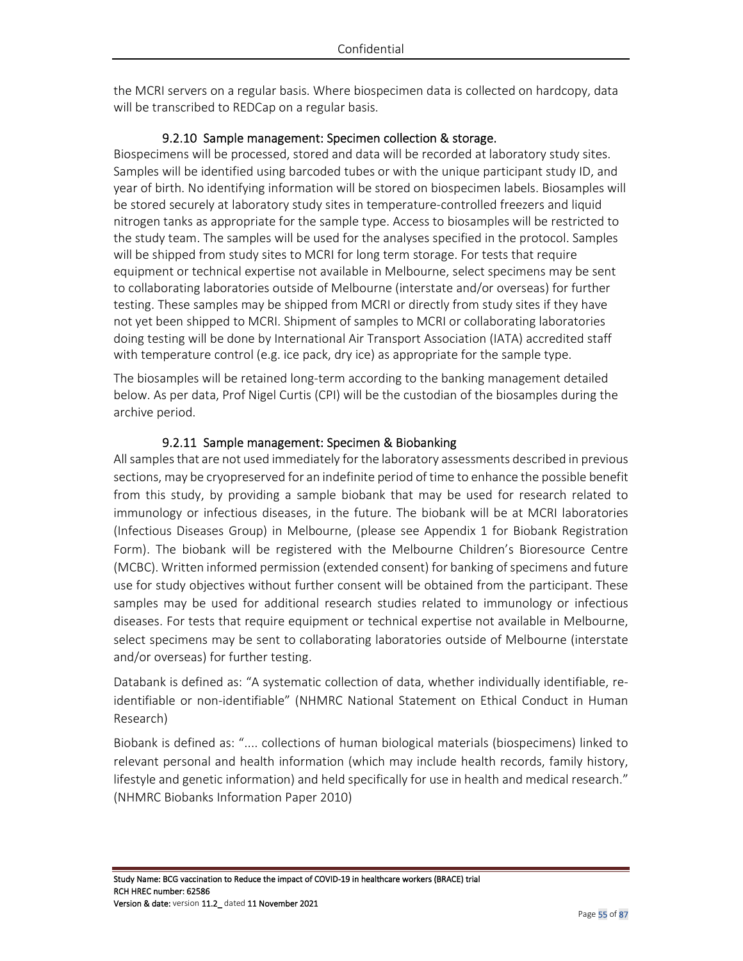the MCRI servers on a regular basis. Where biospecimen data is collected on hardcopy, data will be transcribed to REDCap on a regular basis.

### 9.2.10 Sample management: Specimen collection & storage.

Biospecimens will be processed, stored and data will be recorded at laboratory study sites. Samples will be identified using barcoded tubes or with the unique participant study ID, and year of birth. No identifying information will be stored on biospecimen labels. Biosamples will be stored securely at laboratory study sites in temperature-controlled freezers and liquid nitrogen tanks as appropriate for the sample type. Access to biosamples will be restricted to the study team. The samples will be used for the analyses specified in the protocol. Samples will be shipped from study sites to MCRI for long term storage. For tests that require equipment or technical expertise not available in Melbourne, select specimens may be sent to collaborating laboratories outside of Melbourne (interstate and/or overseas) for further testing. These samples may be shipped from MCRI or directly from study sites if they have not yet been shipped to MCRI. Shipment of samples to MCRI or collaborating laboratories doing testing will be done by International Air Transport Association (IATA) accredited staff with temperature control (e.g. ice pack, dry ice) as appropriate for the sample type.

The biosamples will be retained long-term according to the banking management detailed below. As per data, Prof Nigel Curtis (CPI) will be the custodian of the biosamples during the archive period.

### 9.2.11 Sample management: Specimen & Biobanking

All samples that are not used immediately for the laboratory assessments described in previous sections, may be cryopreserved for an indefinite period of time to enhance the possible benefit from this study, by providing a sample biobank that may be used for research related to immunology or infectious diseases, in the future. The biobank will be at MCRI laboratories (Infectious Diseases Group) in Melbourne, (please see Appendix 1 for Biobank Registration Form). The biobank will be registered with the Melbourne Children's Bioresource Centre (MCBC). Written informed permission (extended consent) for banking of specimens and future use for study objectives without further consent will be obtained from the participant. These samples may be used for additional research studies related to immunology or infectious diseases. For tests that require equipment or technical expertise not available in Melbourne, select specimens may be sent to collaborating laboratories outside of Melbourne (interstate and/or overseas) for further testing.

Databank is defined as: "A systematic collection of data, whether individually identifiable, reidentifiable or non-identifiable" (NHMRC National Statement on Ethical Conduct in Human Research)

Biobank is defined as: ".... collections of human biological materials (biospecimens) linked to relevant personal and health information (which may include health records, family history, lifestyle and genetic information) and held specifically for use in health and medical research." (NHMRC Biobanks Information Paper 2010)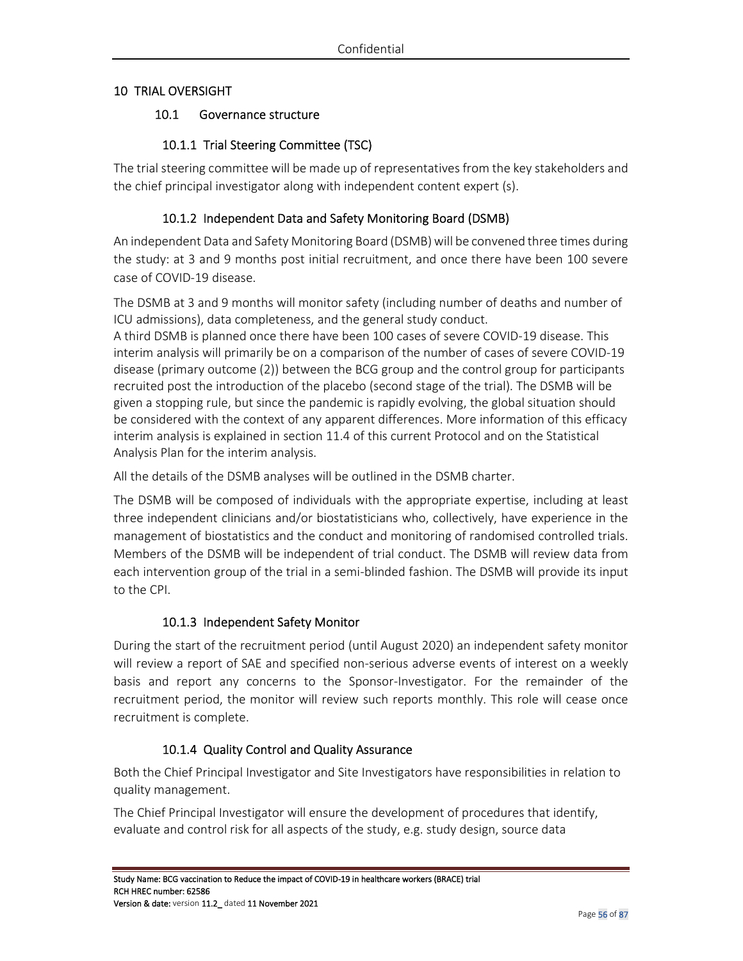### 10 TRIAL OVERSIGHT

### 10.1 Governance structure

# 10.1.1 Trial Steering Committee (TSC)

The trial steering committee will be made up of representatives from the key stakeholders and the chief principal investigator along with independent content expert (s).

## 10.1.2 Independent Data and Safety Monitoring Board (DSMB)

An independent Data and Safety Monitoring Board (DSMB) will be convened three times during the study: at 3 and 9 months post initial recruitment, and once there have been 100 severe case of COVID-19 disease.

The DSMB at 3 and 9 months will monitor safety (including number of deaths and number of ICU admissions), data completeness, and the general study conduct.

A third DSMB is planned once there have been 100 cases of severe COVID-19 disease. This interim analysis will primarily be on a comparison of the number of cases of severe COVID-19 disease (primary outcome (2)) between the BCG group and the control group for participants recruited post the introduction of the placebo (second stage of the trial). The DSMB will be given a stopping rule, but since the pandemic is rapidly evolving, the global situation should be considered with the context of any apparent differences. More information of this efficacy interim analysis is explained in section 11.4 of this current Protocol and on the Statistical Analysis Plan for the interim analysis.

All the details of the DSMB analyses will be outlined in the DSMB charter.

The DSMB will be composed of individuals with the appropriate expertise, including at least three independent clinicians and/or biostatisticians who, collectively, have experience in the management of biostatistics and the conduct and monitoring of randomised controlled trials. Members of the DSMB will be independent of trial conduct. The DSMB will review data from each intervention group of the trial in a semi-blinded fashion. The DSMB will provide its input to the CPI.

### 10.1.3 Independent Safety Monitor

During the start of the recruitment period (until August 2020) an independent safety monitor will review a report of SAE and specified non-serious adverse events of interest on a weekly basis and report any concerns to the Sponsor-Investigator. For the remainder of the recruitment period, the monitor will review such reports monthly. This role will cease once recruitment is complete.

# 10.1.4 Quality Control and Quality Assurance

Both the Chief Principal Investigator and Site Investigators have responsibilities in relation to quality management.

The Chief Principal Investigator will ensure the development of procedures that identify, evaluate and control risk for all aspects of the study, e.g. study design, source data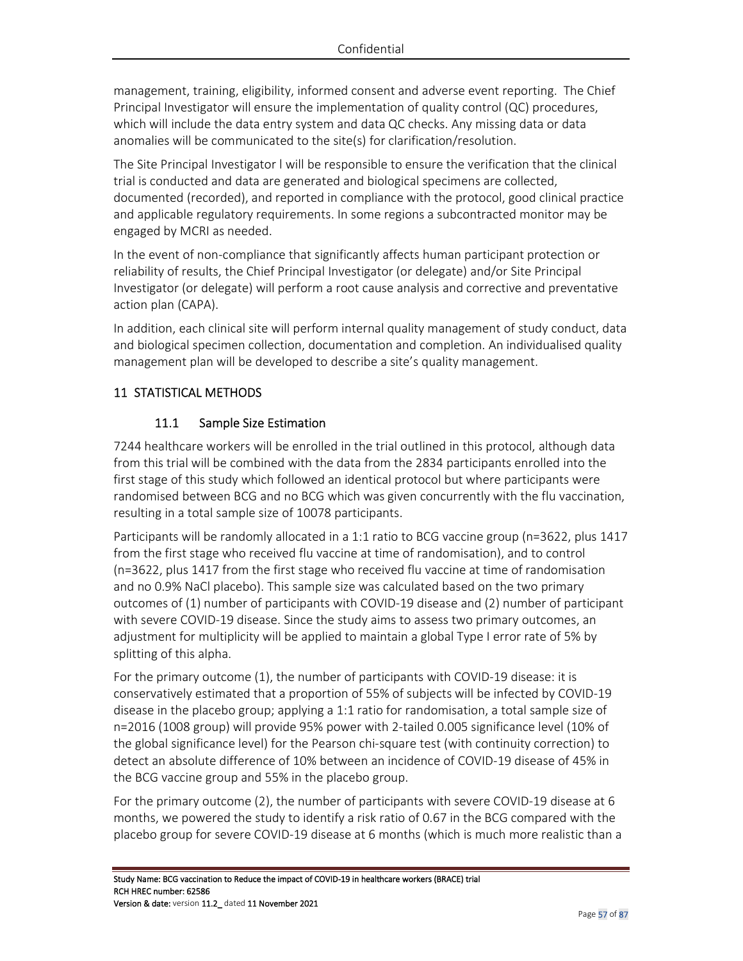management, training, eligibility, informed consent and adverse event reporting. The Chief Principal Investigator will ensure the implementation of quality control (QC) procedures, which will include the data entry system and data QC checks. Any missing data or data anomalies will be communicated to the site(s) for clarification/resolution.

The Site Principal Investigator l will be responsible to ensure the verification that the clinical trial is conducted and data are generated and biological specimens are collected, documented (recorded), and reported in compliance with the protocol, good clinical practice and applicable regulatory requirements. In some regions a subcontracted monitor may be engaged by MCRI as needed.

In the event of non-compliance that significantly affects human participant protection or reliability of results, the Chief Principal Investigator (or delegate) and/or Site Principal Investigator (or delegate) will perform a root cause analysis and corrective and preventative action plan (CAPA).

In addition, each clinical site will perform internal quality management of study conduct, data and biological specimen collection, documentation and completion. An individualised quality management plan will be developed to describe a site's quality management.

# 11 STATISTICAL METHODS

## 11.1 Sample Size Estimation

7244 healthcare workers will be enrolled in the trial outlined in this protocol, although data from this trial will be combined with the data from the 2834 participants enrolled into the first stage of this study which followed an identical protocol but where participants were randomised between BCG and no BCG which was given concurrently with the flu vaccination, resulting in a total sample size of 10078 participants.

Participants will be randomly allocated in a 1:1 ratio to BCG vaccine group (n=3622, plus 1417 from the first stage who received flu vaccine at time of randomisation), and to control (n=3622, plus 1417 from the first stage who received flu vaccine at time of randomisation and no 0.9% NaCl placebo). This sample size was calculated based on the two primary outcomes of (1) number of participants with COVID-19 disease and (2) number of participant with severe COVID-19 disease. Since the study aims to assess two primary outcomes, an adjustment for multiplicity will be applied to maintain a global Type I error rate of 5% by splitting of this alpha.

For the primary outcome (1), the number of participants with COVID-19 disease: it is conservatively estimated that a proportion of 55% of subjects will be infected by COVID-19 disease in the placebo group; applying a 1:1 ratio for randomisation, a total sample size of n=2016 (1008 group) will provide 95% power with 2-tailed 0.005 significance level (10% of the global significance level) for the Pearson chi-square test (with continuity correction) to detect an absolute difference of 10% between an incidence of COVID-19 disease of 45% in the BCG vaccine group and 55% in the placebo group.

For the primary outcome (2), the number of participants with severe COVID-19 disease at 6 months, we powered the study to identify a risk ratio of 0.67 in the BCG compared with the placebo group for severe COVID-19 disease at 6 months (which is much more realistic than a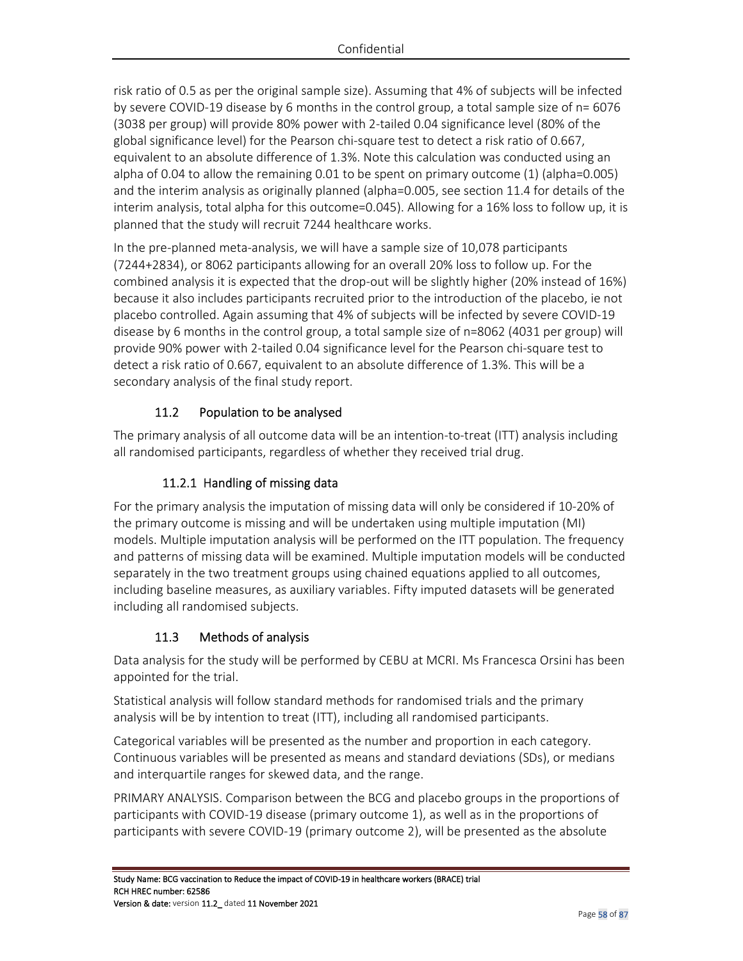risk ratio of 0.5 as per the original sample size). Assuming that 4% of subjects will be infected by severe COVID-19 disease by 6 months in the control group, a total sample size of n= 6076 (3038 per group) will provide 80% power with 2-tailed 0.04 significance level (80% of the global significance level) for the Pearson chi-square test to detect a risk ratio of 0.667, equivalent to an absolute difference of 1.3%. Note this calculation was conducted using an alpha of 0.04 to allow the remaining 0.01 to be spent on primary outcome (1) (alpha=0.005) and the interim analysis as originally planned (alpha=0.005, see section 11.4 for details of the interim analysis, total alpha for this outcome=0.045). Allowing for a 16% loss to follow up, it is planned that the study will recruit 7244 healthcare works.

In the pre-planned meta-analysis, we will have a sample size of 10,078 participants (7244+2834), or 8062 participants allowing for an overall 20% loss to follow up. For the combined analysis it is expected that the drop-out will be slightly higher (20% instead of 16%) because it also includes participants recruited prior to the introduction of the placebo, ie not placebo controlled. Again assuming that 4% of subjects will be infected by severe COVID-19 disease by 6 months in the control group, a total sample size of n=8062 (4031 per group) will provide 90% power with 2-tailed 0.04 significance level for the Pearson chi-square test to detect a risk ratio of 0.667, equivalent to an absolute difference of 1.3%. This will be a secondary analysis of the final study report.

# 11.2 Population to be analysed

The primary analysis of all outcome data will be an intention-to-treat (ITT) analysis including all randomised participants, regardless of whether they received trial drug.

# 11.2.1 Handling of missing data

For the primary analysis the imputation of missing data will only be considered if 10-20% of the primary outcome is missing and will be undertaken using multiple imputation (MI) models. Multiple imputation analysis will be performed on the ITT population. The frequency and patterns of missing data will be examined. Multiple imputation models will be conducted separately in the two treatment groups using chained equations applied to all outcomes, including baseline measures, as auxiliary variables. Fifty imputed datasets will be generated including all randomised subjects.

# 11.3 Methods of analysis

Data analysis for the study will be performed by CEBU at MCRI. Ms Francesca Orsini has been appointed for the trial.

Statistical analysis will follow standard methods for randomised trials and the primary analysis will be by intention to treat (ITT), including all randomised participants.

Categorical variables will be presented as the number and proportion in each category. Continuous variables will be presented as means and standard deviations (SDs), or medians and interquartile ranges for skewed data, and the range.

PRIMARY ANALYSIS. Comparison between the BCG and placebo groups in the proportions of participants with COVID-19 disease (primary outcome 1), as well as in the proportions of participants with severe COVID-19 (primary outcome 2), will be presented as the absolute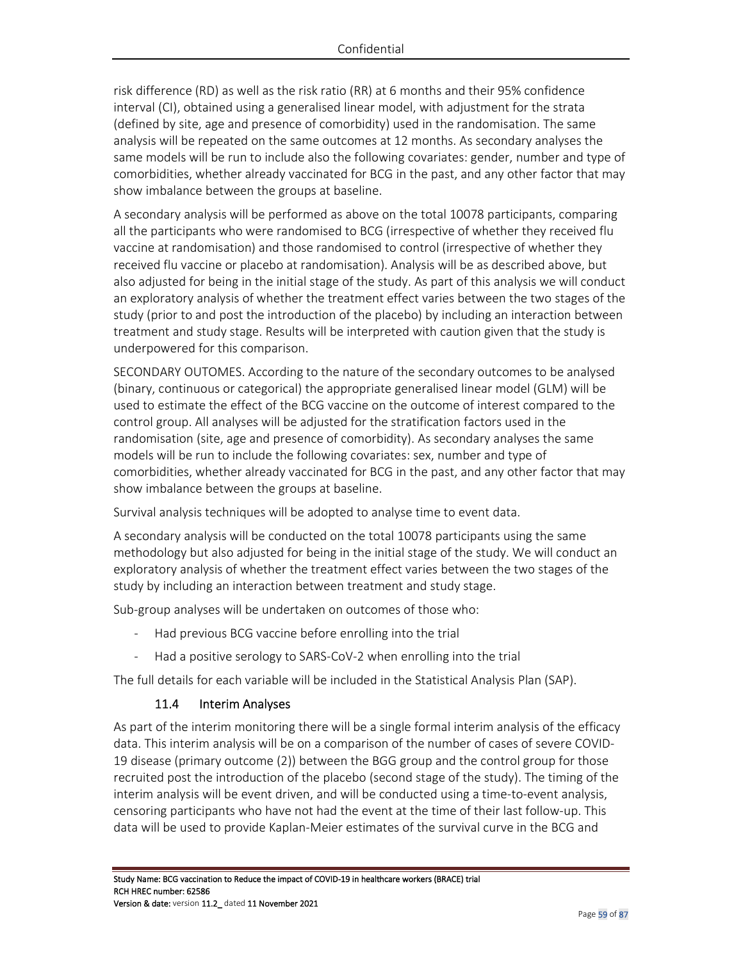risk difference (RD) as well as the risk ratio (RR) at 6 months and their 95% confidence interval (CI), obtained using a generalised linear model, with adjustment for the strata (defined by site, age and presence of comorbidity) used in the randomisation. The same analysis will be repeated on the same outcomes at 12 months. As secondary analyses the same models will be run to include also the following covariates: gender, number and type of comorbidities, whether already vaccinated for BCG in the past, and any other factor that may show imbalance between the groups at baseline.

A secondary analysis will be performed as above on the total 10078 participants, comparing all the participants who were randomised to BCG (irrespective of whether they received flu vaccine at randomisation) and those randomised to control (irrespective of whether they received flu vaccine or placebo at randomisation). Analysis will be as described above, but also adjusted for being in the initial stage of the study. As part of this analysis we will conduct an exploratory analysis of whether the treatment effect varies between the two stages of the study (prior to and post the introduction of the placebo) by including an interaction between treatment and study stage. Results will be interpreted with caution given that the study is underpowered for this comparison.

SECONDARY OUTOMES. According to the nature of the secondary outcomes to be analysed (binary, continuous or categorical) the appropriate generalised linear model (GLM) will be used to estimate the effect of the BCG vaccine on the outcome of interest compared to the control group. All analyses will be adjusted for the stratification factors used in the randomisation (site, age and presence of comorbidity). As secondary analyses the same models will be run to include the following covariates: sex, number and type of comorbidities, whether already vaccinated for BCG in the past, and any other factor that may show imbalance between the groups at baseline.

Survival analysis techniques will be adopted to analyse time to event data.

A secondary analysis will be conducted on the total 10078 participants using the same methodology but also adjusted for being in the initial stage of the study. We will conduct an exploratory analysis of whether the treatment effect varies between the two stages of the study by including an interaction between treatment and study stage.

Sub-group analyses will be undertaken on outcomes of those who:

- Had previous BCG vaccine before enrolling into the trial
- Had a positive serology to SARS-CoV-2 when enrolling into the trial

The full details for each variable will be included in the Statistical Analysis Plan (SAP).

### 11.4 Interim Analyses

As part of the interim monitoring there will be a single formal interim analysis of the efficacy data. This interim analysis will be on a comparison of the number of cases of severe COVID-19 disease (primary outcome (2)) between the BGG group and the control group for those recruited post the introduction of the placebo (second stage of the study). The timing of the interim analysis will be event driven, and will be conducted using a time-to-event analysis, censoring participants who have not had the event at the time of their last follow-up. This data will be used to provide Kaplan-Meier estimates of the survival curve in the BCG and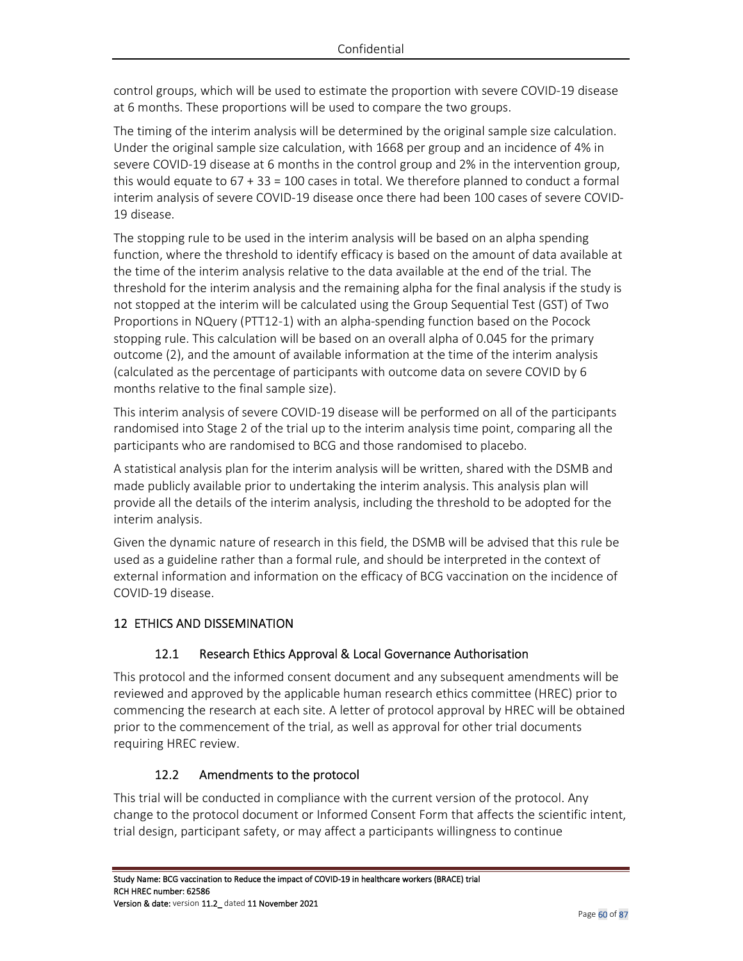control groups, which will be used to estimate the proportion with severe COVID-19 disease at 6 months. These proportions will be used to compare the two groups.

The timing of the interim analysis will be determined by the original sample size calculation. Under the original sample size calculation, with 1668 per group and an incidence of 4% in severe COVID-19 disease at 6 months in the control group and 2% in the intervention group, this would equate to 67 + 33 = 100 cases in total. We therefore planned to conduct a formal interim analysis of severe COVID-19 disease once there had been 100 cases of severe COVID-19 disease.

The stopping rule to be used in the interim analysis will be based on an alpha spending function, where the threshold to identify efficacy is based on the amount of data available at the time of the interim analysis relative to the data available at the end of the trial. The threshold for the interim analysis and the remaining alpha for the final analysis if the study is not stopped at the interim will be calculated using the Group Sequential Test (GST) of Two Proportions in NQuery (PTT12-1) with an alpha-spending function based on the Pocock stopping rule. This calculation will be based on an overall alpha of 0.045 for the primary outcome (2), and the amount of available information at the time of the interim analysis (calculated as the percentage of participants with outcome data on severe COVID by 6 months relative to the final sample size).

This interim analysis of severe COVID-19 disease will be performed on all of the participants randomised into Stage 2 of the trial up to the interim analysis time point, comparing all the participants who are randomised to BCG and those randomised to placebo.

A statistical analysis plan for the interim analysis will be written, shared with the DSMB and made publicly available prior to undertaking the interim analysis. This analysis plan will provide all the details of the interim analysis, including the threshold to be adopted for the interim analysis.

Given the dynamic nature of research in this field, the DSMB will be advised that this rule be used as a guideline rather than a formal rule, and should be interpreted in the context of external information and information on the efficacy of BCG vaccination on the incidence of COVID-19 disease.

# 12 ETHICS AND DISSEMINATION

# 12.1 Research Ethics Approval & Local Governance Authorisation

This protocol and the informed consent document and any subsequent amendments will be reviewed and approved by the applicable human research ethics committee (HREC) prior to commencing the research at each site. A letter of protocol approval by HREC will be obtained prior to the commencement of the trial, as well as approval for other trial documents requiring HREC review.

# 12.2 Amendments to the protocol

This trial will be conducted in compliance with the current version of the protocol. Any change to the protocol document or Informed Consent Form that affects the scientific intent, trial design, participant safety, or may affect a participants willingness to continue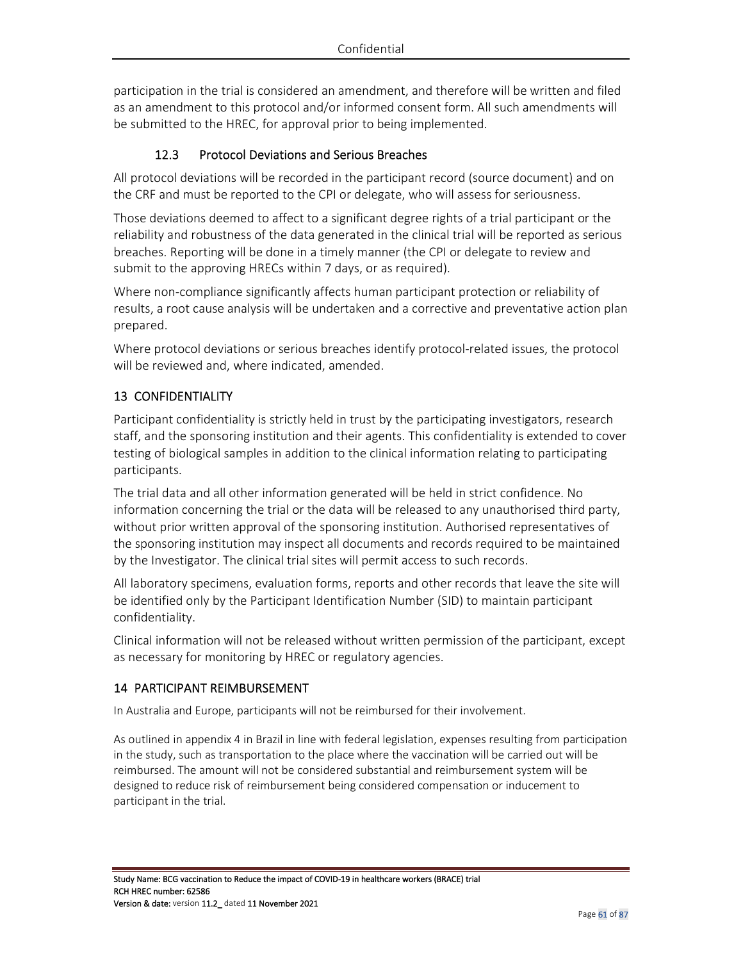participation in the trial is considered an amendment, and therefore will be written and filed as an amendment to this protocol and/or informed consent form. All such amendments will be submitted to the HREC, for approval prior to being implemented.

## 12.3 Protocol Deviations and Serious Breaches

All protocol deviations will be recorded in the participant record (source document) and on the CRF and must be reported to the CPI or delegate, who will assess for seriousness.

Those deviations deemed to affect to a significant degree rights of a trial participant or the reliability and robustness of the data generated in the clinical trial will be reported as serious breaches. Reporting will be done in a timely manner (the CPI or delegate to review and submit to the approving HRECs within 7 days, or as required).

Where non-compliance significantly affects human participant protection or reliability of results, a root cause analysis will be undertaken and a corrective and preventative action plan prepared.

Where protocol deviations or serious breaches identify protocol-related issues, the protocol will be reviewed and, where indicated, amended.

## 13 CONFIDENTIALITY

Participant confidentiality is strictly held in trust by the participating investigators, research staff, and the sponsoring institution and their agents. This confidentiality is extended to cover testing of biological samples in addition to the clinical information relating to participating participants.

The trial data and all other information generated will be held in strict confidence. No information concerning the trial or the data will be released to any unauthorised third party, without prior written approval of the sponsoring institution. Authorised representatives of the sponsoring institution may inspect all documents and records required to be maintained by the Investigator. The clinical trial sites will permit access to such records.

All laboratory specimens, evaluation forms, reports and other records that leave the site will be identified only by the Participant Identification Number (SID) to maintain participant confidentiality.

Clinical information will not be released without written permission of the participant, except as necessary for monitoring by HREC or regulatory agencies.

### 14 PARTICIPANT REIMBURSEMENT

In Australia and Europe, participants will not be reimbursed for their involvement.

As outlined in appendix 4 in Brazil in line with federal legislation, expenses resulting from participation in the study, such as transportation to the place where the vaccination will be carried out will be reimbursed. The amount will not be considered substantial and reimbursement system will be designed to reduce risk of reimbursement being considered compensation or inducement to participant in the trial.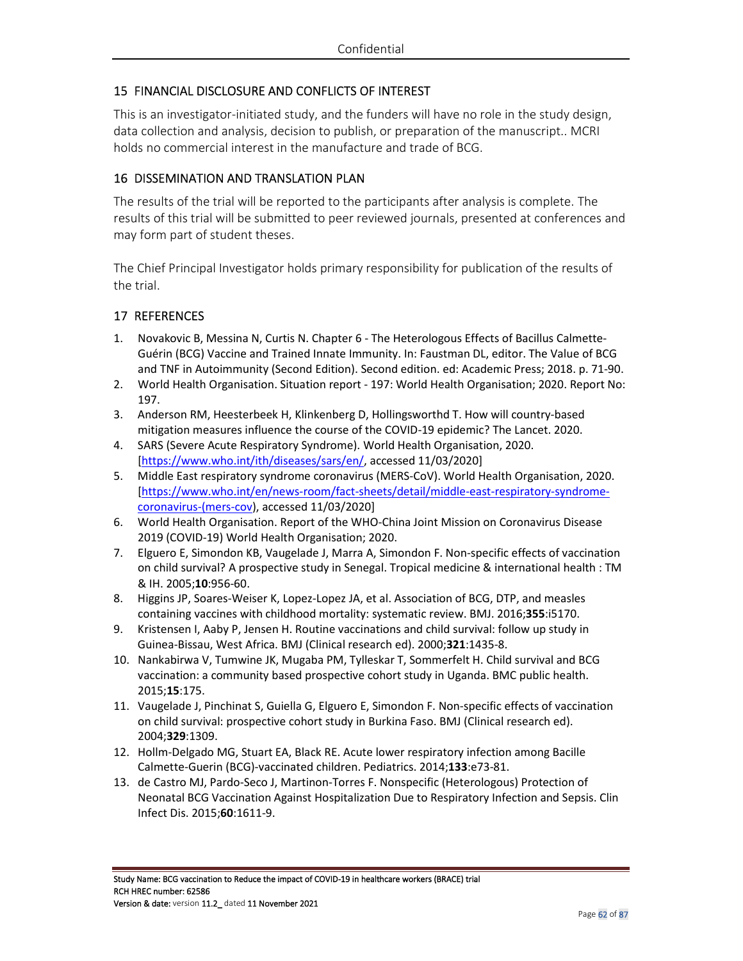## 15 FINANCIAL DISCLOSURE AND CONFLICTS OF INTEREST

This is an investigator-initiated study, and the funders will have no role in the study design, data collection and analysis, decision to publish, or preparation of the manuscript.. MCRI holds no commercial interest in the manufacture and trade of BCG.

### 16 DISSEMINATION AND TRANSLATION PLAN

The results of the trial will be reported to the participants after analysis is complete. The results of this trial will be submitted to peer reviewed journals, presented at conferences and may form part of student theses.

The Chief Principal Investigator holds primary responsibility for publication of the results of the trial.

### 17 REFERENCES

- 1. Novakovic B, Messina N, Curtis N. Chapter 6 The Heterologous Effects of Bacillus Calmette-Guérin (BCG) Vaccine and Trained Innate Immunity. In: Faustman DL, editor. The Value of BCG and TNF in Autoimmunity (Second Edition). Second edition. ed: Academic Press; 2018. p. 71-90.
- 2. World Health Organisation. Situation report 197: World Health Organisation; 2020. Report No: 197.
- 3. Anderson RM, Heesterbeek H, Klinkenberg D, Hollingsworthd T. How will country-based mitigation measures influence the course of the COVID-19 epidemic? The Lancet. 2020.
- 4. SARS (Severe Acute Respiratory Syndrome). World Health Organisation, 2020. [https://www.who.int/ith/diseases/sars/en/, accessed 11/03/2020]
- 5. Middle East respiratory syndrome coronavirus (MERS-CoV). World Health Organisation, 2020. [https://www.who.int/en/news-room/fact-sheets/detail/middle-east-respiratory-syndromecoronavirus-(mers-cov), accessed 11/03/2020]
- 6. World Health Organisation. Report of the WHO-China Joint Mission on Coronavirus Disease 2019 (COVID-19) World Health Organisation; 2020.
- 7. Elguero E, Simondon KB, Vaugelade J, Marra A, Simondon F. Non-specific effects of vaccination on child survival? A prospective study in Senegal. Tropical medicine & international health : TM & IH. 2005;**10**:956-60.
- 8. Higgins JP, Soares-Weiser K, Lopez-Lopez JA, et al. Association of BCG, DTP, and measles containing vaccines with childhood mortality: systematic review. BMJ. 2016;**355**:i5170.
- 9. Kristensen I, Aaby P, Jensen H. Routine vaccinations and child survival: follow up study in Guinea-Bissau, West Africa. BMJ (Clinical research ed). 2000;**321**:1435-8.
- 10. Nankabirwa V, Tumwine JK, Mugaba PM, Tylleskar T, Sommerfelt H. Child survival and BCG vaccination: a community based prospective cohort study in Uganda. BMC public health. 2015;**15**:175.
- 11. Vaugelade J, Pinchinat S, Guiella G, Elguero E, Simondon F. Non-specific effects of vaccination on child survival: prospective cohort study in Burkina Faso. BMJ (Clinical research ed). 2004;**329**:1309.
- 12. Hollm-Delgado MG, Stuart EA, Black RE. Acute lower respiratory infection among Bacille Calmette-Guerin (BCG)-vaccinated children. Pediatrics. 2014;**133**:e73-81.
- 13. de Castro MJ, Pardo-Seco J, Martinon-Torres F. Nonspecific (Heterologous) Protection of Neonatal BCG Vaccination Against Hospitalization Due to Respiratory Infection and Sepsis. Clin Infect Dis. 2015;**60**:1611-9.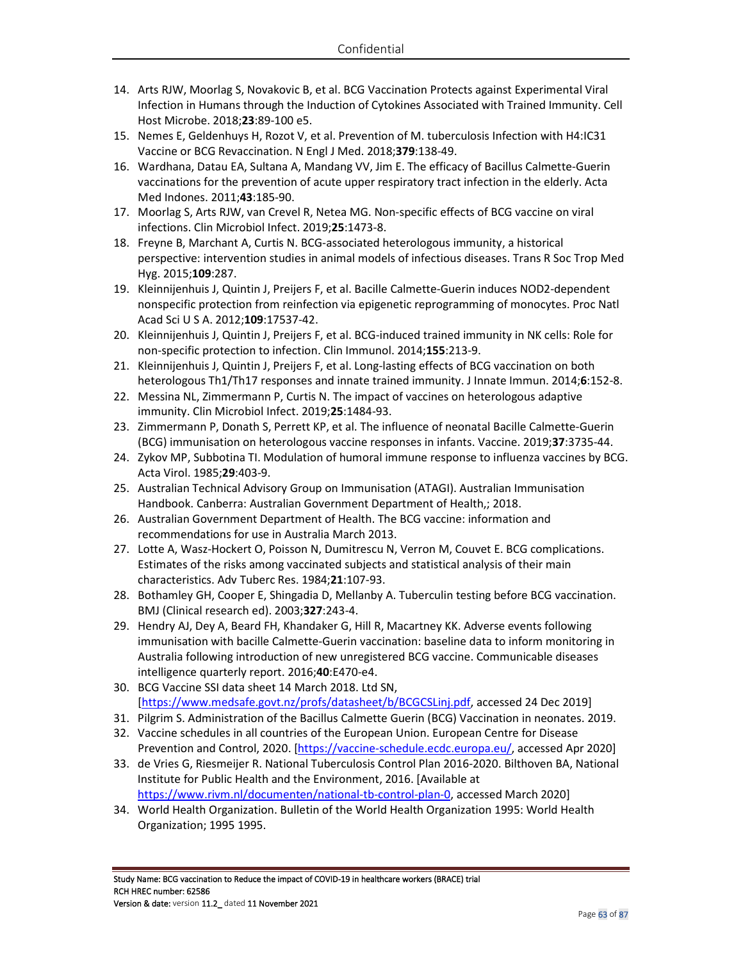- 14. Arts RJW, Moorlag S, Novakovic B, et al. BCG Vaccination Protects against Experimental Viral Infection in Humans through the Induction of Cytokines Associated with Trained Immunity. Cell Host Microbe. 2018;**23**:89-100 e5.
- 15. Nemes E, Geldenhuys H, Rozot V, et al. Prevention of M. tuberculosis Infection with H4:IC31 Vaccine or BCG Revaccination. N Engl J Med. 2018;**379**:138-49.
- 16. Wardhana, Datau EA, Sultana A, Mandang VV, Jim E. The efficacy of Bacillus Calmette-Guerin vaccinations for the prevention of acute upper respiratory tract infection in the elderly. Acta Med Indones. 2011;**43**:185-90.
- 17. Moorlag S, Arts RJW, van Crevel R, Netea MG. Non-specific effects of BCG vaccine on viral infections. Clin Microbiol Infect. 2019;**25**:1473-8.
- 18. Freyne B, Marchant A, Curtis N. BCG-associated heterologous immunity, a historical perspective: intervention studies in animal models of infectious diseases. Trans R Soc Trop Med Hyg. 2015;**109**:287.
- 19. Kleinnijenhuis J, Quintin J, Preijers F, et al. Bacille Calmette-Guerin induces NOD2-dependent nonspecific protection from reinfection via epigenetic reprogramming of monocytes. Proc Natl Acad Sci U S A. 2012;**109**:17537-42.
- 20. Kleinnijenhuis J, Quintin J, Preijers F, et al. BCG-induced trained immunity in NK cells: Role for non-specific protection to infection. Clin Immunol. 2014;**155**:213-9.
- 21. Kleinnijenhuis J, Quintin J, Preijers F, et al. Long-lasting effects of BCG vaccination on both heterologous Th1/Th17 responses and innate trained immunity. J Innate Immun. 2014;**6**:152-8.
- 22. Messina NL, Zimmermann P, Curtis N. The impact of vaccines on heterologous adaptive immunity. Clin Microbiol Infect. 2019;**25**:1484-93.
- 23. Zimmermann P, Donath S, Perrett KP, et al. The influence of neonatal Bacille Calmette-Guerin (BCG) immunisation on heterologous vaccine responses in infants. Vaccine. 2019;**37**:3735-44.
- 24. Zykov MP, Subbotina TI. Modulation of humoral immune response to influenza vaccines by BCG. Acta Virol. 1985;**29**:403-9.
- 25. Australian Technical Advisory Group on Immunisation (ATAGI). Australian Immunisation Handbook. Canberra: Australian Government Department of Health,; 2018.
- 26. Australian Government Department of Health. The BCG vaccine: information and recommendations for use in Australia March 2013.
- 27. Lotte A, Wasz-Hockert O, Poisson N, Dumitrescu N, Verron M, Couvet E. BCG complications. Estimates of the risks among vaccinated subjects and statistical analysis of their main characteristics. Adv Tuberc Res. 1984;**21**:107-93.
- 28. Bothamley GH, Cooper E, Shingadia D, Mellanby A. Tuberculin testing before BCG vaccination. BMJ (Clinical research ed). 2003;**327**:243-4.
- 29. Hendry AJ, Dey A, Beard FH, Khandaker G, Hill R, Macartney KK. Adverse events following immunisation with bacille Calmette-Guerin vaccination: baseline data to inform monitoring in Australia following introduction of new unregistered BCG vaccine. Communicable diseases intelligence quarterly report. 2016;**40**:E470-e4.
- 30. BCG Vaccine SSI data sheet 14 March 2018. Ltd SN, [https://www.medsafe.govt.nz/profs/datasheet/b/BCGCSLinj.pdf, accessed 24 Dec 2019]
- 31. Pilgrim S. Administration of the Bacillus Calmette Guerin (BCG) Vaccination in neonates. 2019.
- 32. Vaccine schedules in all countries of the European Union. European Centre for Disease Prevention and Control, 2020. [https://vaccine-schedule.ecdc.europa.eu/, accessed Apr 2020]
- 33. de Vries G, Riesmeijer R. National Tuberculosis Control Plan 2016-2020. Bilthoven BA, National Institute for Public Health and the Environment, 2016. [Available at https://www.rivm.nl/documenten/national-tb-control-plan-0, accessed March 2020]
- 34. World Health Organization. Bulletin of the World Health Organization 1995: World Health Organization; 1995 1995.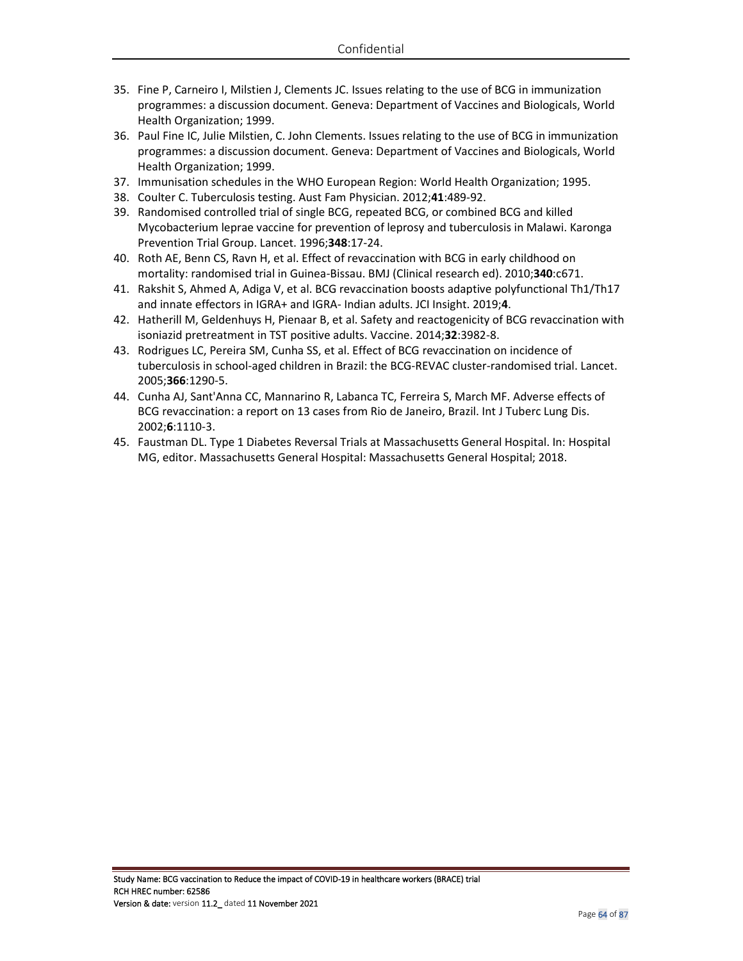- 35. Fine P, Carneiro I, Milstien J, Clements JC. Issues relating to the use of BCG in immunization programmes: a discussion document. Geneva: Department of Vaccines and Biologicals, World Health Organization; 1999.
- 36. Paul Fine IC, Julie Milstien, C. John Clements. Issues relating to the use of BCG in immunization programmes: a discussion document. Geneva: Department of Vaccines and Biologicals, World Health Organization; 1999.
- 37. Immunisation schedules in the WHO European Region: World Health Organization; 1995.
- 38. Coulter C. Tuberculosis testing. Aust Fam Physician. 2012;**41**:489-92.
- 39. Randomised controlled trial of single BCG, repeated BCG, or combined BCG and killed Mycobacterium leprae vaccine for prevention of leprosy and tuberculosis in Malawi. Karonga Prevention Trial Group. Lancet. 1996;**348**:17-24.
- 40. Roth AE, Benn CS, Ravn H, et al. Effect of revaccination with BCG in early childhood on mortality: randomised trial in Guinea-Bissau. BMJ (Clinical research ed). 2010;**340**:c671.
- 41. Rakshit S, Ahmed A, Adiga V, et al. BCG revaccination boosts adaptive polyfunctional Th1/Th17 and innate effectors in IGRA+ and IGRA- Indian adults. JCI Insight. 2019;**4**.
- 42. Hatherill M, Geldenhuys H, Pienaar B, et al. Safety and reactogenicity of BCG revaccination with isoniazid pretreatment in TST positive adults. Vaccine. 2014;**32**:3982-8.
- 43. Rodrigues LC, Pereira SM, Cunha SS, et al. Effect of BCG revaccination on incidence of tuberculosis in school-aged children in Brazil: the BCG-REVAC cluster-randomised trial. Lancet. 2005;**366**:1290-5.
- 44. Cunha AJ, Sant'Anna CC, Mannarino R, Labanca TC, Ferreira S, March MF. Adverse effects of BCG revaccination: a report on 13 cases from Rio de Janeiro, Brazil. Int J Tuberc Lung Dis. 2002;**6**:1110-3.
- 45. Faustman DL. Type 1 Diabetes Reversal Trials at Massachusetts General Hospital. In: Hospital MG, editor. Massachusetts General Hospital: Massachusetts General Hospital; 2018.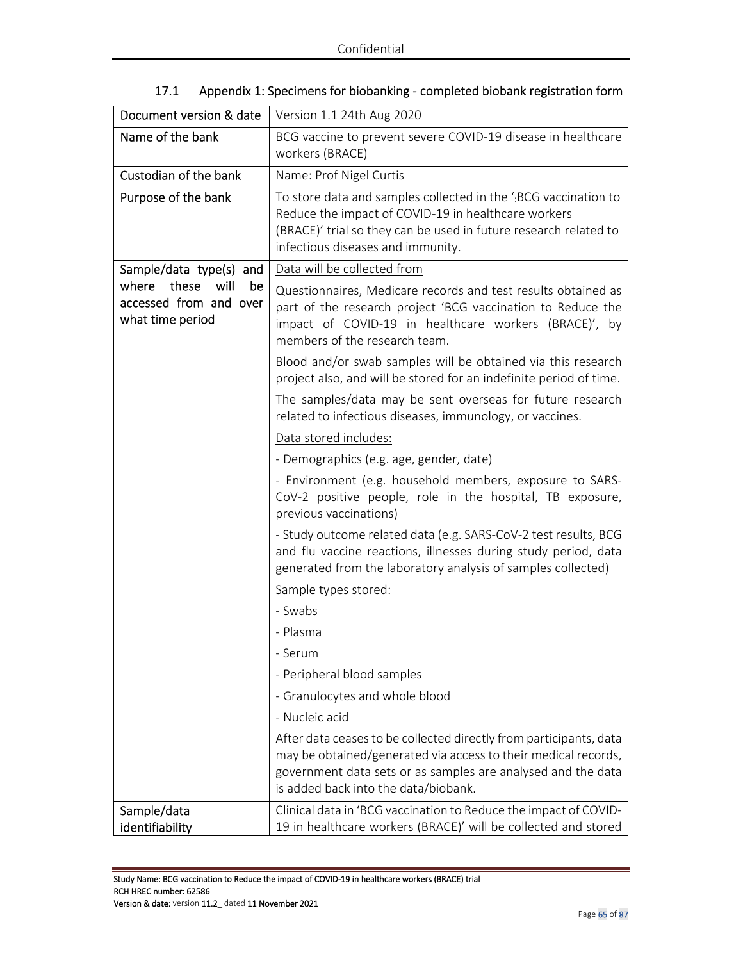| Document version & date                                                    | Version 1.1 24th Aug 2020                                                                                                                                                                                                                    |  |  |
|----------------------------------------------------------------------------|----------------------------------------------------------------------------------------------------------------------------------------------------------------------------------------------------------------------------------------------|--|--|
| Name of the bank                                                           | BCG vaccine to prevent severe COVID-19 disease in healthcare<br>workers (BRACE)                                                                                                                                                              |  |  |
| Custodian of the bank                                                      | Name: Prof Nigel Curtis                                                                                                                                                                                                                      |  |  |
| Purpose of the bank                                                        | To store data and samples collected in the 'BCG vaccination to<br>Reduce the impact of COVID-19 in healthcare workers<br>(BRACE)' trial so they can be used in future research related to<br>infectious diseases and immunity.               |  |  |
| Sample/data type(s) and                                                    | Data will be collected from                                                                                                                                                                                                                  |  |  |
| will<br>where<br>these<br>be<br>accessed from and over<br>what time period | Questionnaires, Medicare records and test results obtained as<br>part of the research project 'BCG vaccination to Reduce the<br>impact of COVID-19 in healthcare workers (BRACE)', by<br>members of the research team.                       |  |  |
|                                                                            | Blood and/or swab samples will be obtained via this research<br>project also, and will be stored for an indefinite period of time.                                                                                                           |  |  |
|                                                                            | The samples/data may be sent overseas for future research<br>related to infectious diseases, immunology, or vaccines.                                                                                                                        |  |  |
|                                                                            | Data stored includes:                                                                                                                                                                                                                        |  |  |
|                                                                            | - Demographics (e.g. age, gender, date)                                                                                                                                                                                                      |  |  |
|                                                                            | - Environment (e.g. household members, exposure to SARS-<br>CoV-2 positive people, role in the hospital, TB exposure,<br>previous vaccinations)                                                                                              |  |  |
|                                                                            | - Study outcome related data (e.g. SARS-CoV-2 test results, BCG<br>and flu vaccine reactions, illnesses during study period, data<br>generated from the laboratory analysis of samples collected)                                            |  |  |
|                                                                            | Sample types stored:                                                                                                                                                                                                                         |  |  |
|                                                                            | - Swabs                                                                                                                                                                                                                                      |  |  |
|                                                                            | - Plasma                                                                                                                                                                                                                                     |  |  |
|                                                                            | - Serum                                                                                                                                                                                                                                      |  |  |
|                                                                            | - Peripheral blood samples                                                                                                                                                                                                                   |  |  |
|                                                                            | - Granulocytes and whole blood                                                                                                                                                                                                               |  |  |
|                                                                            | - Nucleic acid                                                                                                                                                                                                                               |  |  |
|                                                                            | After data ceases to be collected directly from participants, data<br>may be obtained/generated via access to their medical records,<br>government data sets or as samples are analysed and the data<br>is added back into the data/biobank. |  |  |
| Sample/data<br>identifiability                                             | Clinical data in 'BCG vaccination to Reduce the impact of COVID-<br>19 in healthcare workers (BRACE)' will be collected and stored                                                                                                           |  |  |

|  |  | 17.1 Appendix 1: Specimens for biobanking - completed biobank registration form |
|--|--|---------------------------------------------------------------------------------|
|  |  |                                                                                 |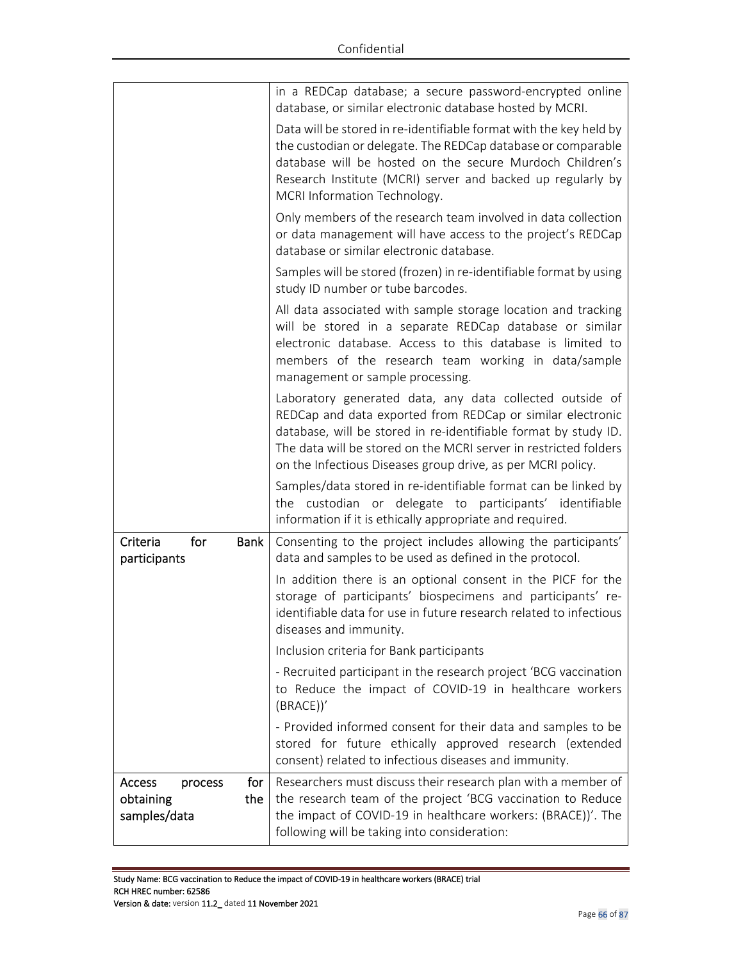| for<br>Access<br>process<br>obtaining<br>the<br>samples/data | consent) related to infectious diseases and immunity.<br>Researchers must discuss their research plan with a member of<br>the research team of the project 'BCG vaccination to Reduce<br>the impact of COVID-19 in healthcare workers: (BRACE))'. The                                                                        |
|--------------------------------------------------------------|------------------------------------------------------------------------------------------------------------------------------------------------------------------------------------------------------------------------------------------------------------------------------------------------------------------------------|
|                                                              | (BRACE)<br>- Provided informed consent for their data and samples to be<br>stored for future ethically approved research (extended                                                                                                                                                                                           |
|                                                              | - Recruited participant in the research project 'BCG vaccination<br>to Reduce the impact of COVID-19 in healthcare workers                                                                                                                                                                                                   |
|                                                              | Inclusion criteria for Bank participants                                                                                                                                                                                                                                                                                     |
|                                                              | In addition there is an optional consent in the PICF for the<br>storage of participants' biospecimens and participants' re-<br>identifiable data for use in future research related to infectious<br>diseases and immunity.                                                                                                  |
| Criteria<br>for<br>Bank  <br>participants                    | Consenting to the project includes allowing the participants'<br>data and samples to be used as defined in the protocol.                                                                                                                                                                                                     |
|                                                              | Samples/data stored in re-identifiable format can be linked by<br>the custodian or delegate to participants' identifiable<br>information if it is ethically appropriate and required.                                                                                                                                        |
|                                                              | Laboratory generated data, any data collected outside of<br>REDCap and data exported from REDCap or similar electronic<br>database, will be stored in re-identifiable format by study ID.<br>The data will be stored on the MCRI server in restricted folders<br>on the Infectious Diseases group drive, as per MCRI policy. |
|                                                              | All data associated with sample storage location and tracking<br>will be stored in a separate REDCap database or similar<br>electronic database. Access to this database is limited to<br>members of the research team working in data/sample<br>management or sample processing.                                            |
|                                                              | Samples will be stored (frozen) in re-identifiable format by using<br>study ID number or tube barcodes.                                                                                                                                                                                                                      |
|                                                              | Only members of the research team involved in data collection<br>or data management will have access to the project's REDCap<br>database or similar electronic database.                                                                                                                                                     |
|                                                              | Data will be stored in re-identifiable format with the key held by<br>the custodian or delegate. The REDCap database or comparable<br>database will be hosted on the secure Murdoch Children's<br>Research Institute (MCRI) server and backed up regularly by<br>MCRI Information Technology.                                |
|                                                              | in a REDCap database; a secure password-encrypted online<br>database, or similar electronic database hosted by MCRI.                                                                                                                                                                                                         |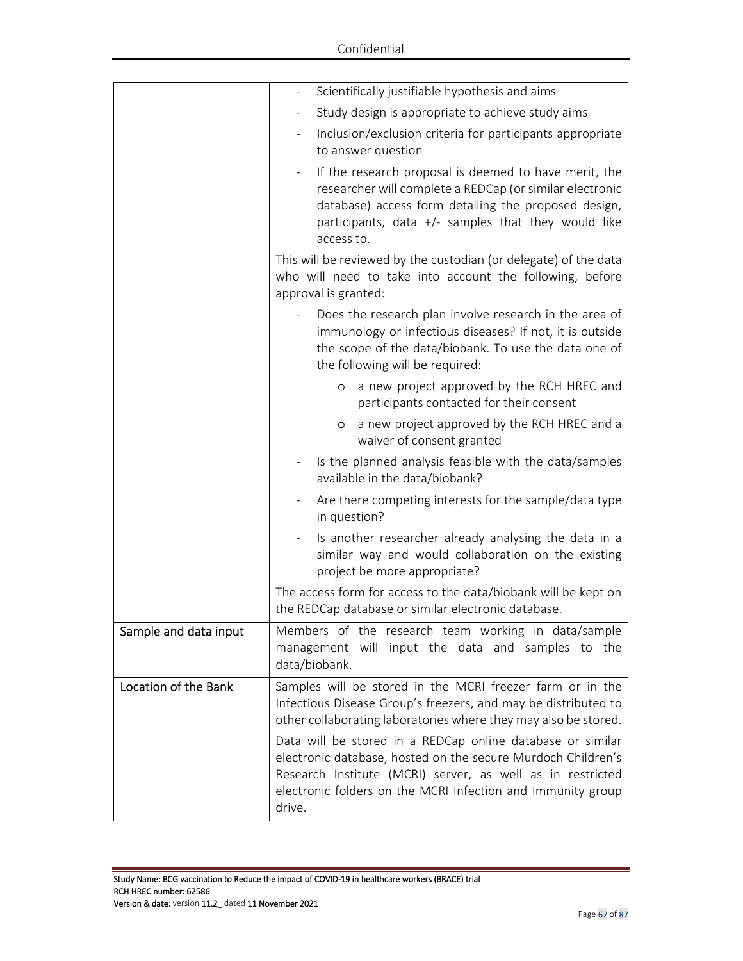|                       | Scientifically justifiable hypothesis and aims                                                                                                                                                                                                                    |  |  |  |  |
|-----------------------|-------------------------------------------------------------------------------------------------------------------------------------------------------------------------------------------------------------------------------------------------------------------|--|--|--|--|
|                       | Study design is appropriate to achieve study aims                                                                                                                                                                                                                 |  |  |  |  |
|                       | Inclusion/exclusion criteria for participants appropriate<br>to answer question                                                                                                                                                                                   |  |  |  |  |
|                       | If the research proposal is deemed to have merit, the<br>researcher will complete a REDCap (or similar electronic<br>database) access form detailing the proposed design,<br>participants, data +/- samples that they would like<br>access to.                    |  |  |  |  |
|                       | This will be reviewed by the custodian (or delegate) of the data<br>who will need to take into account the following, before<br>approval is granted:                                                                                                              |  |  |  |  |
|                       | Does the research plan involve research in the area of<br>immunology or infectious diseases? If not, it is outside<br>the scope of the data/biobank. To use the data one of<br>the following will be required:                                                    |  |  |  |  |
|                       | a new project approved by the RCH HREC and<br>$\circ$<br>participants contacted for their consent                                                                                                                                                                 |  |  |  |  |
|                       | a new project approved by the RCH HREC and a<br>$\circ$<br>waiver of consent granted                                                                                                                                                                              |  |  |  |  |
|                       | Is the planned analysis feasible with the data/samples<br>available in the data/biobank?                                                                                                                                                                          |  |  |  |  |
|                       | Are there competing interests for the sample/data type<br>in question?                                                                                                                                                                                            |  |  |  |  |
|                       | Is another researcher already analysing the data in a<br>similar way and would collaboration on the existing<br>project be more appropriate?                                                                                                                      |  |  |  |  |
|                       | The access form for access to the data/biobank will be kept on<br>the REDCap database or similar electronic database.                                                                                                                                             |  |  |  |  |
| Sample and data input | Members of the research team working in data/sample<br>management will input the data and samples to the<br>data/biobank.                                                                                                                                         |  |  |  |  |
| Location of the Bank  | Samples will be stored in the MCRI freezer farm or in the<br>Infectious Disease Group's freezers, and may be distributed to<br>other collaborating laboratories where they may also be stored.                                                                    |  |  |  |  |
|                       | Data will be stored in a REDCap online database or similar<br>electronic database, hosted on the secure Murdoch Children's<br>Research Institute (MCRI) server, as well as in restricted<br>electronic folders on the MCRI Infection and Immunity group<br>drive. |  |  |  |  |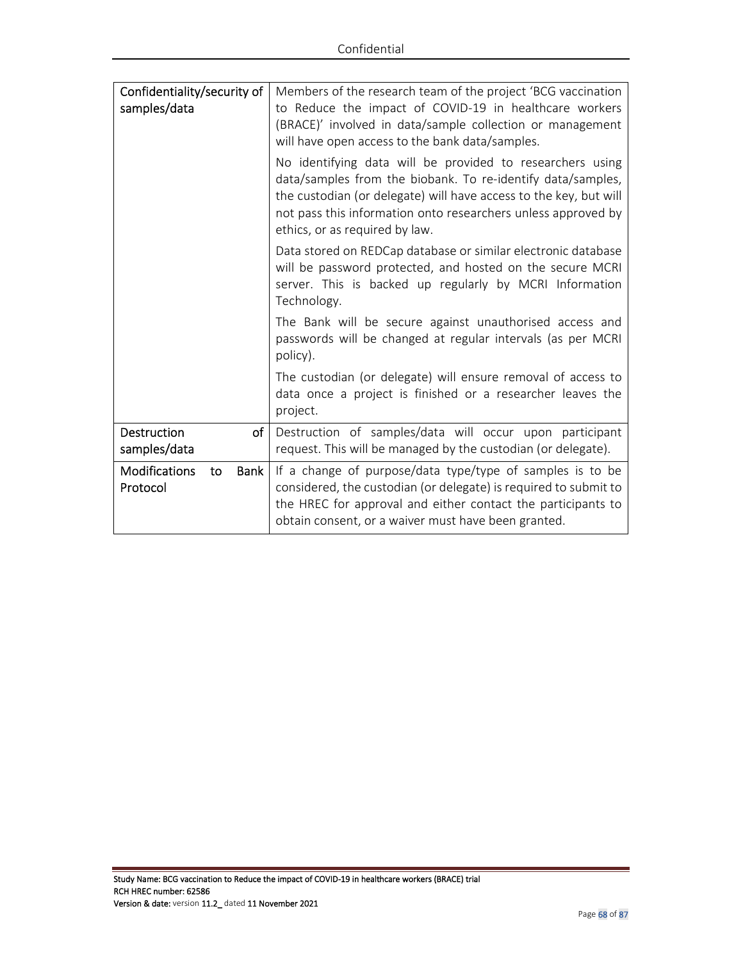| Confidentiality/security of<br>samples/data    | Members of the research team of the project 'BCG vaccination<br>to Reduce the impact of COVID-19 in healthcare workers<br>(BRACE)' involved in data/sample collection or management<br>will have open access to the bank data/samples.<br>No identifying data will be provided to researchers using |
|------------------------------------------------|-----------------------------------------------------------------------------------------------------------------------------------------------------------------------------------------------------------------------------------------------------------------------------------------------------|
|                                                | data/samples from the biobank. To re-identify data/samples,<br>the custodian (or delegate) will have access to the key, but will<br>not pass this information onto researchers unless approved by<br>ethics, or as required by law.                                                                 |
|                                                | Data stored on REDCap database or similar electronic database<br>will be password protected, and hosted on the secure MCRI<br>server. This is backed up regularly by MCRI Information<br>Technology.                                                                                                |
|                                                | The Bank will be secure against unauthorised access and<br>passwords will be changed at regular intervals (as per MCRI<br>policy).                                                                                                                                                                  |
|                                                | The custodian (or delegate) will ensure removal of access to<br>data once a project is finished or a researcher leaves the<br>project.                                                                                                                                                              |
| <b>Destruction</b><br>of<br>samples/data       | Destruction of samples/data will occur upon participant<br>request. This will be managed by the custodian (or delegate).                                                                                                                                                                            |
| Modifications<br><b>Bank</b><br>to<br>Protocol | If a change of purpose/data type/type of samples is to be<br>considered, the custodian (or delegate) is required to submit to<br>the HREC for approval and either contact the participants to<br>obtain consent, or a waiver must have been granted.                                                |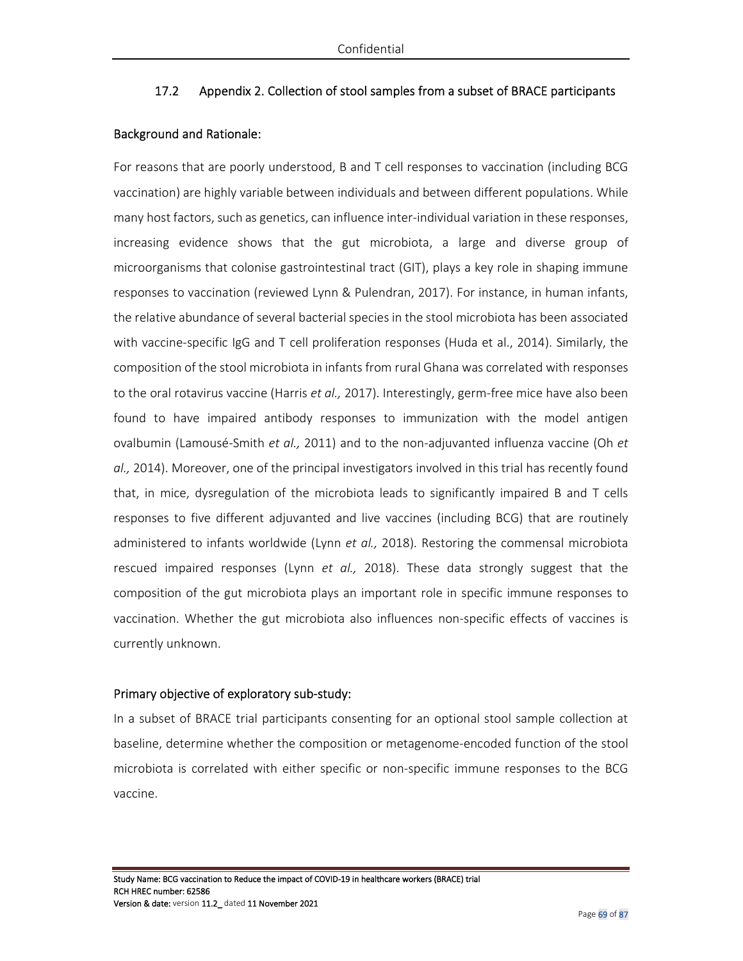### 17.2 Appendix 2. Collection of stool samples from a subset of BRACE participants

#### Background and Rationale:

For reasons that are poorly understood, B and T cell responses to vaccination (including BCG vaccination) are highly variable between individuals and between different populations. While many host factors, such as genetics, can influence inter-individual variation in these responses, increasing evidence shows that the gut microbiota, a large and diverse group of microorganisms that colonise gastrointestinal tract (GIT), plays a key role in shaping immune responses to vaccination (reviewed Lynn & Pulendran, 2017). For instance, in human infants, the relative abundance of several bacterial species in the stool microbiota has been associated with vaccine-specific IgG and T cell proliferation responses (Huda et al., 2014). Similarly, the composition of the stool microbiota in infants from rural Ghana was correlated with responses to the oral rotavirus vaccine (Harris *et al.,* 2017). Interestingly, germ-free mice have also been found to have impaired antibody responses to immunization with the model antigen ovalbumin (Lamousé-Smith *et al.,* 2011) and to the non-adjuvanted influenza vaccine (Oh *et al.,* 2014). Moreover, one of the principal investigators involved in this trial has recently found that, in mice, dysregulation of the microbiota leads to significantly impaired B and T cells responses to five different adjuvanted and live vaccines (including BCG) that are routinely administered to infants worldwide (Lynn *et al.,* 2018). Restoring the commensal microbiota rescued impaired responses (Lynn *et al.,* 2018). These data strongly suggest that the composition of the gut microbiota plays an important role in specific immune responses to vaccination. Whether the gut microbiota also influences non-specific effects of vaccines is currently unknown.

#### Primary objective of exploratory sub-study:

In a subset of BRACE trial participants consenting for an optional stool sample collection at baseline, determine whether the composition or metagenome-encoded function of the stool microbiota is correlated with either specific or non-specific immune responses to the BCG vaccine.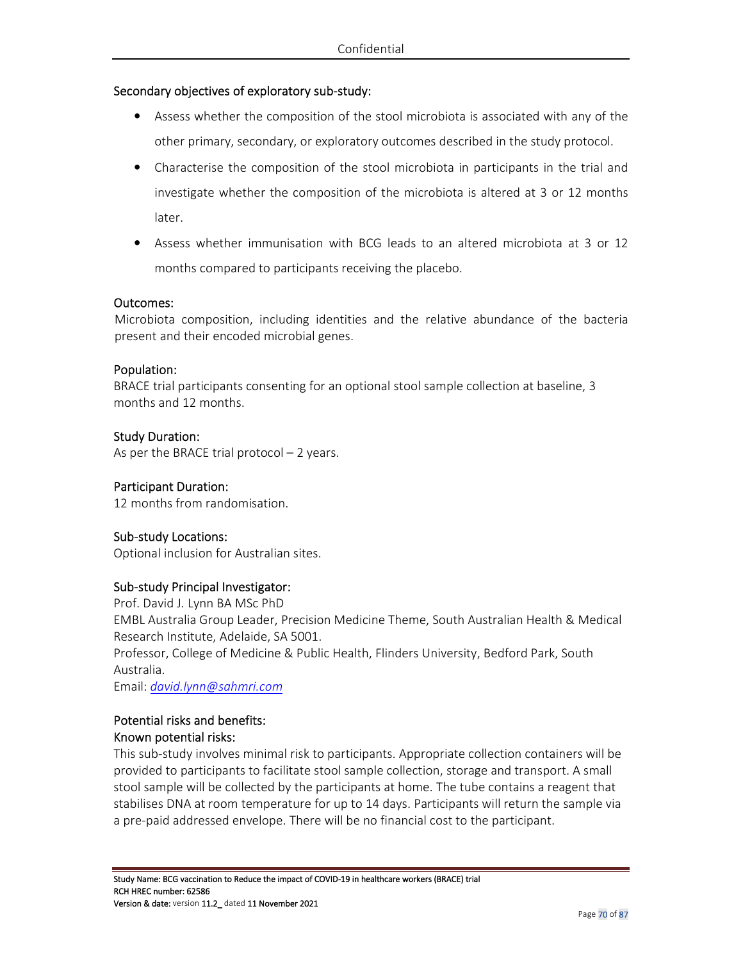### Secondary objectives of exploratory sub-study:

- Assess whether the composition of the stool microbiota is associated with any of the other primary, secondary, or exploratory outcomes described in the study protocol.
- Characterise the composition of the stool microbiota in participants in the trial and investigate whether the composition of the microbiota is altered at 3 or 12 months later.
- Assess whether immunisation with BCG leads to an altered microbiota at 3 or 12 months compared to participants receiving the placebo.

#### Outcomes:

Microbiota composition, including identities and the relative abundance of the bacteria present and their encoded microbial genes.

#### Population:

BRACE trial participants consenting for an optional stool sample collection at baseline, 3 months and 12 months.

#### Study Duration:

As per the BRACE trial protocol – 2 years.

#### Participant Duration:

12 months from randomisation.

#### Sub-study Locations:

Optional inclusion for Australian sites.

#### Sub-study Principal Investigator:

Prof. David J. Lynn BA MSc PhD

EMBL Australia Group Leader, Precision Medicine Theme, South Australian Health & Medical Research Institute, Adelaide, SA 5001.

Professor, College of Medicine & Public Health, Flinders University, Bedford Park, South Australia.

Email: *david.lynn@sahmri.com*

### Potential risks and benefits: Known potential risks:

This sub-study involves minimal risk to participants. Appropriate collection containers will be provided to participants to facilitate stool sample collection, storage and transport. A small stool sample will be collected by the participants at home. The tube contains a reagent that stabilises DNA at room temperature for up to 14 days. Participants will return the sample via a pre-paid addressed envelope. There will be no financial cost to the participant.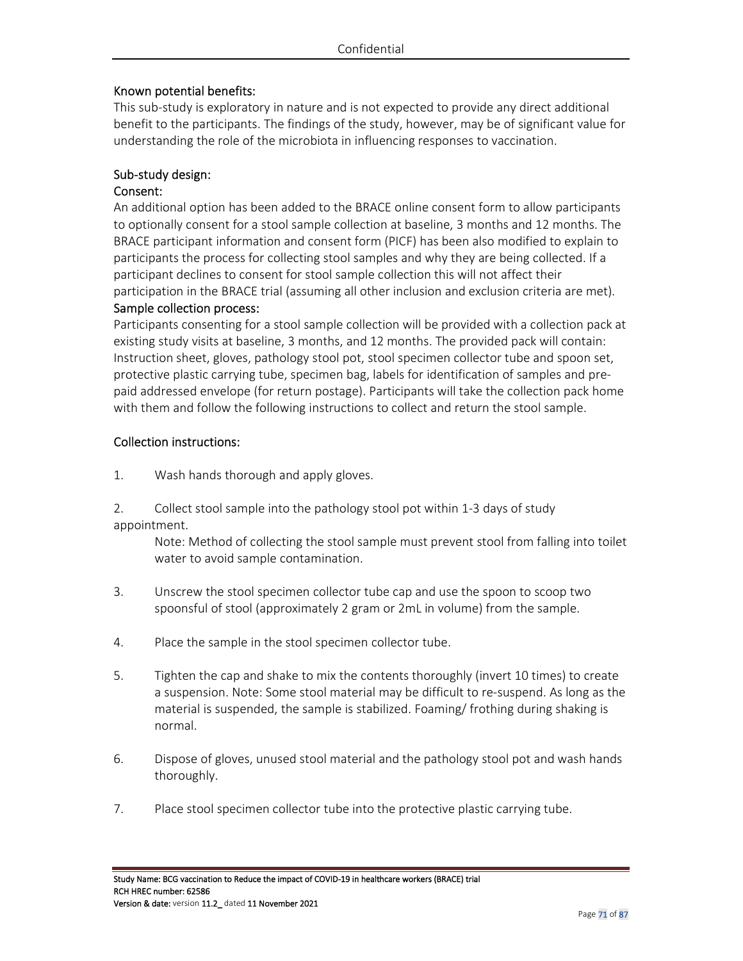### Known potential benefits:

This sub-study is exploratory in nature and is not expected to provide any direct additional benefit to the participants. The findings of the study, however, may be of significant value for understanding the role of the microbiota in influencing responses to vaccination.

### Sub-study design:

#### Consent:

An additional option has been added to the BRACE online consent form to allow participants to optionally consent for a stool sample collection at baseline, 3 months and 12 months. The BRACE participant information and consent form (PICF) has been also modified to explain to participants the process for collecting stool samples and why they are being collected. If a participant declines to consent for stool sample collection this will not affect their participation in the BRACE trial (assuming all other inclusion and exclusion criteria are met).

#### Sample collection process:

Participants consenting for a stool sample collection will be provided with a collection pack at existing study visits at baseline, 3 months, and 12 months. The provided pack will contain: Instruction sheet, gloves, pathology stool pot, stool specimen collector tube and spoon set, protective plastic carrying tube, specimen bag, labels for identification of samples and prepaid addressed envelope (for return postage). Participants will take the collection pack home with them and follow the following instructions to collect and return the stool sample.

#### Collection instructions:

1. Wash hands thorough and apply gloves.

2. Collect stool sample into the pathology stool pot within 1-3 days of study appointment.

Note: Method of collecting the stool sample must prevent stool from falling into toilet water to avoid sample contamination.

- 3. Unscrew the stool specimen collector tube cap and use the spoon to scoop two spoonsful of stool (approximately 2 gram or 2mL in volume) from the sample.
- 4. Place the sample in the stool specimen collector tube.
- 5. Tighten the cap and shake to mix the contents thoroughly (invert 10 times) to create a suspension. Note: Some stool material may be difficult to re-suspend. As long as the material is suspended, the sample is stabilized. Foaming/ frothing during shaking is normal.
- 6. Dispose of gloves, unused stool material and the pathology stool pot and wash hands thoroughly.
- 7. Place stool specimen collector tube into the protective plastic carrying tube.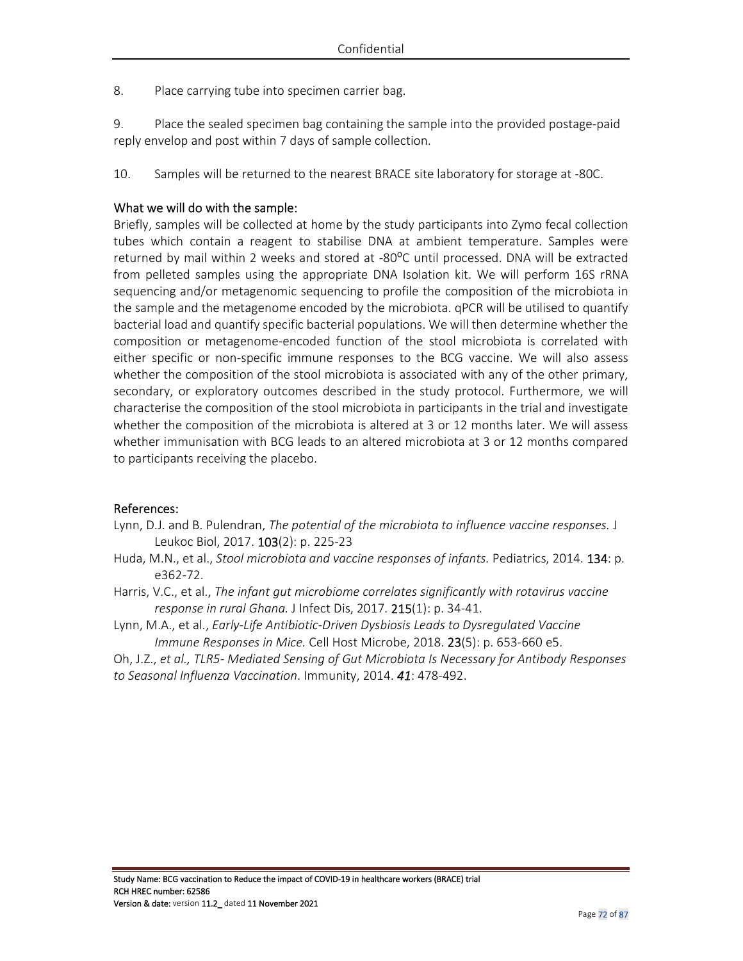8. Place carrying tube into specimen carrier bag.

9. Place the sealed specimen bag containing the sample into the provided postage-paid reply envelop and post within 7 days of sample collection.

10. Samples will be returned to the nearest BRACE site laboratory for storage at -80C.

### What we will do with the sample:

Briefly, samples will be collected at home by the study participants into Zymo fecal collection tubes which contain a reagent to stabilise DNA at ambient temperature. Samples were returned by mail within 2 weeks and stored at -80°C until processed. DNA will be extracted from pelleted samples using the appropriate DNA Isolation kit. We will perform 16S rRNA sequencing and/or metagenomic sequencing to profile the composition of the microbiota in the sample and the metagenome encoded by the microbiota. qPCR will be utilised to quantify bacterial load and quantify specific bacterial populations. We will then determine whether the composition or metagenome-encoded function of the stool microbiota is correlated with either specific or non-specific immune responses to the BCG vaccine. We will also assess whether the composition of the stool microbiota is associated with any of the other primary, secondary, or exploratory outcomes described in the study protocol. Furthermore, we will characterise the composition of the stool microbiota in participants in the trial and investigate whether the composition of the microbiota is altered at 3 or 12 months later. We will assess whether immunisation with BCG leads to an altered microbiota at 3 or 12 months compared to participants receiving the placebo.

#### References:

- Lynn, D.J. and B. Pulendran, *The potential of the microbiota to influence vaccine responses.* J Leukoc Biol, 2017. 103(2): p. 225-23
- Huda, M.N., et al., *Stool microbiota and vaccine responses of infants.* Pediatrics, 2014. 134: p. e362-72.
- Harris, V.C., et al., *The infant gut microbiome correlates significantly with rotavirus vaccine response in rural Ghana.* J Infect Dis, 2017. 215(1): p. 34-41.
- Lynn, M.A., et al., *Early-Life Antibiotic-Driven Dysbiosis Leads to Dysregulated Vaccine Immune Responses in Mice.* Cell Host Microbe, 2018. 23(5): p. 653-660 e5.
- Oh, J.Z., *et al., TLR5- Mediated Sensing of Gut Microbiota Is Necessary for Antibody Responses to Seasonal Influenza Vaccination*. Immunity, 2014. *41*: 478-492.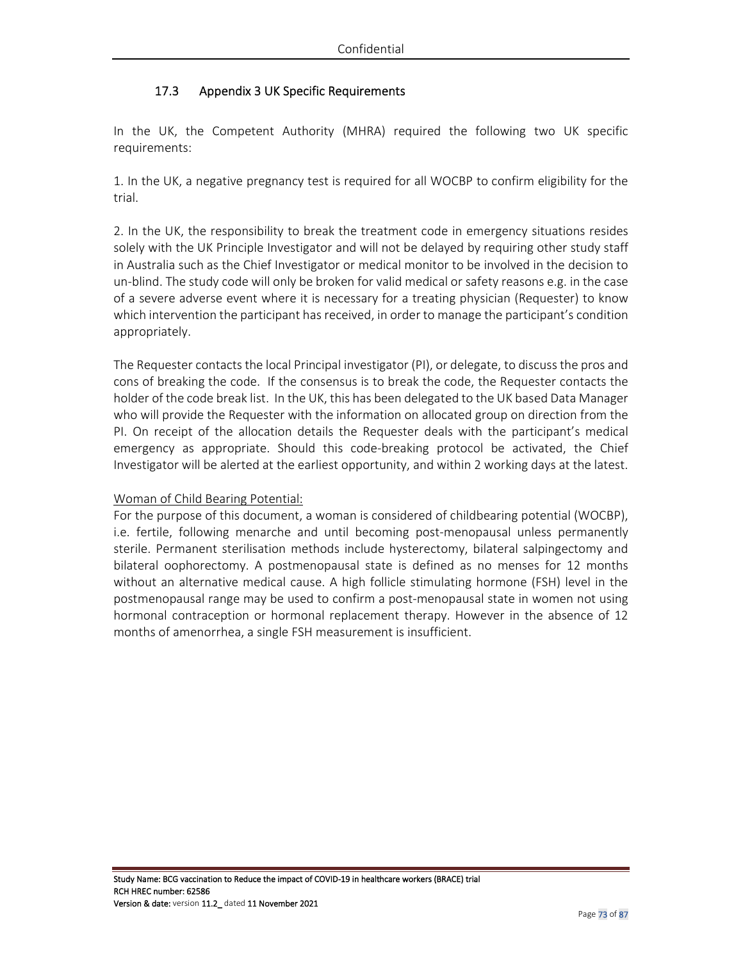# 17.3 Appendix 3 UK Specific Requirements

In the UK, the Competent Authority (MHRA) required the following two UK specific requirements:

1. In the UK, a negative pregnancy test is required for all WOCBP to confirm eligibility for the trial.

2. In the UK, the responsibility to break the treatment code in emergency situations resides solely with the UK Principle Investigator and will not be delayed by requiring other study staff in Australia such as the Chief Investigator or medical monitor to be involved in the decision to un-blind. The study code will only be broken for valid medical or safety reasons e.g. in the case of a severe adverse event where it is necessary for a treating physician (Requester) to know which intervention the participant has received, in order to manage the participant's condition appropriately.

The Requester contacts the local Principal investigator (PI), or delegate, to discuss the pros and cons of breaking the code. If the consensus is to break the code, the Requester contacts the holder of the code break list. In the UK, this has been delegated to the UK based Data Manager who will provide the Requester with the information on allocated group on direction from the PI. On receipt of the allocation details the Requester deals with the participant's medical emergency as appropriate. Should this code-breaking protocol be activated, the Chief Investigator will be alerted at the earliest opportunity, and within 2 working days at the latest.

## Woman of Child Bearing Potential:

For the purpose of this document, a woman is considered of childbearing potential (WOCBP), i.e. fertile, following menarche and until becoming post-menopausal unless permanently sterile. Permanent sterilisation methods include hysterectomy, bilateral salpingectomy and bilateral oophorectomy. A postmenopausal state is defined as no menses for 12 months without an alternative medical cause. A high follicle stimulating hormone (FSH) level in the postmenopausal range may be used to confirm a post-menopausal state in women not using hormonal contraception or hormonal replacement therapy. However in the absence of 12 months of amenorrhea, a single FSH measurement is insufficient.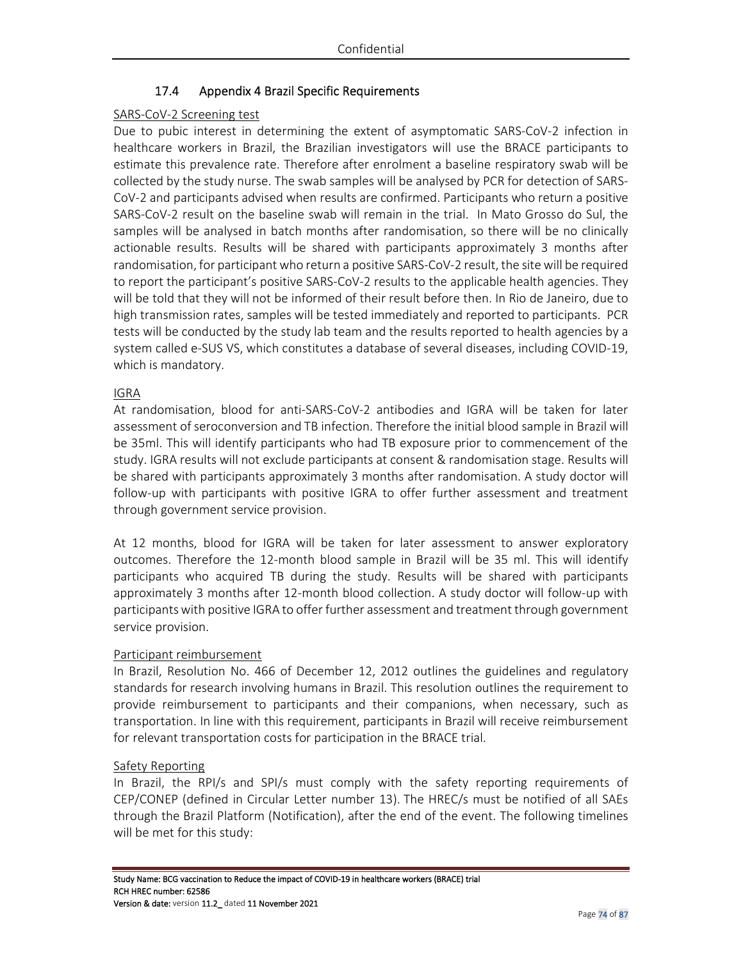# 17.4 Appendix 4 Brazil Specific Requirements

## SARS-CoV-2 Screening test

Due to pubic interest in determining the extent of asymptomatic SARS-CoV-2 infection in healthcare workers in Brazil, the Brazilian investigators will use the BRACE participants to estimate this prevalence rate. Therefore after enrolment a baseline respiratory swab will be collected by the study nurse. The swab samples will be analysed by PCR for detection of SARS-CoV-2 and participants advised when results are confirmed. Participants who return a positive SARS-CoV-2 result on the baseline swab will remain in the trial. In Mato Grosso do Sul, the samples will be analysed in batch months after randomisation, so there will be no clinically actionable results. Results will be shared with participants approximately 3 months after randomisation, for participant who return a positive SARS-CoV-2 result, the site will be required to report the participant's positive SARS-CoV-2 results to the applicable health agencies. They will be told that they will not be informed of their result before then. In Rio de Janeiro, due to high transmission rates, samples will be tested immediately and reported to participants. PCR tests will be conducted by the study lab team and the results reported to health agencies by a system called e-SUS VS, which constitutes a database of several diseases, including COVID-19, which is mandatory.

## IGRA

At randomisation, blood for anti-SARS-CoV-2 antibodies and IGRA will be taken for later assessment of seroconversion and TB infection. Therefore the initial blood sample in Brazil will be 35ml. This will identify participants who had TB exposure prior to commencement of the study. IGRA results will not exclude participants at consent & randomisation stage. Results will be shared with participants approximately 3 months after randomisation. A study doctor will follow-up with participants with positive IGRA to offer further assessment and treatment through government service provision.

At 12 months, blood for IGRA will be taken for later assessment to answer exploratory outcomes. Therefore the 12-month blood sample in Brazil will be 35 ml. This will identify participants who acquired TB during the study. Results will be shared with participants approximately 3 months after 12-month blood collection. A study doctor will follow-up with participants with positive IGRA to offer further assessment and treatment through government service provision.

## Participant reimbursement

In Brazil, Resolution No. 466 of December 12, 2012 outlines the guidelines and regulatory standards for research involving humans in Brazil. This resolution outlines the requirement to provide reimbursement to participants and their companions, when necessary, such as transportation. In line with this requirement, participants in Brazil will receive reimbursement for relevant transportation costs for participation in the BRACE trial.

## Safety Reporting

In Brazil, the RPI/s and SPI/s must comply with the safety reporting requirements of CEP/CONEP (defined in Circular Letter number 13). The HREC/s must be notified of all SAEs through the Brazil Platform (Notification), after the end of the event. The following timelines will be met for this study: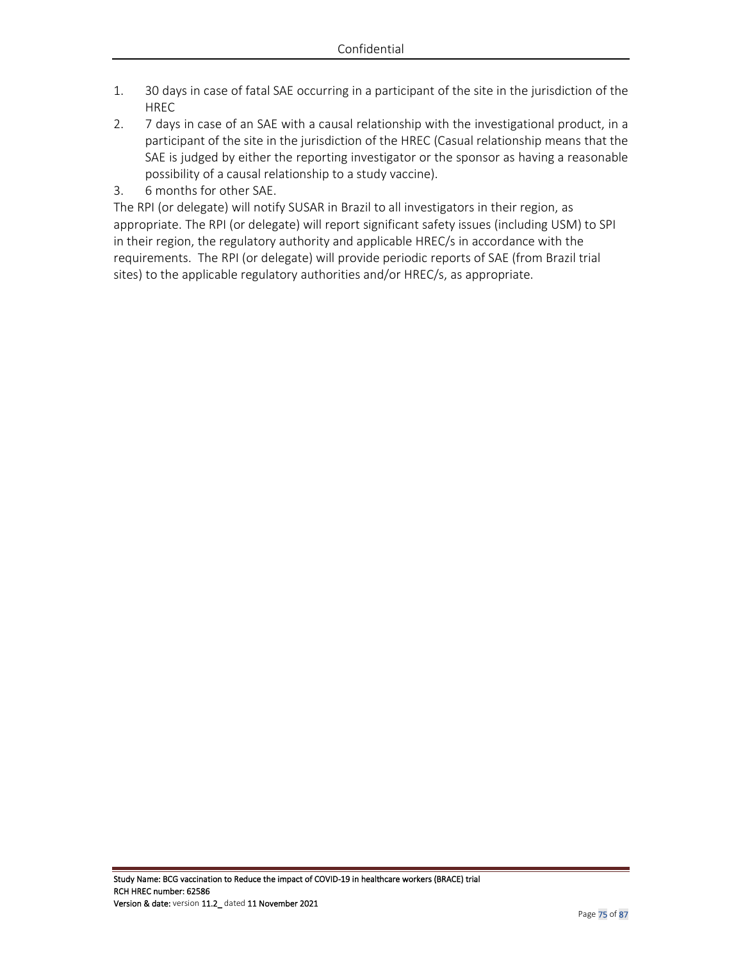- 1. 30 days in case of fatal SAE occurring in a participant of the site in the jurisdiction of the HREC
- 2. 7 days in case of an SAE with a causal relationship with the investigational product, in a participant of the site in the jurisdiction of the HREC (Casual relationship means that the SAE is judged by either the reporting investigator or the sponsor as having a reasonable possibility of a causal relationship to a study vaccine).
- 3. 6 months for other SAE.

The RPI (or delegate) will notify SUSAR in Brazil to all investigators in their region, as appropriate. The RPI (or delegate) will report significant safety issues (including USM) to SPI in their region, the regulatory authority and applicable HREC/s in accordance with the requirements. The RPI (or delegate) will provide periodic reports of SAE (from Brazil trial sites) to the applicable regulatory authorities and/or HREC/s, as appropriate.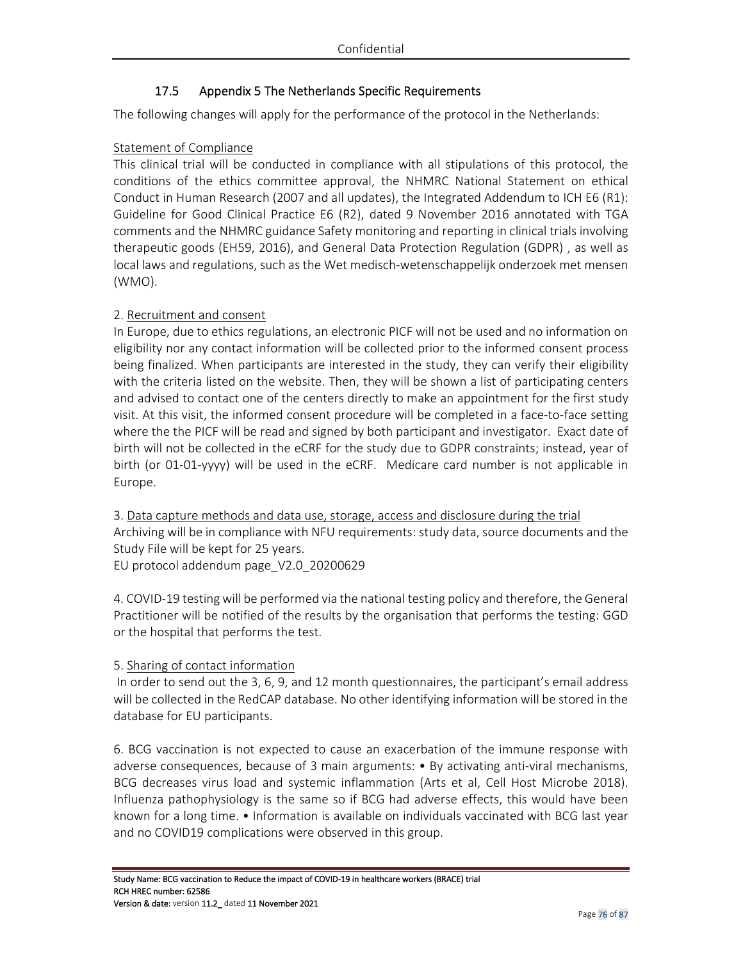# 17.5 Appendix 5 The Netherlands Specific Requirements

The following changes will apply for the performance of the protocol in the Netherlands:

# Statement of Compliance

This clinical trial will be conducted in compliance with all stipulations of this protocol, the conditions of the ethics committee approval, the NHMRC National Statement on ethical Conduct in Human Research (2007 and all updates), the Integrated Addendum to ICH E6 (R1): Guideline for Good Clinical Practice E6 (R2), dated 9 November 2016 annotated with TGA comments and the NHMRC guidance Safety monitoring and reporting in clinical trials involving therapeutic goods (EH59, 2016), and General Data Protection Regulation (GDPR) , as well as local laws and regulations, such as the Wet medisch-wetenschappelijk onderzoek met mensen (WMO).

# 2. Recruitment and consent

In Europe, due to ethics regulations, an electronic PICF will not be used and no information on eligibility nor any contact information will be collected prior to the informed consent process being finalized. When participants are interested in the study, they can verify their eligibility with the criteria listed on the website. Then, they will be shown a list of participating centers and advised to contact one of the centers directly to make an appointment for the first study visit. At this visit, the informed consent procedure will be completed in a face-to-face setting where the the PICF will be read and signed by both participant and investigator. Exact date of birth will not be collected in the eCRF for the study due to GDPR constraints; instead, year of birth (or 01-01-yyyy) will be used in the eCRF. Medicare card number is not applicable in Europe.

3. Data capture methods and data use, storage, access and disclosure during the trial Archiving will be in compliance with NFU requirements: study data, source documents and the Study File will be kept for 25 years. EU protocol addendum page\_V2.0\_20200629

4. COVID-19 testing will be performed via the national testing policy and therefore, the General Practitioner will be notified of the results by the organisation that performs the testing: GGD or the hospital that performs the test.

# 5. Sharing of contact information

 In order to send out the 3, 6, 9, and 12 month questionnaires, the participant's email address will be collected in the RedCAP database. No other identifying information will be stored in the database for EU participants.

6. BCG vaccination is not expected to cause an exacerbation of the immune response with adverse consequences, because of 3 main arguments: • By activating anti-viral mechanisms, BCG decreases virus load and systemic inflammation (Arts et al, Cell Host Microbe 2018). Influenza pathophysiology is the same so if BCG had adverse effects, this would have been known for a long time. • Information is available on individuals vaccinated with BCG last year and no COVID19 complications were observed in this group.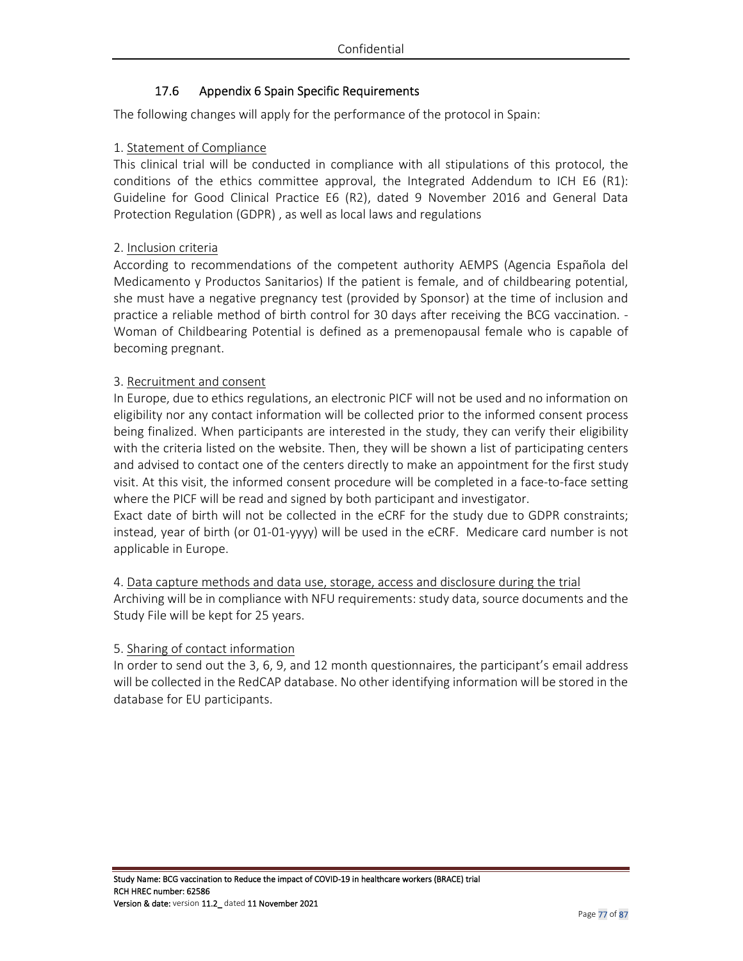# 17.6 Appendix 6 Spain Specific Requirements

The following changes will apply for the performance of the protocol in Spain:

## 1. Statement of Compliance

This clinical trial will be conducted in compliance with all stipulations of this protocol, the conditions of the ethics committee approval, the Integrated Addendum to ICH E6 (R1): Guideline for Good Clinical Practice E6 (R2), dated 9 November 2016 and General Data Protection Regulation (GDPR) , as well as local laws and regulations

## 2. Inclusion criteria

According to recommendations of the competent authority AEMPS (Agencia Española del Medicamento y Productos Sanitarios) If the patient is female, and of childbearing potential, she must have a negative pregnancy test (provided by Sponsor) at the time of inclusion and practice a reliable method of birth control for 30 days after receiving the BCG vaccination. - Woman of Childbearing Potential is defined as a premenopausal female who is capable of becoming pregnant.

## 3. Recruitment and consent

In Europe, due to ethics regulations, an electronic PICF will not be used and no information on eligibility nor any contact information will be collected prior to the informed consent process being finalized. When participants are interested in the study, they can verify their eligibility with the criteria listed on the website. Then, they will be shown a list of participating centers and advised to contact one of the centers directly to make an appointment for the first study visit. At this visit, the informed consent procedure will be completed in a face-to-face setting where the PICF will be read and signed by both participant and investigator.

Exact date of birth will not be collected in the eCRF for the study due to GDPR constraints; instead, year of birth (or 01-01-yyyy) will be used in the eCRF. Medicare card number is not applicable in Europe.

# 4. Data capture methods and data use, storage, access and disclosure during the trial

Archiving will be in compliance with NFU requirements: study data, source documents and the Study File will be kept for 25 years.

## 5. Sharing of contact information

In order to send out the 3, 6, 9, and 12 month questionnaires, the participant's email address will be collected in the RedCAP database. No other identifying information will be stored in the database for EU participants.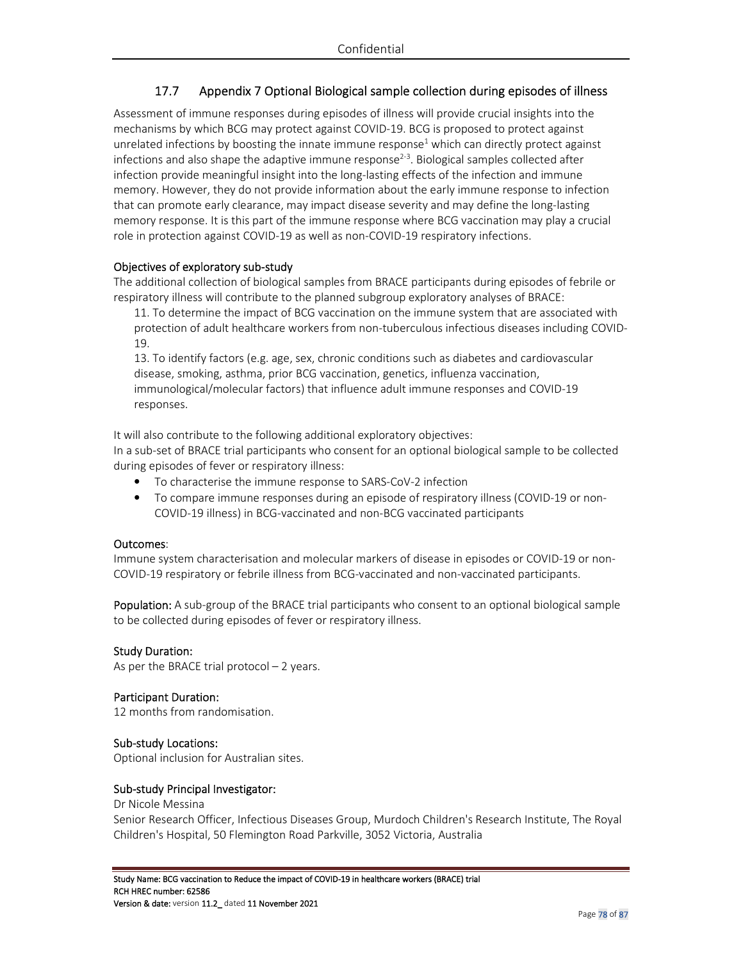# 17.7 Appendix 7 Optional Biological sample collection during episodes of illness

Assessment of immune responses during episodes of illness will provide crucial insights into the mechanisms by which BCG may protect against COVID-19. BCG is proposed to protect against unrelated infections by boosting the innate immune response<sup>1</sup> which can directly protect against infections and also shape the adaptive immune response<sup>2-3</sup>. Biological samples collected after infection provide meaningful insight into the long-lasting effects of the infection and immune memory. However, they do not provide information about the early immune response to infection that can promote early clearance, may impact disease severity and may define the long-lasting memory response. It is this part of the immune response where BCG vaccination may play a crucial role in protection against COVID-19 as well as non-COVID-19 respiratory infections.

## Objectives of exploratory sub-study

The additional collection of biological samples from BRACE participants during episodes of febrile or respiratory illness will contribute to the planned subgroup exploratory analyses of BRACE:

11. To determine the impact of BCG vaccination on the immune system that are associated with protection of adult healthcare workers from non-tuberculous infectious diseases including COVID-19.

13. To identify factors (e.g. age, sex, chronic conditions such as diabetes and cardiovascular disease, smoking, asthma, prior BCG vaccination, genetics, influenza vaccination, immunological/molecular factors) that influence adult immune responses and COVID-19 responses.

It will also contribute to the following additional exploratory objectives:

In a sub-set of BRACE trial participants who consent for an optional biological sample to be collected during episodes of fever or respiratory illness:

- To characterise the immune response to SARS-CoV-2 infection
- To compare immune responses during an episode of respiratory illness (COVID-19 or non-COVID-19 illness) in BCG-vaccinated and non-BCG vaccinated participants

## Outcomes:

Immune system characterisation and molecular markers of disease in episodes or COVID-19 or non-COVID-19 respiratory or febrile illness from BCG-vaccinated and non-vaccinated participants.

**Population:** A sub-group of the BRACE trial participants who consent to an optional biological sample to be collected during episodes of fever or respiratory illness.

## Study Duration:

As per the BRACE trial protocol – 2 years.

## Participant Duration:

12 months from randomisation.

## Sub-study Locations:

Optional inclusion for Australian sites.

## Sub-study Principal Investigator:

Dr Nicole Messina Senior Research Officer, Infectious Diseases Group, Murdoch Children's Research Institute, The Royal Children's Hospital, 50 Flemington Road Parkville, 3052 Victoria, Australia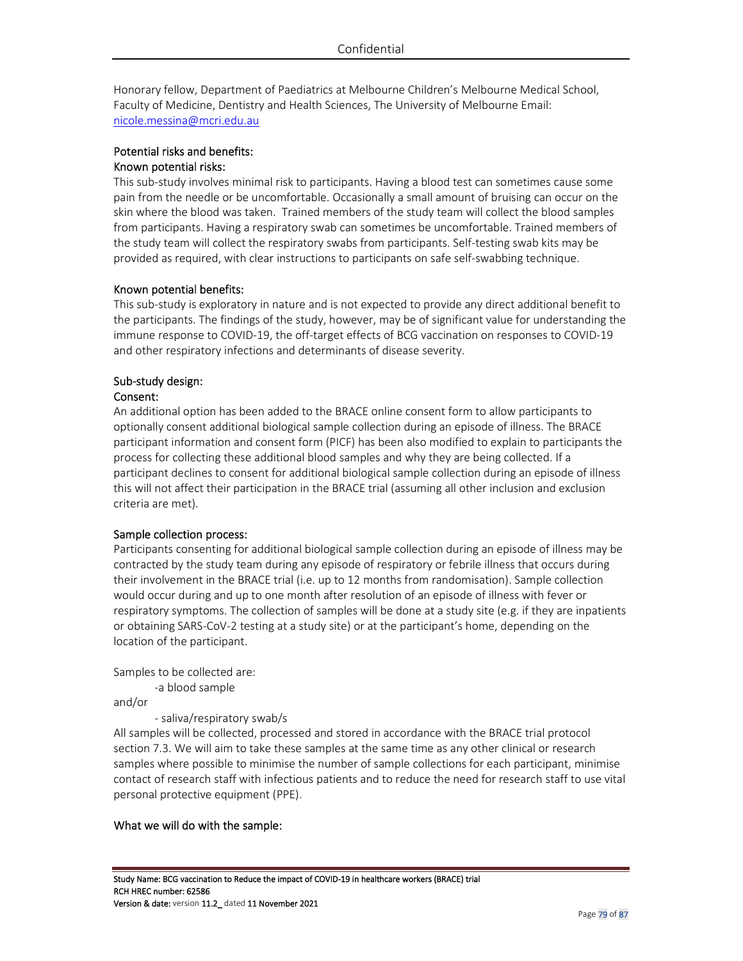Honorary fellow, Department of Paediatrics at Melbourne Children's Melbourne Medical School, Faculty of Medicine, Dentistry and Health Sciences, The University of Melbourne Email: nicole.messina@mcri.edu.au

# Potential risks and benefits:

# Known potential risks:

This sub-study involves minimal risk to participants. Having a blood test can sometimes cause some pain from the needle or be uncomfortable. Occasionally a small amount of bruising can occur on the skin where the blood was taken. Trained members of the study team will collect the blood samples from participants. Having a respiratory swab can sometimes be uncomfortable. Trained members of the study team will collect the respiratory swabs from participants. Self-testing swab kits may be provided as required, with clear instructions to participants on safe self-swabbing technique.

## Known potential benefits:

This sub-study is exploratory in nature and is not expected to provide any direct additional benefit to the participants. The findings of the study, however, may be of significant value for understanding the immune response to COVID-19, the off-target effects of BCG vaccination on responses to COVID-19 and other respiratory infections and determinants of disease severity.

# Sub-study design:

#### Consent:

An additional option has been added to the BRACE online consent form to allow participants to optionally consent additional biological sample collection during an episode of illness. The BRACE participant information and consent form (PICF) has been also modified to explain to participants the process for collecting these additional blood samples and why they are being collected. If a participant declines to consent for additional biological sample collection during an episode of illness this will not affect their participation in the BRACE trial (assuming all other inclusion and exclusion criteria are met).

## Sample collection process:

Participants consenting for additional biological sample collection during an episode of illness may be contracted by the study team during any episode of respiratory or febrile illness that occurs during their involvement in the BRACE trial (i.e. up to 12 months from randomisation). Sample collection would occur during and up to one month after resolution of an episode of illness with fever or respiratory symptoms. The collection of samples will be done at a study site (e.g. if they are inpatients or obtaining SARS-CoV-2 testing at a study site) or at the participant's home, depending on the location of the participant.

Samples to be collected are:

-a blood sample

and/or

- saliva/respiratory swab/s

All samples will be collected, processed and stored in accordance with the BRACE trial protocol section 7.3. We will aim to take these samples at the same time as any other clinical or research samples where possible to minimise the number of sample collections for each participant, minimise contact of research staff with infectious patients and to reduce the need for research staff to use vital personal protective equipment (PPE).

## What we will do with the sample: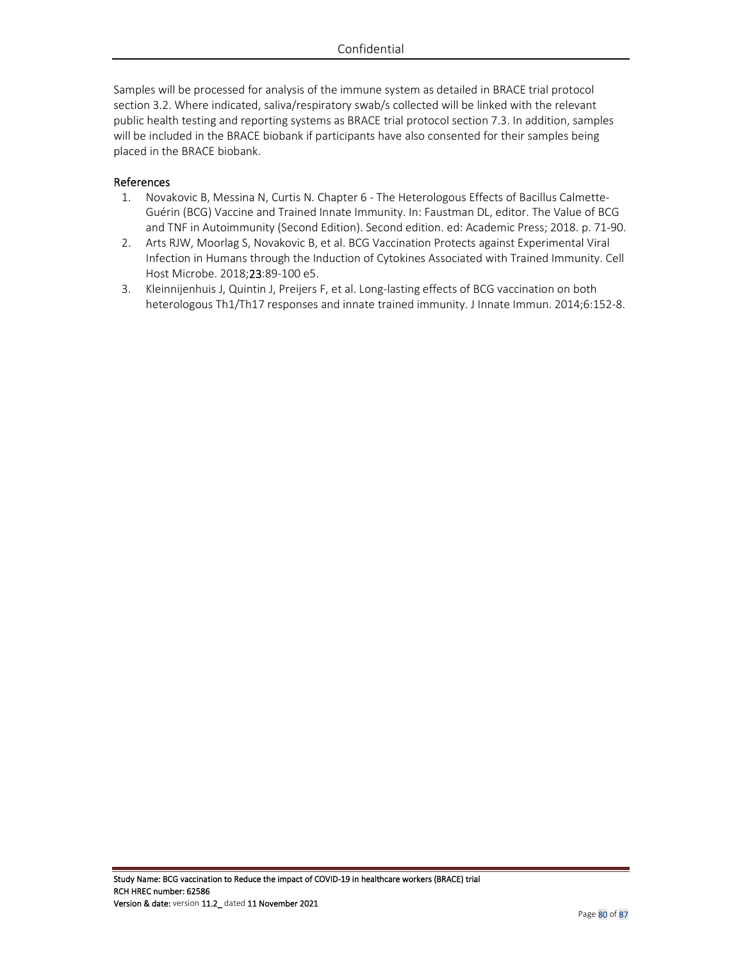Samples will be processed for analysis of the immune system as detailed in BRACE trial protocol section 3.2. Where indicated, saliva/respiratory swab/s collected will be linked with the relevant public health testing and reporting systems as BRACE trial protocol section 7.3. In addition, samples will be included in the BRACE biobank if participants have also consented for their samples being placed in the BRACE biobank.

## References

- 1. Novakovic B, Messina N, Curtis N. Chapter 6 The Heterologous Effects of Bacillus Calmette-Guérin (BCG) Vaccine and Trained Innate Immunity. In: Faustman DL, editor. The Value of BCG and TNF in Autoimmunity (Second Edition). Second edition. ed: Academic Press; 2018. p. 71-90.
- 2. Arts RJW, Moorlag S, Novakovic B, et al. BCG Vaccination Protects against Experimental Viral Infection in Humans through the Induction of Cytokines Associated with Trained Immunity. Cell Host Microbe. 2018;23:89-100 e5.
- 3. Kleinnijenhuis J, Quintin J, Preijers F, et al. Long-lasting effects of BCG vaccination on both heterologous Th1/Th17 responses and innate trained immunity. J Innate Immun. 2014;6:152-8.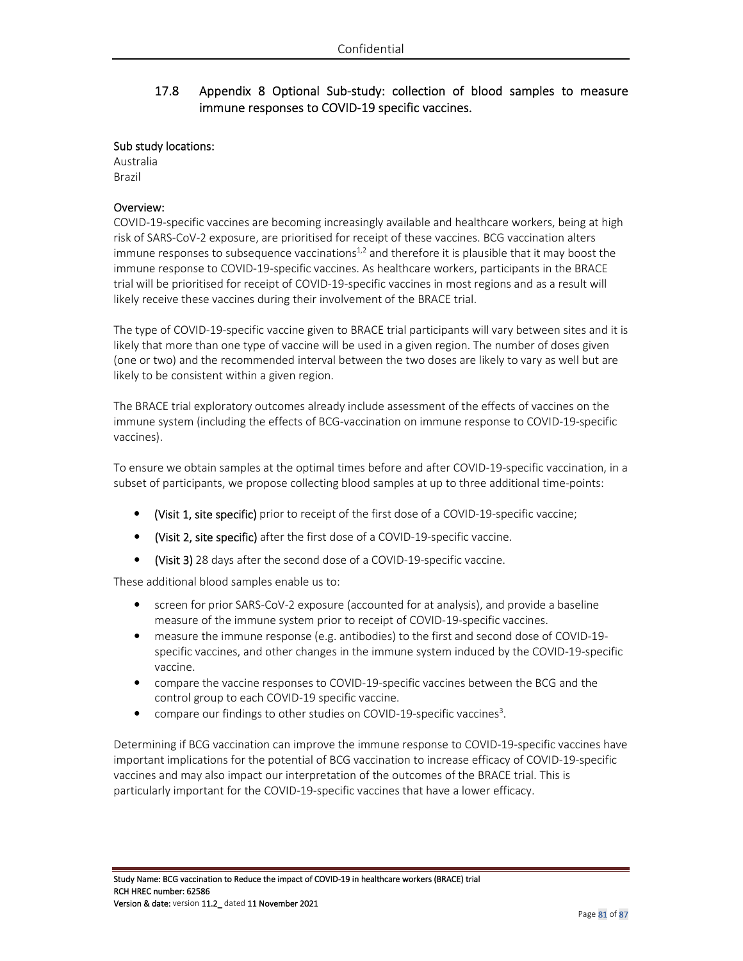# 17.8 Appendix 8 Optional Sub-study: collection of blood samples to measure immune responses to COVID-19 specific vaccines.

#### Sub study locations:

Australia Brazil

#### Overview:

COVID-19-specific vaccines are becoming increasingly available and healthcare workers, being at high risk of SARS-CoV-2 exposure, are prioritised for receipt of these vaccines. BCG vaccination alters immune responses to subsequence vaccinations<sup>1,2</sup> and therefore it is plausible that it may boost the immune response to COVID-19-specific vaccines. As healthcare workers, participants in the BRACE trial will be prioritised for receipt of COVID-19-specific vaccines in most regions and as a result will likely receive these vaccines during their involvement of the BRACE trial.

The type of COVID-19-specific vaccine given to BRACE trial participants will vary between sites and it is likely that more than one type of vaccine will be used in a given region. The number of doses given (one or two) and the recommended interval between the two doses are likely to vary as well but are likely to be consistent within a given region.

The BRACE trial exploratory outcomes already include assessment of the effects of vaccines on the immune system (including the effects of BCG-vaccination on immune response to COVID-19-specific vaccines).

To ensure we obtain samples at the optimal times before and after COVID-19-specific vaccination, in a subset of participants, we propose collecting blood samples at up to three additional time-points:

- (Visit 1, site specific) prior to receipt of the first dose of a COVID-19-specific vaccine;
- (Visit 2, site specific) after the first dose of a COVID-19-specific vaccine.
- (Visit 3) 28 days after the second dose of a COVID-19-specific vaccine.

These additional blood samples enable us to:

- screen for prior SARS-CoV-2 exposure (accounted for at analysis), and provide a baseline measure of the immune system prior to receipt of COVID-19-specific vaccines.
- measure the immune response (e.g. antibodies) to the first and second dose of COVID-19 specific vaccines, and other changes in the immune system induced by the COVID-19-specific vaccine.
- compare the vaccine responses to COVID-19-specific vaccines between the BCG and the control group to each COVID-19 specific vaccine.
- compare our findings to other studies on COVID-19-specific vaccines<sup>3</sup>.

Determining if BCG vaccination can improve the immune response to COVID-19-specific vaccines have important implications for the potential of BCG vaccination to increase efficacy of COVID-19-specific vaccines and may also impact our interpretation of the outcomes of the BRACE trial. This is particularly important for the COVID-19-specific vaccines that have a lower efficacy.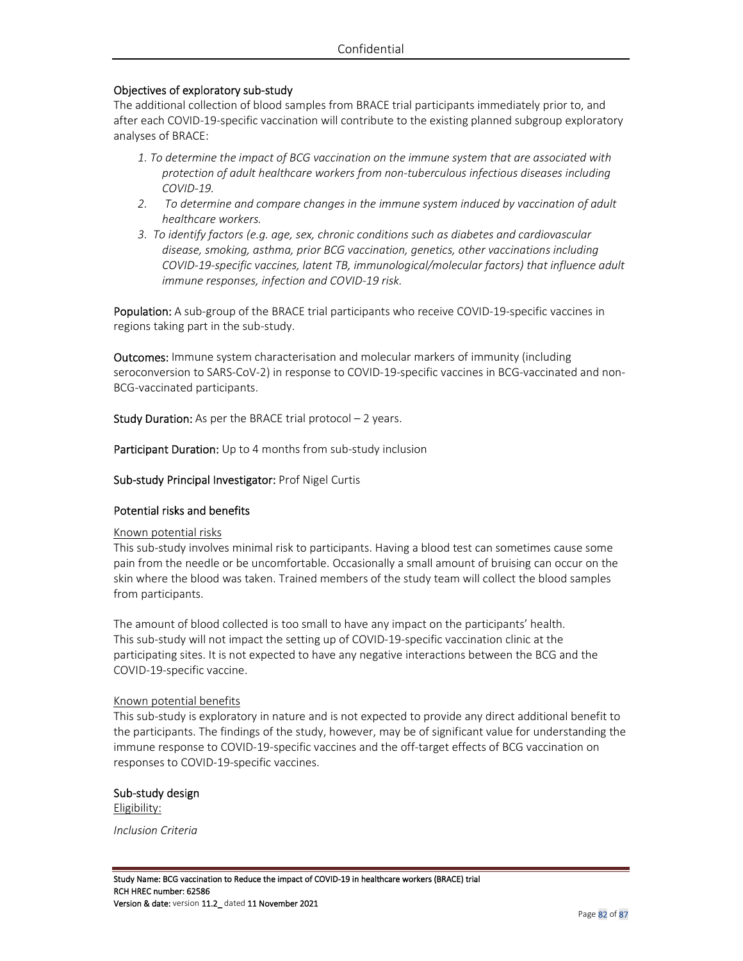#### Objectives of exploratory sub-study

The additional collection of blood samples from BRACE trial participants immediately prior to, and after each COVID-19-specific vaccination will contribute to the existing planned subgroup exploratory analyses of BRACE:

- *1. To determine the impact of BCG vaccination on the immune system that are associated with protection of adult healthcare workers from non-tuberculous infectious diseases including COVID-19.*
- *2. To determine and compare changes in the immune system induced by vaccination of adult healthcare workers.*
- *3. To identify factors (e.g. age, sex, chronic conditions such as diabetes and cardiovascular disease, smoking, asthma, prior BCG vaccination, genetics, other vaccinations including COVID-19-specific vaccines, latent TB, immunological/molecular factors) that influence adult immune responses, infection and COVID-19 risk.*

Population: A sub-group of the BRACE trial participants who receive COVID-19-specific vaccines in regions taking part in the sub-study.

Outcomes: Immune system characterisation and molecular markers of immunity (including seroconversion to SARS-CoV-2) in response to COVID-19-specific vaccines in BCG-vaccinated and non-BCG-vaccinated participants.

**Study Duration:** As per the BRACE trial protocol  $-2$  years.

Participant Duration: Up to 4 months from sub-study inclusion

Sub-study Principal Investigator: Prof Nigel Curtis

#### Potential risks and benefits

#### Known potential risks

This sub-study involves minimal risk to participants. Having a blood test can sometimes cause some pain from the needle or be uncomfortable. Occasionally a small amount of bruising can occur on the skin where the blood was taken. Trained members of the study team will collect the blood samples from participants.

The amount of blood collected is too small to have any impact on the participants' health. This sub-study will not impact the setting up of COVID-19-specific vaccination clinic at the participating sites. It is not expected to have any negative interactions between the BCG and the COVID-19-specific vaccine.

#### Known potential benefits

This sub-study is exploratory in nature and is not expected to provide any direct additional benefit to the participants. The findings of the study, however, may be of significant value for understanding the immune response to COVID-19-specific vaccines and the off-target effects of BCG vaccination on responses to COVID-19-specific vaccines.

Sub-study design Eligibility:

*Inclusion Criteria*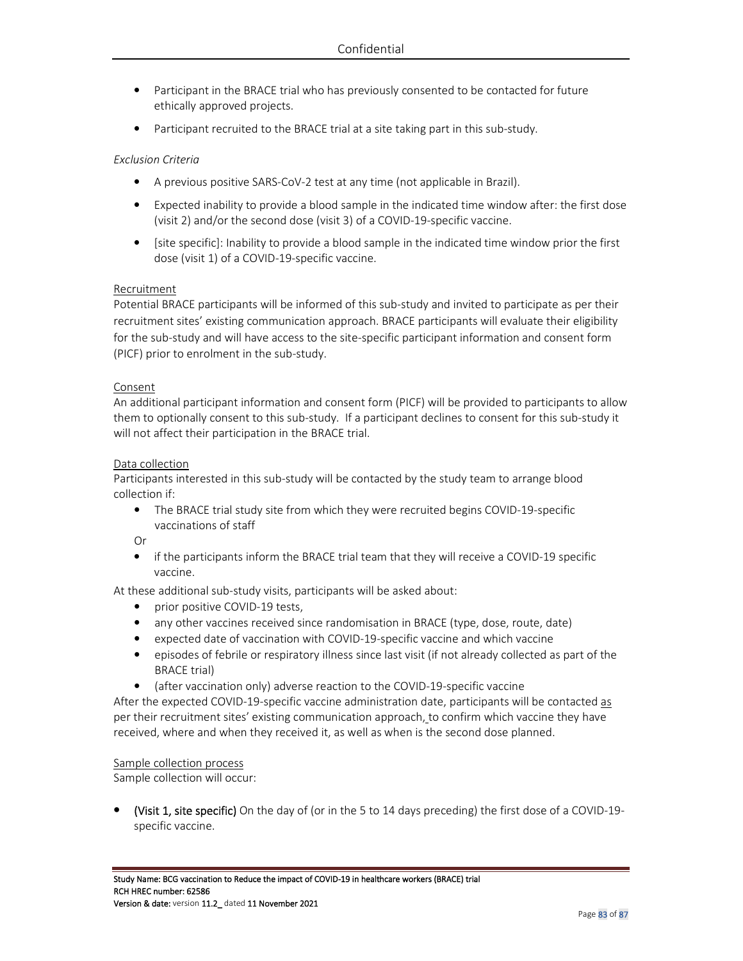- Participant in the BRACE trial who has previously consented to be contacted for future ethically approved projects.
- Participant recruited to the BRACE trial at a site taking part in this sub-study.

#### *Exclusion Criteria*

- A previous positive SARS-CoV-2 test at any time (not applicable in Brazil).
- Expected inability to provide a blood sample in the indicated time window after: the first dose (visit 2) and/or the second dose (visit 3) of a COVID-19-specific vaccine.
- [site specific]: Inability to provide a blood sample in the indicated time window prior the first dose (visit 1) of a COVID-19-specific vaccine.

#### Recruitment

Potential BRACE participants will be informed of this sub-study and invited to participate as per their recruitment sites' existing communication approach. BRACE participants will evaluate their eligibility for the sub-study and will have access to the site-specific participant information and consent form (PICF) prior to enrolment in the sub-study.

#### Consent

An additional participant information and consent form (PICF) will be provided to participants to allow them to optionally consent to this sub-study. If a participant declines to consent for this sub-study it will not affect their participation in the BRACE trial.

#### Data collection

Participants interested in this sub-study will be contacted by the study team to arrange blood collection if:

• The BRACE trial study site from which they were recruited begins COVID-19-specific vaccinations of staff

Or

• if the participants inform the BRACE trial team that they will receive a COVID-19 specific vaccine.

At these additional sub-study visits, participants will be asked about:

- prior positive COVID-19 tests,
- any other vaccines received since randomisation in BRACE (type, dose, route, date)
- expected date of vaccination with COVID-19-specific vaccine and which vaccine
- episodes of febrile or respiratory illness since last visit (if not already collected as part of the BRACE trial)
- (after vaccination only) adverse reaction to the COVID-19-specific vaccine

After the expected COVID-19-specific vaccine administration date, participants will be contacted as per their recruitment sites' existing communication approach, to confirm which vaccine they have received, where and when they received it, as well as when is the second dose planned.

#### Sample collection process

Sample collection will occur:

(Visit 1, site specific) On the day of (or in the 5 to 14 days preceding) the first dose of a COVID-19specific vaccine.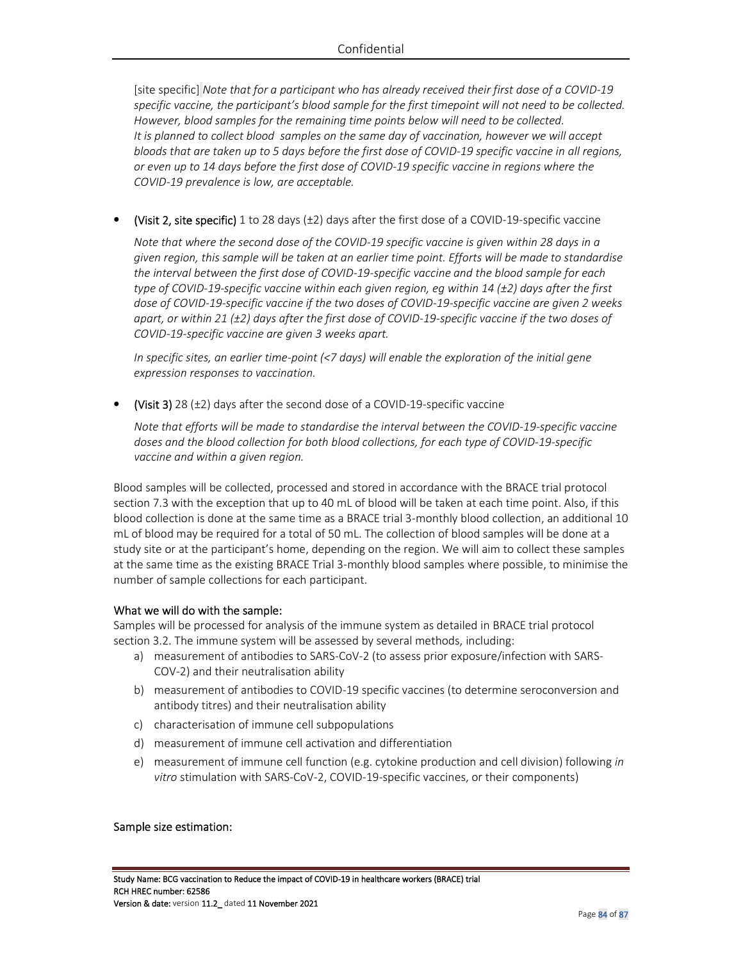[site specific] *Note that for a participant who has already received their first dose of a COVID-19 specific vaccine, the participant's blood sample for the first timepoint will not need to be collected. However, blood samples for the remaining time points below will need to be collected. It is planned to collect blood samples on the same day of vaccination, however we will accept bloods that are taken up to 5 days before the first dose of COVID-19 specific vaccine in all regions, or even up to 14 days before the first dose of COVID-19 specific vaccine in regions where the COVID-19 prevalence is low, are acceptable.* 

(Visit 2, site specific) 1 to 28 days  $(\pm 2)$  days after the first dose of a COVID-19-specific vaccine

*Note that where the second dose of the COVID-19 specific vaccine is given within 28 days in a given region, this sample will be taken at an earlier time point. Efforts will be made to standardise the interval between the first dose of COVID-19-specific vaccine and the blood sample for each type of COVID-19-specific vaccine within each given region, eg within 14 (±2) days after the first dose of COVID-19-specific vaccine if the two doses of COVID-19-specific vaccine are given 2 weeks apart, or within 21 (±2) days after the first dose of COVID-19-specific vaccine if the two doses of COVID-19-specific vaccine are given 3 weeks apart.*

*In specific sites, an earlier time-point (<7 days) will enable the exploration of the initial gene expression responses to vaccination.* 

• (Visit 3) 28  $(\pm 2)$  days after the second dose of a COVID-19-specific vaccine

*Note that efforts will be made to standardise the interval between the COVID-19-specific vaccine doses and the blood collection for both blood collections, for each type of COVID-19-specific vaccine and within a given region.* 

Blood samples will be collected, processed and stored in accordance with the BRACE trial protocol section 7.3 with the exception that up to 40 mL of blood will be taken at each time point. Also, if this blood collection is done at the same time as a BRACE trial 3-monthly blood collection, an additional 10 mL of blood may be required for a total of 50 mL. The collection of blood samples will be done at a study site or at the participant's home, depending on the region. We will aim to collect these samples at the same time as the existing BRACE Trial 3-monthly blood samples where possible, to minimise the number of sample collections for each participant.

#### What we will do with the sample:

Samples will be processed for analysis of the immune system as detailed in BRACE trial protocol section 3.2. The immune system will be assessed by several methods, including:

- a) measurement of antibodies to SARS-CoV-2 (to assess prior exposure/infection with SARS-COV-2) and their neutralisation ability
- b) measurement of antibodies to COVID-19 specific vaccines (to determine seroconversion and antibody titres) and their neutralisation ability
- c) characterisation of immune cell subpopulations
- d) measurement of immune cell activation and differentiation
- e) measurement of immune cell function (e.g. cytokine production and cell division) following *in vitro* stimulation with SARS-CoV-2, COVID-19-specific vaccines, or their components)

#### Sample size estimation: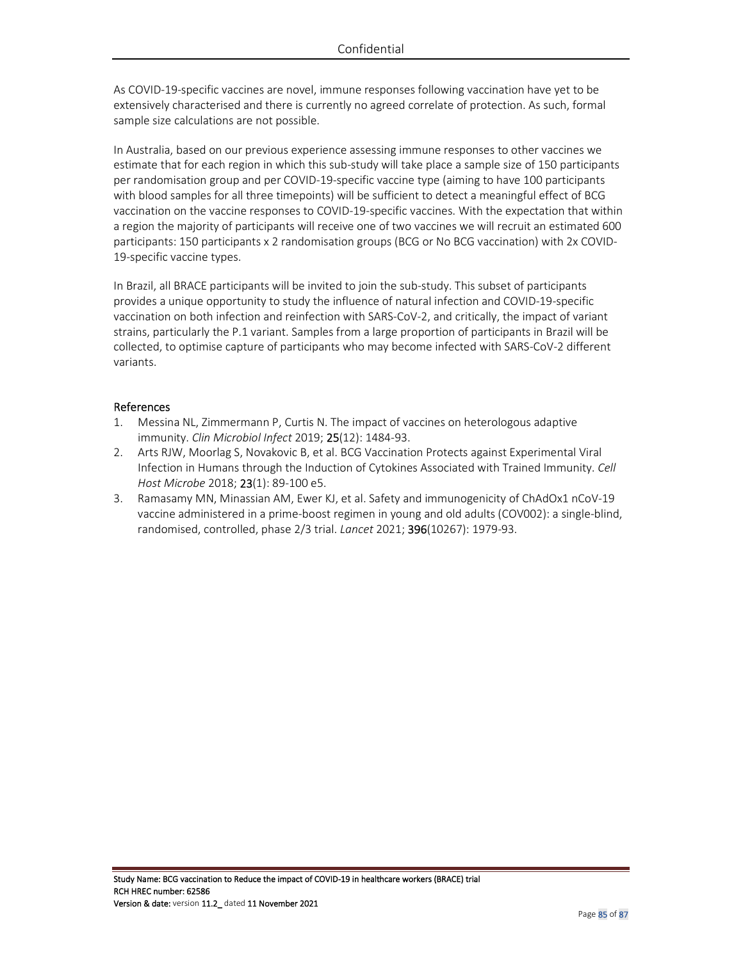As COVID-19-specific vaccines are novel, immune responses following vaccination have yet to be extensively characterised and there is currently no agreed correlate of protection. As such, formal sample size calculations are not possible.

In Australia, based on our previous experience assessing immune responses to other vaccines we estimate that for each region in which this sub-study will take place a sample size of 150 participants per randomisation group and per COVID-19-specific vaccine type (aiming to have 100 participants with blood samples for all three timepoints) will be sufficient to detect a meaningful effect of BCG vaccination on the vaccine responses to COVID-19-specific vaccines. With the expectation that within a region the majority of participants will receive one of two vaccines we will recruit an estimated 600 participants: 150 participants x 2 randomisation groups (BCG or No BCG vaccination) with 2x COVID-19-specific vaccine types.

In Brazil, all BRACE participants will be invited to join the sub-study. This subset of participants provides a unique opportunity to study the influence of natural infection and COVID-19-specific vaccination on both infection and reinfection with SARS-CoV-2, and critically, the impact of variant strains, particularly the P.1 variant. Samples from a large proportion of participants in Brazil will be collected, to optimise capture of participants who may become infected with SARS-CoV-2 different variants.

#### References

- 1. Messina NL, Zimmermann P, Curtis N. The impact of vaccines on heterologous adaptive immunity. *Clin Microbiol Infect* 2019; 25(12): 1484-93.
- 2. Arts RJW, Moorlag S, Novakovic B, et al. BCG Vaccination Protects against Experimental Viral Infection in Humans through the Induction of Cytokines Associated with Trained Immunity. *Cell Host Microbe* 2018; 23(1): 89-100 e5.
- 3. Ramasamy MN, Minassian AM, Ewer KJ, et al. Safety and immunogenicity of ChAdOx1 nCoV-19 vaccine administered in a prime-boost regimen in young and old adults (COV002): a single-blind, randomised, controlled, phase 2/3 trial. *Lancet* 2021; 396(10267): 1979-93.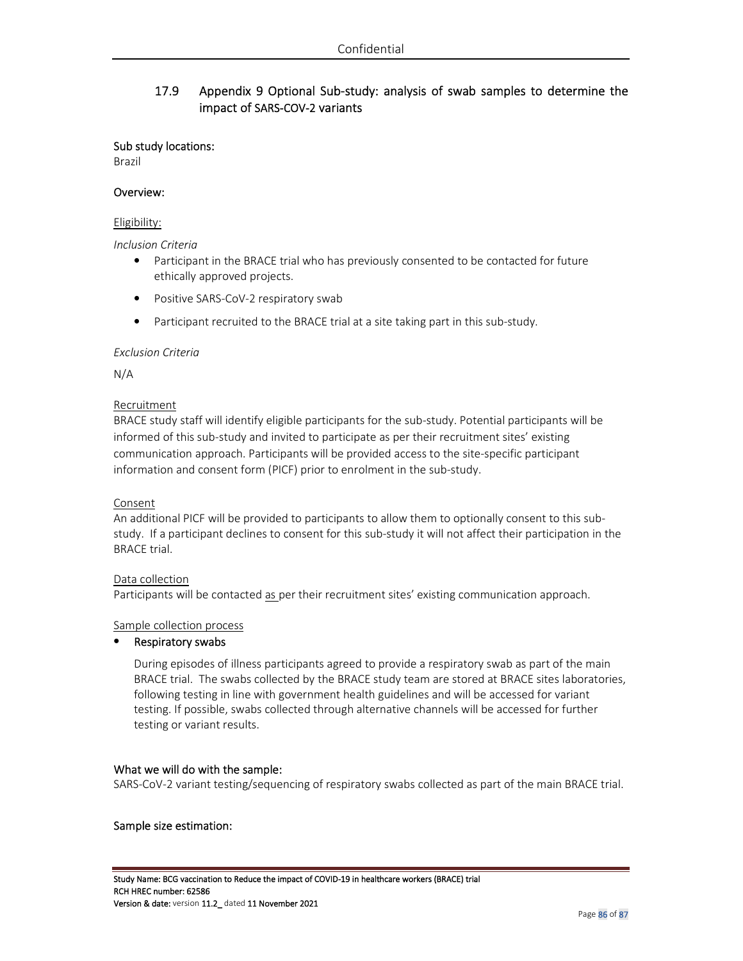# 17.9 Appendix 9 Optional Sub-study: analysis of swab samples to determine the impact of SARS-COV-2 variants

#### Sub study locations:

Brazil

#### Overview:

#### Eligibility:

*Inclusion Criteria* 

- Participant in the BRACE trial who has previously consented to be contacted for future ethically approved projects.
- Positive SARS-CoV-2 respiratory swab
- Participant recruited to the BRACE trial at a site taking part in this sub-study.

#### *Exclusion Criteria*

N/A

#### Recruitment

BRACE study staff will identify eligible participants for the sub-study. Potential participants will be informed of this sub-study and invited to participate as per their recruitment sites' existing communication approach. Participants will be provided access to the site-specific participant information and consent form (PICF) prior to enrolment in the sub-study.

## Consent

An additional PICF will be provided to participants to allow them to optionally consent to this substudy. If a participant declines to consent for this sub-study it will not affect their participation in the BRACE trial.

## Data collection

Participants will be contacted as per their recruitment sites' existing communication approach.

#### Sample collection process

## • Respiratory swabs

During episodes of illness participants agreed to provide a respiratory swab as part of the main BRACE trial. The swabs collected by the BRACE study team are stored at BRACE sites laboratories, following testing in line with government health guidelines and will be accessed for variant testing. If possible, swabs collected through alternative channels will be accessed for further testing or variant results.

#### What we will do with the sample:

SARS-CoV-2 variant testing/sequencing of respiratory swabs collected as part of the main BRACE trial.

#### Sample size estimation: